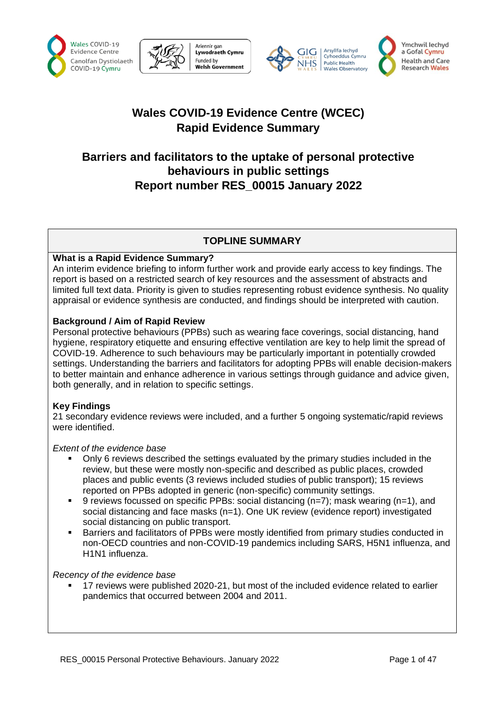





# **Wales COVID-19 Evidence Centre (WCEC) Rapid Evidence Summary**

# **Barriers and facilitators to the uptake of personal protective behaviours in public settings Report number RES\_00015 January 2022**

## **TOPLINE SUMMARY**

### **What is a Rapid Evidence Summary?**

An interim evidence briefing to inform further work and provide early access to key findings. The report is based on a restricted search of key resources and the assessment of abstracts and limited full text data. Priority is given to studies representing robust evidence synthesis. No quality appraisal or evidence synthesis are conducted, and findings should be interpreted with caution.

### **Background / Aim of Rapid Review**

Personal protective behaviours (PPBs) such as wearing face coverings, social distancing, hand hygiene, respiratory etiquette and ensuring effective ventilation are key to help limit the spread of COVID-19. Adherence to such behaviours may be particularly important in potentially crowded settings. Understanding the barriers and facilitators for adopting PPBs will enable decision-makers to better maintain and enhance adherence in various settings through guidance and advice given, both generally, and in relation to specific settings.

#### **Key Findings**

21 secondary evidence reviews were included, and a further 5 ongoing systematic/rapid reviews were identified.

#### *Extent of the evidence base*

- Only 6 reviews described the settings evaluated by the primary studies included in the review, but these were mostly non-specific and described as public places, crowded places and public events (3 reviews included studies of public transport); 15 reviews reported on PPBs adopted in generic (non-specific) community settings.
- 9 reviews focussed on specific PPBs: social distancing ( $n=7$ ); mask wearing ( $n=1$ ), and social distancing and face masks  $(n=1)$ . One UK review (evidence report) investigated social distancing on public transport.
- Barriers and facilitators of PPBs were mostly identified from primary studies conducted in non-OECD countries and non-COVID-19 pandemics including SARS, H5N1 influenza, and H1N1 influenza.

#### *Recency of the evidence base*

17 reviews were published 2020-21, but most of the included evidence related to earlier pandemics that occurred between 2004 and 2011.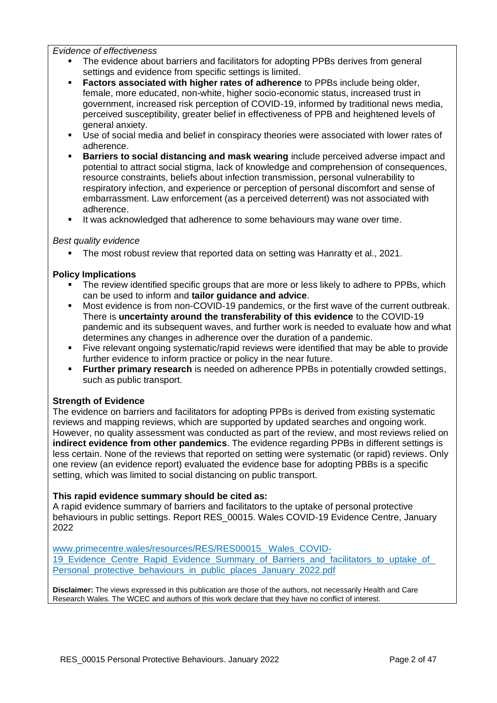*Evidence of effectiveness*

- The evidence about barriers and facilitators for adopting PPBs derives from general settings and evidence from specific settings is limited.
- **Factors associated with higher rates of adherence** to PPBs include being older, female, more educated, non-white, higher socio-economic status, increased trust in government, increased risk perception of COVID-19, informed by traditional news media, perceived susceptibility, greater belief in effectiveness of PPB and heightened levels of general anxiety.
- Use of social media and belief in conspiracy theories were associated with lower rates of adherence.
- **EXECT:** Barriers to social distancing and mask wearing include perceived adverse impact and potential to attract social stigma, lack of knowledge and comprehension of consequences, resource constraints, beliefs about infection transmission, personal vulnerability to respiratory infection, and experience or perception of personal discomfort and sense of embarrassment. Law enforcement (as a perceived deterrent) was not associated with adherence.
- It was acknowledged that adherence to some behaviours may wane over time.

#### *Best quality evidence*

■ The most robust review that reported data on setting was Hanratty et al., 2021.

#### **Policy Implications**

- The review identified specific groups that are more or less likely to adhere to PPBs, which can be used to inform and **tailor guidance and advice**.
- Most evidence is from non-COVID-19 pandemics, or the first wave of the current outbreak. There is **uncertainty around the transferability of this evidence** to the COVID-19 pandemic and its subsequent waves, and further work is needed to evaluate how and what determines any changes in adherence over the duration of a pandemic.
- Five relevant ongoing systematic/rapid reviews were identified that may be able to provide further evidence to inform practice or policy in the near future.
- **Eurther primary research** is needed on adherence PPBs in potentially crowded settings, such as public transport.

#### **Strength of Evidence**

The evidence on barriers and facilitators for adopting PPBs is derived from existing systematic reviews and mapping reviews, which are supported by updated searches and ongoing work. However, no quality assessment was conducted as part of the review, and most reviews relied on **indirect evidence from other pandemics**. The evidence regarding PPBs in different settings is less certain. None of the reviews that reported on setting were systematic (or rapid) reviews. Only one review (an evidence report) evaluated the evidence base for adopting PBBs is a specific setting, which was limited to social distancing on public transport.

#### **This rapid evidence summary should be cited as:**

A rapid evidence summary of barriers and facilitators to the uptake of personal protective behaviours in public settings. Report RES\_00015. Wales COVID-19 Evidence Centre, January 2022

[www.primecentre.wales/resources/RES/RES00015\\_ Wales\\_COVID-](http://www.primecentre.wales/resources/RES/RES00015_Wales_COVID-19_Evidence_Centre_Rapid_Evidence_Summary_of_Barriers_and_facilitators_to_uptake_of_%20Personal_protective_behaviours_in_public_places_January_2022.pdf)19 Evidence Centre Rapid Evidence Summary of Barriers and facilitators to uptake of [Personal\\_protective\\_behaviours\\_in\\_public\\_places\\_January\\_2022.pdf](http://www.primecentre.wales/resources/RES/RES00015_Wales_COVID-19_Evidence_Centre_Rapid_Evidence_Summary_of_Barriers_and_facilitators_to_uptake_of_%20Personal_protective_behaviours_in_public_places_January_2022.pdf)

**Disclaimer:** The views expressed in this publication are those of the authors, not necessarily Health and Care Research Wales. The WCEC and authors of this work declare that they have no conflict of interest.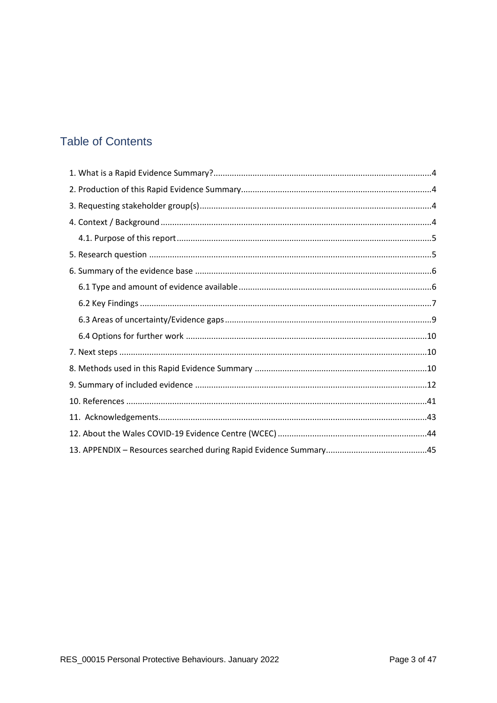# **Table of Contents**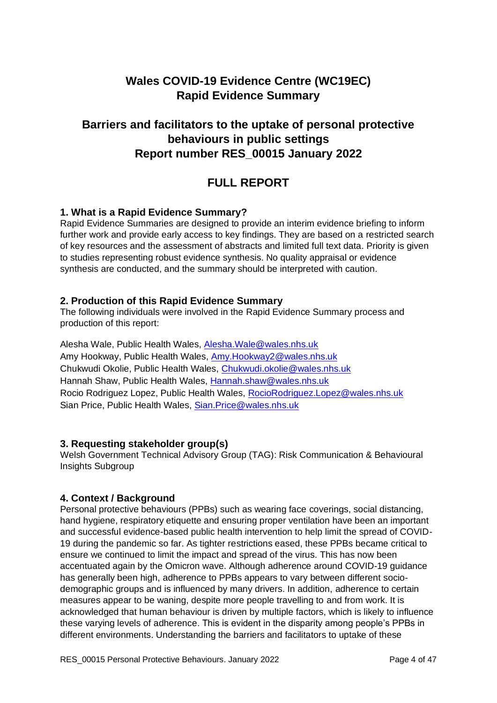# **Wales COVID-19 Evidence Centre (WC19EC) Rapid Evidence Summary**

# **Barriers and facilitators to the uptake of personal protective behaviours in public settings Report number RES\_00015 January 2022**

# **FULL REPORT**

## <span id="page-3-0"></span>**1. What is a Rapid Evidence Summary?**

Rapid Evidence Summaries are designed to provide an interim evidence briefing to inform further work and provide early access to key findings. They are based on a restricted search of key resources and the assessment of abstracts and limited full text data. Priority is given to studies representing robust evidence synthesis. No quality appraisal or evidence synthesis are conducted, and the summary should be interpreted with caution.

### <span id="page-3-1"></span>**2. Production of this Rapid Evidence Summary**

The following individuals were involved in the Rapid Evidence Summary process and production of this report:

Alesha Wale, Public Health Wales, [Alesha.Wale@wales.nhs.uk](mailto:Alesha.Wale@wales.nhs.uk) Amy Hookway, Public Health Wales, [Amy.Hookway2@wales.nhs.uk](mailto:Amy.Hookway2@wales.nhs.uk) Chukwudi Okolie, Public Health Wales, [Chukwudi.okolie@wales.nhs.uk](mailto:Chukwudi.okolie@wales.nhs.uk)  Hannah Shaw, Public Health Wales, [Hannah.shaw@wales.nhs.uk](mailto:Hannah.shaw@wales.nhs.uk) Rocio Rodriguez Lopez, Public Health Wales, [RocioRodriguez.Lopez@wales.nhs.uk](mailto:RocioRodriguez.Lopez@wales.nhs.uk)  Sian Price, Public Health Wales, [Sian.Price@wales.nhs.uk](mailto:Sian.Price@wales.nhs.uk)

#### <span id="page-3-2"></span>**3. Requesting stakeholder group(s)**

Welsh Government Technical Advisory Group (TAG): Risk Communication & Behavioural Insights Subgroup

## <span id="page-3-3"></span>**4. Context / Background**

Personal protective behaviours (PPBs) such as wearing face coverings, social distancing, hand hygiene, respiratory etiquette and ensuring proper ventilation have been an important and successful evidence-based public health intervention to help limit the spread of COVID-19 during the pandemic so far. As tighter restrictions eased, these PPBs became critical to ensure we continued to limit the impact and spread of the virus. This has now been accentuated again by the Omicron wave. Although adherence around COVID-19 guidance has generally been high, adherence to PPBs appears to vary between different sociodemographic groups and is influenced by many drivers. In addition, adherence to certain measures appear to be waning, despite more people travelling to and from work. It is acknowledged that human behaviour is driven by multiple factors, which is likely to influence these varying levels of adherence. This is evident in the disparity among people's PPBs in different environments. Understanding the barriers and facilitators to uptake of these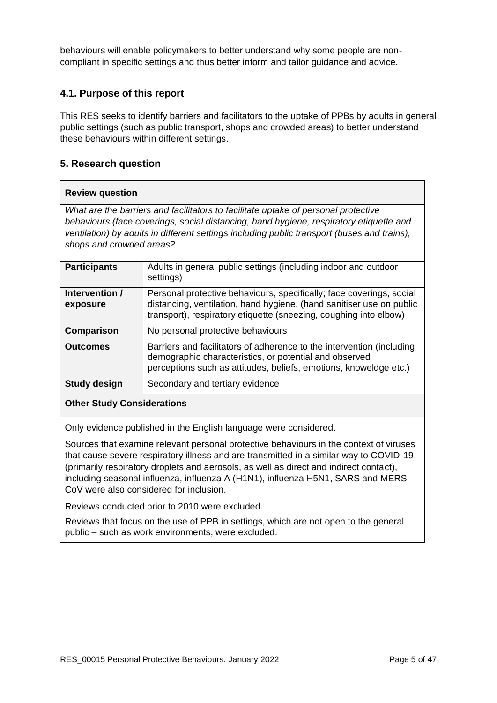behaviours will enable policymakers to better understand why some people are noncompliant in specific settings and thus better inform and tailor guidance and advice.

## <span id="page-4-0"></span>**4.1. Purpose of this report**

This RES seeks to identify barriers and facilitators to the uptake of PPBs by adults in general public settings (such as public transport, shops and crowded areas) to better understand these behaviours within different settings.

## <span id="page-4-1"></span>**5. Research question**

#### **Review question**

*What are the barriers and facilitators to facilitate uptake of personal protective behaviours (face coverings, social distancing, hand hygiene, respiratory etiquette and ventilation) by adults in different settings including public transport (buses and trains), shops and crowded areas?*

| <b>Participants</b>        | Adults in general public settings (including indoor and outdoor<br>settings)                                                                                                                                      |
|----------------------------|-------------------------------------------------------------------------------------------------------------------------------------------------------------------------------------------------------------------|
| Intervention /<br>exposure | Personal protective behaviours, specifically; face coverings, social<br>distancing, ventilation, hand hygiene, (hand sanitiser use on public<br>transport), respiratory etiquette (sneezing, coughing into elbow) |
| Comparison                 | No personal protective behaviours                                                                                                                                                                                 |
| <b>Outcomes</b>            | Barriers and facilitators of adherence to the intervention (including<br>demographic characteristics, or potential and observed<br>perceptions such as attitudes, beliefs, emotions, knoweldge etc.)              |
| <b>Study design</b>        | Secondary and tertiary evidence                                                                                                                                                                                   |
|                            |                                                                                                                                                                                                                   |

#### **Other Study Considerations**

Only evidence published in the English language were considered.

Sources that examine relevant personal protective behaviours in the context of viruses that cause severe respiratory illness and are transmitted in a similar way to COVID-19 (primarily respiratory droplets and aerosols, as well as direct and indirect contact), including seasonal influenza, influenza A (H1N1), influenza H5N1, SARS and MERS-CoV were also considered for inclusion.

Reviews conducted prior to 2010 were excluded.

Reviews that focus on the use of PPB in settings, which are not open to the general public – such as work environments, were excluded.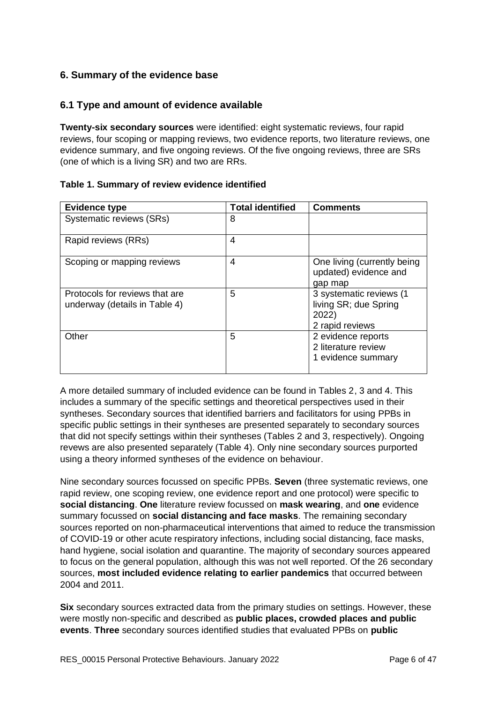## <span id="page-5-0"></span>**6. Summary of the evidence base**

## <span id="page-5-1"></span>**6.1 Type and amount of evidence available**

**Twenty-six secondary sources** were identified: eight systematic reviews, four rapid reviews, four scoping or mapping reviews, two evidence reports, two literature reviews, one evidence summary, and five ongoing reviews. Of the five ongoing reviews, three are SRs (one of which is a living SR) and two are RRs.

| <b>Evidence type</b>                                            | <b>Total identified</b> | <b>Comments</b>                                                              |
|-----------------------------------------------------------------|-------------------------|------------------------------------------------------------------------------|
| Systematic reviews (SRs)                                        | 8                       |                                                                              |
| Rapid reviews (RRs)                                             | 4                       |                                                                              |
| Scoping or mapping reviews                                      | 4                       | One living (currently being<br>updated) evidence and<br>gap map              |
| Protocols for reviews that are<br>underway (details in Table 4) | 5                       | 3 systematic reviews (1<br>living SR; due Spring<br>2022)<br>2 rapid reviews |
| Other                                                           | 5                       | 2 evidence reports<br>2 literature review<br>1 evidence summary              |

A more detailed summary of included evidence can be found in Tables 2, 3 and 4. This includes a summary of the specific settings and theoretical perspectives used in their syntheses. Secondary sources that identified barriers and facilitators for using PPBs in specific public settings in their syntheses are presented separately to secondary sources that did not specify settings within their syntheses (Tables 2 and 3, respectively). Ongoing revews are also presented separately (Table 4). Only nine secondary sources purported using a theory informed syntheses of the evidence on behaviour.

Nine secondary sources focussed on specific PPBs. **Seven** (three systematic reviews, one rapid review, one scoping review, one evidence report and one protocol) were specific to **social distancing**. **One** literature review focussed on **mask wearing**, and **one** evidence summary focussed on **social distancing and face masks**. The remaining secondary sources reported on non-pharmaceutical interventions that aimed to reduce the transmission of COVID-19 or other acute respiratory infections, including social distancing, face masks, hand hygiene, social isolation and quarantine. The majority of secondary sources appeared to focus on the general population, although this was not well reported. Of the 26 secondary sources, **most included evidence relating to earlier pandemics** that occurred between 2004 and 2011.

**Six** secondary sources extracted data from the primary studies on settings. However, these were mostly non-specific and described as **public places, crowded places and public events**. **Three** secondary sources identified studies that evaluated PPBs on **public**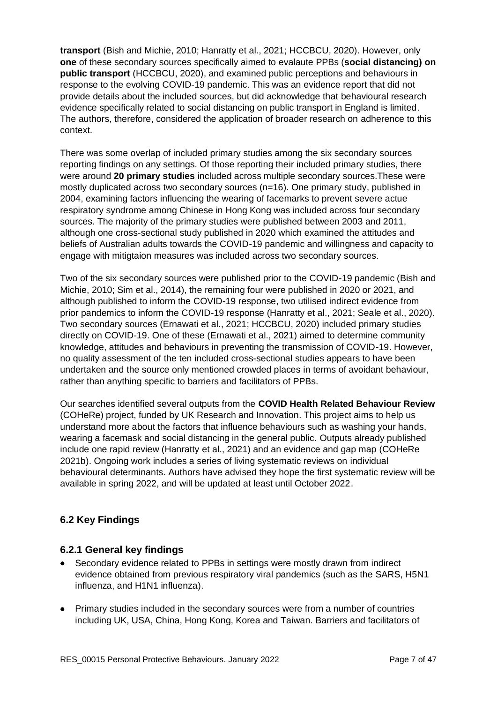**transport** (Bish and Michie, 2010; Hanratty et al., 2021; HCCBCU, 2020). However, only **one** of these secondary sources specifically aimed to evalaute PPBs (**social distancing) on public transport** (HCCBCU, 2020), and examined public perceptions and behaviours in response to the evolving COVID-19 pandemic. This was an evidence report that did not provide details about the included sources, but did acknowledge that behavioural research evidence specifically related to social distancing on public transport in England is limited. The authors, therefore, considered the application of broader research on adherence to this context.

There was some overlap of included primary studies among the six secondary sources reporting findings on any settings. Of those reporting their included primary studies, there were around **20 primary studies** included across multiple secondary sources.These were mostly duplicated across two secondary sources (n=16). One primary study, published in 2004, examining factors influencing the wearing of facemarks to prevent severe actue respiratory syndrome among Chinese in Hong Kong was included across four secondary sources. The majority of the primary studies were published between 2003 and 2011, although one cross-sectional study published in 2020 which examined the attitudes and beliefs of Australian adults towards the COVID-19 pandemic and willingness and capacity to engage with mitigtaion measures was included across two secondary sources.

Two of the six secondary sources were published prior to the COVID-19 pandemic (Bish and Michie, 2010; Sim et al., 2014), the remaining four were published in 2020 or 2021, and although published to inform the COVID-19 response, two utilised indirect evidence from prior pandemics to inform the COVID-19 response (Hanratty et al., 2021; Seale et al., 2020). Two secondary sources (Ernawati et al., 2021; HCCBCU, 2020) included primary studies directly on COVID-19. One of these (Ernawati et al., 2021) aimed to determine community knowledge, attitudes and behaviours in preventing the transmission of COVID-19. However, no quality assessment of the ten included cross-sectional studies appears to have been undertaken and the source only mentioned crowded places in terms of avoidant behaviour, rather than anything specific to barriers and facilitators of PPBs.

Our searches identified several outputs from the **COVID Health Related Behaviour Review** (COHeRe) project, funded by UK Research and Innovation. This project aims to help us understand more about the factors that influence behaviours such as washing your hands, wearing a facemask and social distancing in the general public. Outputs already published include one rapid review (Hanratty et al., 2021) and an evidence and gap map (COHeRe 2021b). Ongoing work includes a series of living systematic reviews on individual behavioural determinants. Authors have advised they hope the first systematic review will be available in spring 2022, and will be updated at least until October 2022.

## <span id="page-6-0"></span>**6.2 Key Findings**

## **6.2.1 General key findings**

- Secondary evidence related to PPBs in settings were mostly drawn from indirect evidence obtained from previous respiratory viral pandemics (such as the SARS, H5N1 influenza, and H1N1 influenza).
- Primary studies included in the secondary sources were from a number of countries including UK, USA, China, Hong Kong, Korea and Taiwan. Barriers and facilitators of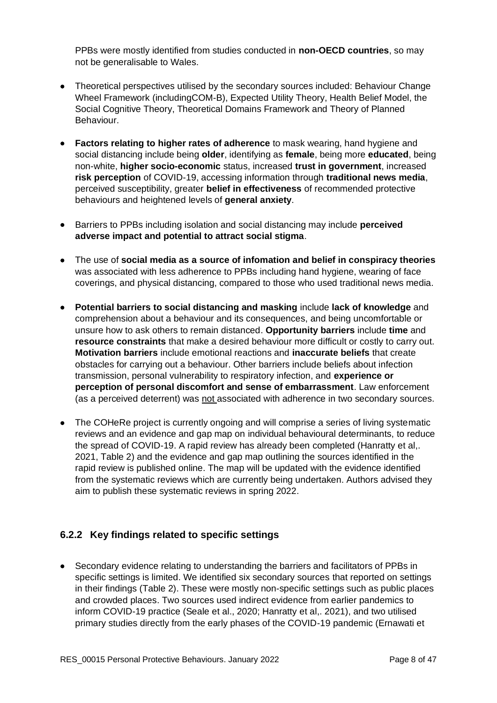PPBs were mostly identified from studies conducted in **non-OECD countries**, so may not be generalisable to Wales.

- Theoretical perspectives utilised by the secondary sources included: Behaviour Change Wheel Framework (includingCOM-B), Expected Utility Theory, Health Belief Model, the Social Cognitive Theory, Theoretical Domains Framework and Theory of Planned Behaviour.
- **Factors relating to higher rates of adherence** to mask wearing, hand hygiene and social distancing include being **older**, identifying as **female**, being more **educated**, being non-white, **higher socio-economic** status, increased **trust in government**, increased **risk perception** of COVID-19, accessing information through **traditional news media**, perceived susceptibility, greater **belief in effectiveness** of recommended protective behaviours and heightened levels of **general anxiety**.
- Barriers to PPBs including isolation and social distancing may include **perceived adverse impact and potential to attract social stigma**.
- The use of **social media as a source of infomation and belief in conspiracy theories** was associated with less adherence to PPBs including hand hygiene, wearing of face coverings, and physical distancing, compared to those who used traditional news media.
- **Potential barriers to social distancing and masking** include **lack of knowledge** and comprehension about a behaviour and its consequences, and being uncomfortable or unsure how to ask others to remain distanced. **Opportunity barriers** include **time** and **resource constraints** that make a desired behaviour more difficult or costly to carry out. **Motivation barriers** include emotional reactions and **inaccurate beliefs** that create obstacles for carrying out a behaviour. Other barriers include beliefs about infection transmission, personal vulnerability to respiratory infection, and **experience or perception of personal discomfort and sense of embarrassment**. Law enforcement (as a perceived deterrent) was not associated with adherence in two secondary sources.
- The COHeRe project is currently ongoing and will comprise a series of living systematic reviews and an evidence and gap map on individual behavioural determinants, to reduce the spread of COVID-19. A rapid review has already been completed (Hanratty et al,. 2021, Table 2) and the evidence and gap map outlining the sources identified in the rapid review is published online. The map will be updated with the evidence identified from the systematic reviews which are currently being undertaken. Authors advised they aim to publish these systematic reviews in spring 2022.

## **6.2.2 Key findings related to specific settings**

• Secondary evidence relating to understanding the barriers and facilitators of PPBs in specific settings is limited. We identified six secondary sources that reported on settings in their findings (Table 2). These were mostly non-specific settings such as public places and crowded places. Two sources used indirect evidence from earlier pandemics to inform COVID-19 practice (Seale et al., 2020; Hanratty et al,. 2021), and two utilised primary studies directly from the early phases of the COVID-19 pandemic (Ernawati et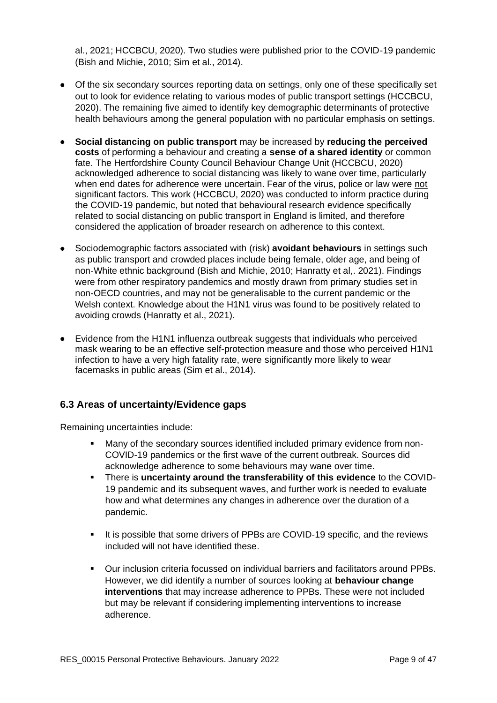al., 2021; HCCBCU, 2020). Two studies were published prior to the COVID-19 pandemic (Bish and Michie, 2010; Sim et al., 2014).

- Of the six secondary sources reporting data on settings, only one of these specifically set out to look for evidence relating to various modes of public transport settings (HCCBCU, 2020). The remaining five aimed to identify key demographic determinants of protective health behaviours among the general population with no particular emphasis on settings.
- **Social distancing on public transport** may be increased by **reducing the perceived costs** of performing a behaviour and creating a **sense of a shared identity** or common fate. The Hertfordshire County Council Behaviour Change Unit (HCCBCU, 2020) acknowledged adherence to social distancing was likely to wane over time, particularly when end dates for adherence were uncertain. Fear of the virus, police or law were not significant factors. This work (HCCBCU, 2020) was conducted to inform practice during the COVID-19 pandemic, but noted that behavioural research evidence specifically related to social distancing on public transport in England is limited, and therefore considered the application of broader research on adherence to this context.
- Sociodemographic factors associated with (risk) **avoidant behaviours** in settings such as public transport and crowded places include being female, older age, and being of non-White ethnic background (Bish and Michie, 2010; Hanratty et al,. 2021). Findings were from other respiratory pandemics and mostly drawn from primary studies set in non-OECD countries, and may not be generalisable to the current pandemic or the Welsh context. Knowledge about the H1N1 virus was found to be positively related to avoiding crowds (Hanratty et al., 2021).
- Evidence from the H1N1 influenza outbreak suggests that individuals who perceived mask wearing to be an effective self-protection measure and those who perceived H1N1 infection to have a very high fatality rate, were significantly more likely to wear facemasks in public areas (Sim et al., 2014).

## <span id="page-8-0"></span>**6.3 Areas of uncertainty/Evidence gaps**

Remaining uncertainties include:

- Many of the secondary sources identified included primary evidence from non-COVID-19 pandemics or the first wave of the current outbreak. Sources did acknowledge adherence to some behaviours may wane over time.
- There is **uncertainty around the transferability of this evidence** to the COVID-19 pandemic and its subsequent waves, and further work is needed to evaluate how and what determines any changes in adherence over the duration of a pandemic.
- It is possible that some drivers of PPBs are COVID-19 specific, and the reviews included will not have identified these.
- Our inclusion criteria focussed on individual barriers and facilitators around PPBs. However, we did identify a number of sources looking at **behaviour change interventions** that may increase adherence to PPBs. These were not included but may be relevant if considering implementing interventions to increase adherence.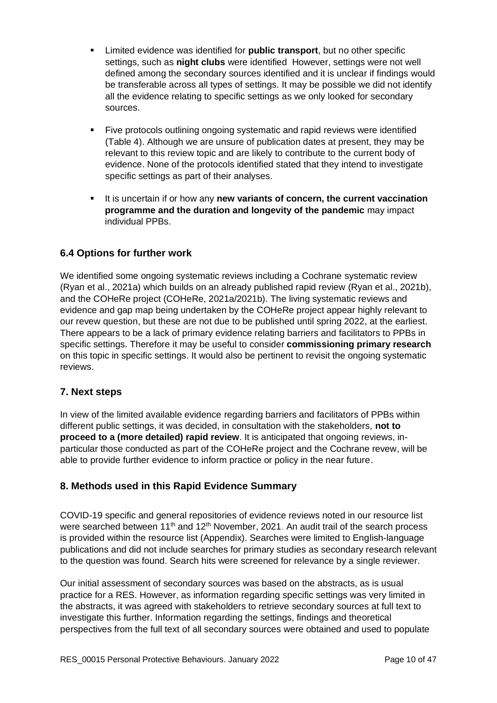- Limited evidence was identified for **public transport**, but no other specific settings, such as **night clubs** were identified However, settings were not well defined among the secondary sources identified and it is unclear if findings would be transferable across all types of settings. It may be possible we did not identify all the evidence relating to specific settings as we only looked for secondary sources.
- Five protocols outlining ongoing systematic and rapid reviews were identified (Table 4). Although we are unsure of publication dates at present, they may be relevant to this review topic and are likely to contribute to the current body of evidence. None of the protocols identified stated that they intend to investigate specific settings as part of their analyses.
- It is uncertain if or how any **new variants of concern, the current vaccination programme and the duration and longevity of the pandemic** may impact individual PPBs.

## <span id="page-9-0"></span>**6.4 Options for further work**

We identified some ongoing systematic reviews including a Cochrane systematic review (Ryan et al., 2021a) which builds on an already published rapid review (Ryan et al., 2021b), and the COHeRe project (COHeRe, 2021a/2021b). The living systematic reviews and evidence and gap map being undertaken by the COHeRe project appear highly relevant to our revew question, but these are not due to be published until spring 2022, at the earliest. There appears to be a lack of primary evidence relating barriers and facilitators to PPBs in specific settings. Therefore it may be useful to consider **commissioning primary research** on this topic in specific settings. It would also be pertinent to revisit the ongoing systematic reviews.

## <span id="page-9-1"></span>**7. Next steps**

In view of the limited available evidence regarding barriers and facilitators of PPBs within different public settings, it was decided, in consultation with the stakeholders, **not to proceed to a (more detailed) rapid review**. It is anticipated that ongoing reviews, inparticular those conducted as part of the COHeRe project and the Cochrane revew, will be able to provide further evidence to inform practice or policy in the near future.

## <span id="page-9-2"></span>**8. Methods used in this Rapid Evidence Summary**

COVID-19 specific and general repositories of evidence reviews noted in our resource list were searched between 11<sup>th</sup> and 12<sup>th</sup> November, 2021. An audit trail of the search process is provided within the resource list (Appendix). Searches were limited to English-language publications and did not include searches for primary studies as secondary research relevant to the question was found. Search hits were screened for relevance by a single reviewer.

Our initial assessment of secondary sources was based on the abstracts, as is usual practice for a RES. However, as information regarding specific settings was very limited in the abstracts, it was agreed with stakeholders to retrieve secondary sources at full text to investigate this further. Information regarding the settings, findings and theoretical perspectives from the full text of all secondary sources were obtained and used to populate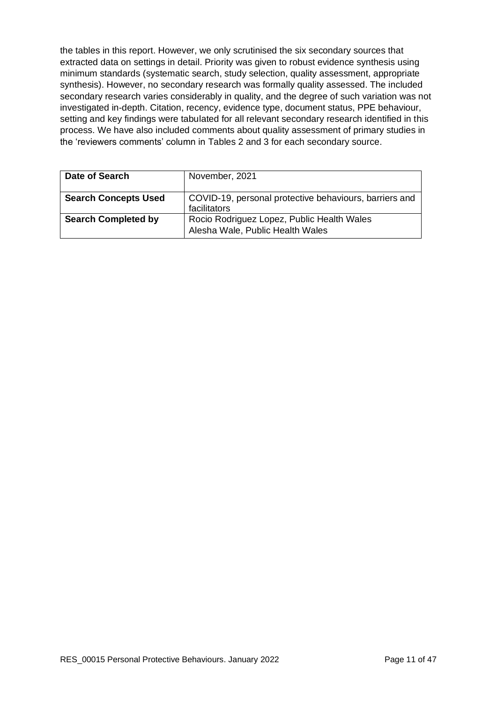the tables in this report. However, we only scrutinised the six secondary sources that extracted data on settings in detail. Priority was given to robust evidence synthesis using minimum standards (systematic search, study selection, quality assessment, appropriate synthesis). However, no secondary research was formally quality assessed. The included secondary research varies considerably in quality, and the degree of such variation was not investigated in-depth. Citation, recency, evidence type, document status, PPE behaviour, setting and key findings were tabulated for all relevant secondary research identified in this process. We have also included comments about quality assessment of primary studies in the 'reviewers comments' column in Tables 2 and 3 for each secondary source.

| Date of Search              | November, 2021                                                                 |
|-----------------------------|--------------------------------------------------------------------------------|
| <b>Search Concepts Used</b> | COVID-19, personal protective behaviours, barriers and<br>facilitators         |
| <b>Search Completed by</b>  | Rocio Rodriguez Lopez, Public Health Wales<br>Alesha Wale, Public Health Wales |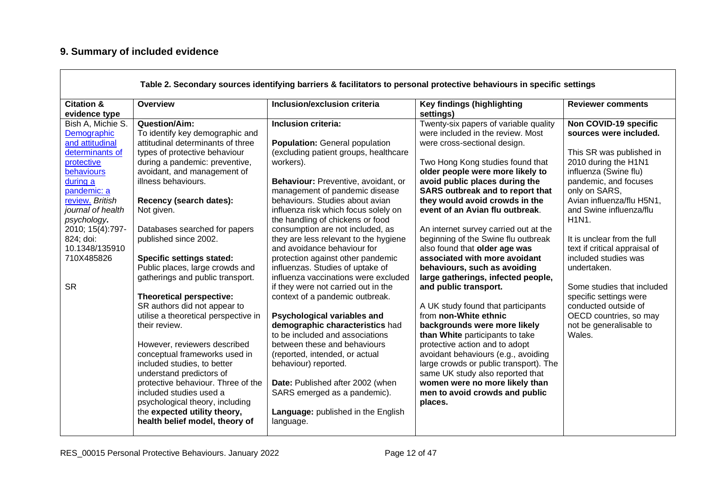# **9. Summary of included evidence**

<span id="page-11-0"></span>

| <b>Citation &amp;</b><br>Overview<br>Inclusion/exclusion criteria<br>Key findings (highlighting<br>evidence type<br>settings)<br>Inclusion criteria:<br>Twenty-six papers of variable quality<br>Bish A, Michie S.<br>Question/Aim:<br>To identify key demographic and<br>were included in the review. Most<br>Demographic                                                                                                                                                                                                                                                                                                                                                                                                                                                                                                                                                                                                                                                                                                                                                                                                                                                                                                                                                                                                                                                                                                                                                                                                                                                                                                                                                                                                                                                                                                                                                                                                                                                                                                                                                                                                                                                                                                                                                                                                                                                                                                                                                                                                                                                                                                                                                                                                                                                                                                                      | <b>Reviewer comments</b><br>Non COVID-19 specific                                                                                                                                                                                                                                                                                                                                                                                                                    |
|-------------------------------------------------------------------------------------------------------------------------------------------------------------------------------------------------------------------------------------------------------------------------------------------------------------------------------------------------------------------------------------------------------------------------------------------------------------------------------------------------------------------------------------------------------------------------------------------------------------------------------------------------------------------------------------------------------------------------------------------------------------------------------------------------------------------------------------------------------------------------------------------------------------------------------------------------------------------------------------------------------------------------------------------------------------------------------------------------------------------------------------------------------------------------------------------------------------------------------------------------------------------------------------------------------------------------------------------------------------------------------------------------------------------------------------------------------------------------------------------------------------------------------------------------------------------------------------------------------------------------------------------------------------------------------------------------------------------------------------------------------------------------------------------------------------------------------------------------------------------------------------------------------------------------------------------------------------------------------------------------------------------------------------------------------------------------------------------------------------------------------------------------------------------------------------------------------------------------------------------------------------------------------------------------------------------------------------------------------------------------------------------------------------------------------------------------------------------------------------------------------------------------------------------------------------------------------------------------------------------------------------------------------------------------------------------------------------------------------------------------------------------------------------------------------------------------------------------------|----------------------------------------------------------------------------------------------------------------------------------------------------------------------------------------------------------------------------------------------------------------------------------------------------------------------------------------------------------------------------------------------------------------------------------------------------------------------|
|                                                                                                                                                                                                                                                                                                                                                                                                                                                                                                                                                                                                                                                                                                                                                                                                                                                                                                                                                                                                                                                                                                                                                                                                                                                                                                                                                                                                                                                                                                                                                                                                                                                                                                                                                                                                                                                                                                                                                                                                                                                                                                                                                                                                                                                                                                                                                                                                                                                                                                                                                                                                                                                                                                                                                                                                                                                 |                                                                                                                                                                                                                                                                                                                                                                                                                                                                      |
| and attitudinal<br>attitudinal determinants of three<br><b>Population:</b> General population<br>were cross-sectional design.<br>determinants of<br>types of protective behaviour<br>(excluding patient groups, healthcare<br>protective<br>during a pandemic: preventive,<br>workers).<br>Two Hong Kong studies found that<br>behaviours<br>avoidant, and management of<br>older people were more likely to<br>avoid public places during the<br>illness behaviours.<br>Behaviour: Preventive, avoidant, or<br>during a<br><b>SARS outbreak and to report that</b><br>pandemic: a<br>management of pandemic disease<br>they would avoid crowds in the<br>Recency (search dates):<br>behaviours. Studies about avian<br>review. British<br>event of an Avian flu outbreak.<br>journal of health<br>Not given.<br>influenza risk which focus solely on<br>the handling of chickens or food<br>psychology.<br>2010; 15(4):797-<br>Databases searched for papers<br>consumption are not included, as<br>An internet survey carried out at the<br>they are less relevant to the hygiene<br>beginning of the Swine flu outbreak<br>824; doi:<br>published since 2002.<br>10.1348/135910<br>and avoidance behaviour for<br>also found that older age was<br>710X485826<br><b>Specific settings stated:</b><br>associated with more avoidant<br>protection against other pandemic<br>Public places, large crowds and<br>influenzas. Studies of uptake of<br>behaviours, such as avoiding<br>gatherings and public transport.<br>influenza vaccinations were excluded<br>large gatherings, infected people,<br><b>SR</b><br>if they were not carried out in the<br>and public transport.<br><b>Theoretical perspective:</b><br>context of a pandemic outbreak.<br>SR authors did not appear to<br>A UK study found that participants<br>from non-White ethnic<br>utilise a theoretical perspective in<br>Psychological variables and<br>demographic characteristics had<br>backgrounds were more likely<br>their review.<br>to be included and associations<br>than White participants to take<br>However, reviewers described<br>protective action and to adopt<br>between these and behaviours<br>conceptual frameworks used in<br>avoidant behaviours (e.g., avoiding<br>(reported, intended, or actual<br>included studies, to better<br>large crowds or public transport). The<br>behaviour) reported.<br>understand predictors of<br>same UK study also reported that<br>protective behaviour. Three of the<br>Date: Published after 2002 (when<br>women were no more likely than<br>SARS emerged as a pandemic).<br>included studies used a<br>men to avoid crowds and public<br>psychological theory, including<br>places.<br>the expected utility theory,<br>Language: published in the English<br>health belief model, theory of<br>language. | sources were included.<br>This SR was published in<br>2010 during the H1N1<br>influenza (Swine flu)<br>pandemic, and focuses<br>only on SARS,<br>Avian influenza/flu H5N1,<br>and Swine influenza/flu<br>H1N1.<br>It is unclear from the full<br>text if critical appraisal of<br>included studies was<br>undertaken.<br>Some studies that included<br>specific settings were<br>conducted outside of<br>OECD countries, so may<br>not be generalisable to<br>Wales. |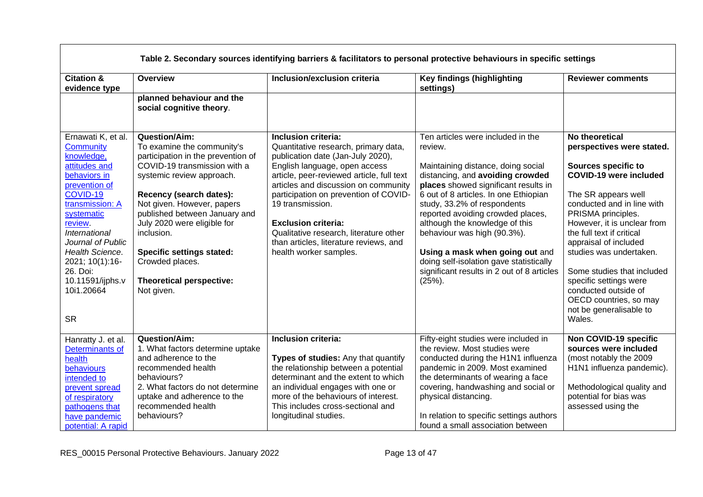| <b>Citation &amp;</b><br>evidence type                                                                                                                                                                                                                                                                                      | Overview<br>planned behaviour and the<br>social cognitive theory.                                                                                                                                                                                                                                                                                                                                              | Inclusion/exclusion criteria                                                                                                                                                                                                                                                                                                                                                                                                                           | Key findings (highlighting<br>settings)                                                                                                                                                                                                                                                                                                                                                                                                                                                                                       | <b>Reviewer comments</b>                                                                                                                                                                                                                                                                                                                                                                                                                                               |
|-----------------------------------------------------------------------------------------------------------------------------------------------------------------------------------------------------------------------------------------------------------------------------------------------------------------------------|----------------------------------------------------------------------------------------------------------------------------------------------------------------------------------------------------------------------------------------------------------------------------------------------------------------------------------------------------------------------------------------------------------------|--------------------------------------------------------------------------------------------------------------------------------------------------------------------------------------------------------------------------------------------------------------------------------------------------------------------------------------------------------------------------------------------------------------------------------------------------------|-------------------------------------------------------------------------------------------------------------------------------------------------------------------------------------------------------------------------------------------------------------------------------------------------------------------------------------------------------------------------------------------------------------------------------------------------------------------------------------------------------------------------------|------------------------------------------------------------------------------------------------------------------------------------------------------------------------------------------------------------------------------------------------------------------------------------------------------------------------------------------------------------------------------------------------------------------------------------------------------------------------|
| Ernawati K, et al.<br><b>Community</b><br>knowledge,<br>attitudes and<br>behaviors in<br>prevention of<br>COVID-19<br>transmission: A<br>systematic<br>review.<br>International<br>Journal of Public<br>Health Science.<br>2021; 10(1):16-<br>26. Doi:<br>10.11591/ijphs.v<br>10i1.20664<br><b>SR</b><br>Hanratty J. et al. | Question/Aim:<br>To examine the community's<br>participation in the prevention of<br>COVID-19 transmission with a<br>systemic review approach.<br>Recency (search dates):<br>Not given. However, papers<br>published between January and<br>July 2020 were eligible for<br>inclusion.<br><b>Specific settings stated:</b><br>Crowded places.<br>Theoretical perspective:<br>Not given.<br><b>Question/Aim:</b> | Inclusion criteria:<br>Quantitative research, primary data,<br>publication date (Jan-July 2020),<br>English language, open access<br>article, peer-reviewed article, full text<br>articles and discussion on community<br>participation on prevention of COVID-<br>19 transmission.<br><b>Exclusion criteria:</b><br>Qualitative research, literature other<br>than articles, literature reviews, and<br>health worker samples.<br>Inclusion criteria: | Ten articles were included in the<br>review.<br>Maintaining distance, doing social<br>distancing, and avoiding crowded<br>places showed significant results in<br>6 out of 8 articles. In one Ethiopian<br>study, 33.2% of respondents<br>reported avoiding crowded places,<br>although the knowledge of this<br>behaviour was high (90.3%).<br>Using a mask when going out and<br>doing self-isolation gave statistically<br>significant results in 2 out of 8 articles<br>$(25%)$ .<br>Fifty-eight studies were included in | No theoretical<br>perspectives were stated.<br>Sources specific to<br><b>COVID-19 were included</b><br>The SR appears well<br>conducted and in line with<br>PRISMA principles.<br>However, it is unclear from<br>the full text if critical<br>appraisal of included<br>studies was undertaken.<br>Some studies that included<br>specific settings were<br>conducted outside of<br>OECD countries, so may<br>not be generalisable to<br>Wales.<br>Non COVID-19 specific |
| Determinants of<br>health<br>behaviours<br>intended to<br>prevent spread<br>of respiratory<br>pathogens that<br>have pandemic<br>potential: A rapid                                                                                                                                                                         | 1. What factors determine uptake<br>and adherence to the<br>recommended health<br>behaviours?<br>2. What factors do not determine<br>uptake and adherence to the<br>recommended health<br>behaviours?                                                                                                                                                                                                          | Types of studies: Any that quantify<br>the relationship between a potential<br>determinant and the extent to which<br>an individual engages with one or<br>more of the behaviours of interest.<br>This includes cross-sectional and<br>longitudinal studies.                                                                                                                                                                                           | the review. Most studies were<br>conducted during the H1N1 influenza<br>pandemic in 2009. Most examined<br>the determinants of wearing a face<br>covering, handwashing and social or<br>physical distancing.<br>In relation to specific settings authors<br>found a small association between                                                                                                                                                                                                                                 | sources were included<br>(most notably the 2009<br>H1N1 influenza pandemic).<br>Methodological quality and<br>potential for bias was<br>assessed using the                                                                                                                                                                                                                                                                                                             |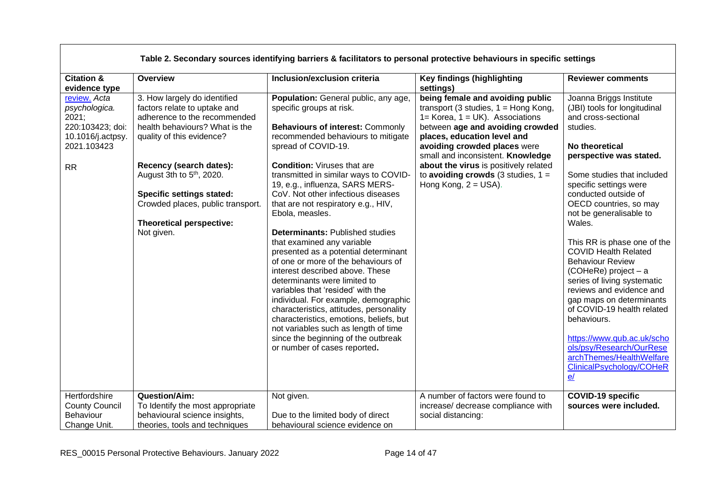|                                                                                                |                                                                                                                                                                                     | Table 2. Secondary sources identifying barriers & facilitators to personal protective behaviours in specific settings                                                                                                                                                                                                                                                                                                                                                                                                                                                                                                                                                                                                      |                                                                                                                                                                                                                                                             |                                                                                                                                                                                                                                                                                                                                                                                                                                                                                                                           |
|------------------------------------------------------------------------------------------------|-------------------------------------------------------------------------------------------------------------------------------------------------------------------------------------|----------------------------------------------------------------------------------------------------------------------------------------------------------------------------------------------------------------------------------------------------------------------------------------------------------------------------------------------------------------------------------------------------------------------------------------------------------------------------------------------------------------------------------------------------------------------------------------------------------------------------------------------------------------------------------------------------------------------------|-------------------------------------------------------------------------------------------------------------------------------------------------------------------------------------------------------------------------------------------------------------|---------------------------------------------------------------------------------------------------------------------------------------------------------------------------------------------------------------------------------------------------------------------------------------------------------------------------------------------------------------------------------------------------------------------------------------------------------------------------------------------------------------------------|
| <b>Citation &amp;</b><br>evidence type                                                         | Overview                                                                                                                                                                            | Inclusion/exclusion criteria                                                                                                                                                                                                                                                                                                                                                                                                                                                                                                                                                                                                                                                                                               | Key findings (highlighting<br>settings)                                                                                                                                                                                                                     | <b>Reviewer comments</b>                                                                                                                                                                                                                                                                                                                                                                                                                                                                                                  |
| review. Acta<br>psychologica.<br>2021;<br>220:103423; doi:<br>10.1016/j.actpsy.<br>2021.103423 | 3. How largely do identified<br>factors relate to uptake and<br>adherence to the recommended<br>health behaviours? What is the<br>quality of this evidence?                         | Population: General public, any age,<br>specific groups at risk.<br><b>Behaviours of interest: Commonly</b><br>recommended behaviours to mitigate<br>spread of COVID-19.                                                                                                                                                                                                                                                                                                                                                                                                                                                                                                                                                   | being female and avoiding public<br>transport (3 studies, $1 =$ Hong Kong,<br>$1 =$ Korea, $1 = UK$ ). Associations<br>between age and avoiding crowded<br>places, education level and<br>avoiding crowded places were<br>small and inconsistent. Knowledge | Joanna Briggs Institute<br>(JBI) tools for longitudinal<br>and cross-sectional<br>studies.<br>No theoretical<br>perspective was stated.                                                                                                                                                                                                                                                                                                                                                                                   |
| <b>RR</b>                                                                                      | Recency (search dates):<br>August 3th to 5 <sup>th</sup> , 2020.<br><b>Specific settings stated:</b><br>Crowded places, public transport.<br>Theoretical perspective:<br>Not given. | <b>Condition: Viruses that are</b><br>transmitted in similar ways to COVID-<br>19, e.g., influenza, SARS MERS-<br>CoV. Not other infectious diseases<br>that are not respiratory e.g., HIV,<br>Ebola, measles.<br><b>Determinants: Published studies</b><br>that examined any variable<br>presented as a potential determinant<br>of one or more of the behaviours of<br>interest described above. These<br>determinants were limited to<br>variables that 'resided' with the<br>individual. For example, demographic<br>characteristics, attitudes, personality<br>characteristics, emotions, beliefs, but<br>not variables such as length of time<br>since the beginning of the outbreak<br>or number of cases reported. | about the virus is positively related<br>to avoiding crowds $(3 \text{ studies}, 1 =$<br>Hong Kong, $2 = USA$ ).                                                                                                                                            | Some studies that included<br>specific settings were<br>conducted outside of<br>OECD countries, so may<br>not be generalisable to<br>Wales.<br>This RR is phase one of the<br><b>COVID Health Related</b><br><b>Behaviour Review</b><br>(COHeRe) project - a<br>series of living systematic<br>reviews and evidence and<br>gap maps on determinants<br>of COVID-19 health related<br>behaviours.<br>https://www.qub.ac.uk/scho<br>ols/psy/Research/OurRese<br>archThemes/HealthWelfare<br>ClinicalPsychology/COHeR<br>$e$ |
| Hertfordshire<br><b>County Council</b><br>Behaviour<br>Change Unit.                            | <b>Question/Aim:</b><br>To Identify the most appropriate<br>behavioural science insights,<br>theories, tools and techniques                                                         | Not given.<br>Due to the limited body of direct<br>behavioural science evidence on                                                                                                                                                                                                                                                                                                                                                                                                                                                                                                                                                                                                                                         | A number of factors were found to<br>increase/ decrease compliance with<br>social distancing:                                                                                                                                                               | <b>COVID-19 specific</b><br>sources were included.                                                                                                                                                                                                                                                                                                                                                                                                                                                                        |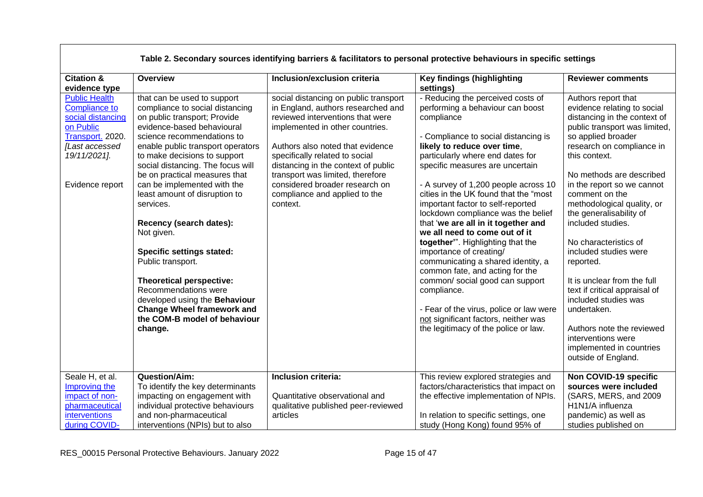| Table 2. Secondary sources identifying barriers & facilitators to personal protective behaviours in specific settings                                   |                                                                                                                                                                                                                                                                                                                                                                                                                                                                                                                                                                                                                                                           |                                                                                                                                                                                                                                                                                                                                                                                    |                                                                                                                                                                                                                                                                                                                                                                                                                                                                                                                                                                                                                                                                                                                                                                                            |                                                                                                                                                                                                                                                                                                                                                                                                                                                                                                                                                                                                                               |
|---------------------------------------------------------------------------------------------------------------------------------------------------------|-----------------------------------------------------------------------------------------------------------------------------------------------------------------------------------------------------------------------------------------------------------------------------------------------------------------------------------------------------------------------------------------------------------------------------------------------------------------------------------------------------------------------------------------------------------------------------------------------------------------------------------------------------------|------------------------------------------------------------------------------------------------------------------------------------------------------------------------------------------------------------------------------------------------------------------------------------------------------------------------------------------------------------------------------------|--------------------------------------------------------------------------------------------------------------------------------------------------------------------------------------------------------------------------------------------------------------------------------------------------------------------------------------------------------------------------------------------------------------------------------------------------------------------------------------------------------------------------------------------------------------------------------------------------------------------------------------------------------------------------------------------------------------------------------------------------------------------------------------------|-------------------------------------------------------------------------------------------------------------------------------------------------------------------------------------------------------------------------------------------------------------------------------------------------------------------------------------------------------------------------------------------------------------------------------------------------------------------------------------------------------------------------------------------------------------------------------------------------------------------------------|
| <b>Citation &amp;</b><br>evidence type                                                                                                                  | Overview                                                                                                                                                                                                                                                                                                                                                                                                                                                                                                                                                                                                                                                  | Inclusion/exclusion criteria                                                                                                                                                                                                                                                                                                                                                       | <b>Key findings (highlighting</b><br>settings)                                                                                                                                                                                                                                                                                                                                                                                                                                                                                                                                                                                                                                                                                                                                             | <b>Reviewer comments</b>                                                                                                                                                                                                                                                                                                                                                                                                                                                                                                                                                                                                      |
| <b>Public Health</b><br><b>Compliance to</b><br>social distancing<br>on Public<br>Transport. 2020.<br>[Last accessed<br>19/11/2021].<br>Evidence report | that can be used to support<br>compliance to social distancing<br>on public transport; Provide<br>evidence-based behavioural<br>science recommendations to<br>enable public transport operators<br>to make decisions to support<br>social distancing. The focus will<br>be on practical measures that<br>can be implemented with the<br>least amount of disruption to<br>services.<br>Recency (search dates):<br>Not given.<br><b>Specific settings stated:</b><br>Public transport.<br>Theoretical perspective:<br>Recommendations were<br>developed using the Behaviour<br><b>Change Wheel framework and</b><br>the COM-B model of behaviour<br>change. | social distancing on public transport<br>in England, authors researched and<br>reviewed interventions that were<br>implemented in other countries.<br>Authors also noted that evidence<br>specifically related to social<br>distancing in the context of public<br>transport was limited, therefore<br>considered broader research on<br>compliance and applied to the<br>context. | - Reducing the perceived costs of<br>performing a behaviour can boost<br>compliance<br>- Compliance to social distancing is<br>likely to reduce over time,<br>particularly where end dates for<br>specific measures are uncertain<br>- A survey of 1,200 people across 10<br>cities in the UK found that the "most<br>important factor to self-reported<br>lockdown compliance was the belief<br>that 'we are all in it together and<br>we all need to come out of it<br>together". Highlighting that the<br>importance of creating/<br>communicating a shared identity, a<br>common fate, and acting for the<br>common/ social good can support<br>compliance.<br>- Fear of the virus, police or law were<br>not significant factors, neither was<br>the legitimacy of the police or law. | Authors report that<br>evidence relating to social<br>distancing in the context of<br>public transport was limited,<br>so applied broader<br>research on compliance in<br>this context.<br>No methods are described<br>in the report so we cannot<br>comment on the<br>methodological quality, or<br>the generalisability of<br>included studies.<br>No characteristics of<br>included studies were<br>reported.<br>It is unclear from the full<br>text if critical appraisal of<br>included studies was<br>undertaken.<br>Authors note the reviewed<br>interventions were<br>implemented in countries<br>outside of England. |
| Seale H, et al.<br>Improving the<br>impact of non-<br>pharmaceutical<br>interventions<br>during COVID-                                                  | <b>Question/Aim:</b><br>To identify the key determinants<br>impacting on engagement with<br>individual protective behaviours<br>and non-pharmaceutical<br>interventions (NPIs) but to also                                                                                                                                                                                                                                                                                                                                                                                                                                                                | Inclusion criteria:<br>Quantitative observational and<br>qualitative published peer-reviewed<br>articles                                                                                                                                                                                                                                                                           | This review explored strategies and<br>factors/characteristics that impact on<br>the effective implementation of NPIs.<br>In relation to specific settings, one<br>study (Hong Kong) found 95% of                                                                                                                                                                                                                                                                                                                                                                                                                                                                                                                                                                                          | Non COVID-19 specific<br>sources were included<br>(SARS, MERS, and 2009<br>H <sub>1</sub> N <sub>1</sub> /A influenza<br>pandemic) as well as<br>studies published on                                                                                                                                                                                                                                                                                                                                                                                                                                                         |

 $\Gamma$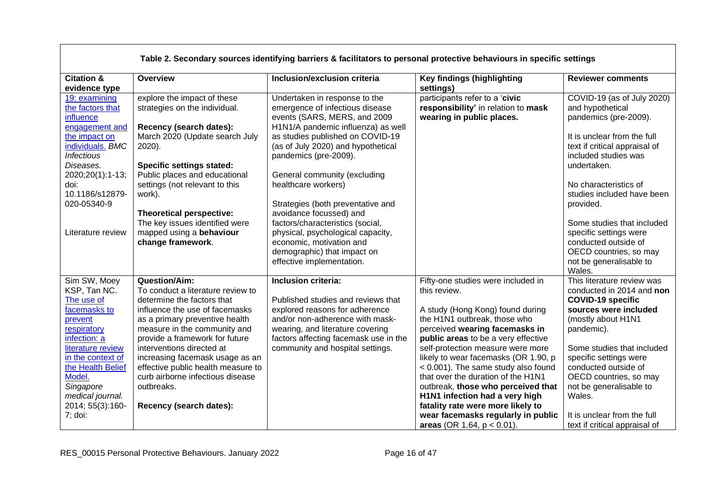|                                                                                                                                                                                                                                                 |                                                                                                                                                                                                                                                                                                                                                                                                                  |                                                                                                                                                                                                                                                                                                  | Table 2. Secondary sources identifying barriers & facilitators to personal protective behaviours in specific settings                                                                                                                                                                                                                                                                                                                                                                                        |                                                                                                                                                                                                                                                                                                                                |
|-------------------------------------------------------------------------------------------------------------------------------------------------------------------------------------------------------------------------------------------------|------------------------------------------------------------------------------------------------------------------------------------------------------------------------------------------------------------------------------------------------------------------------------------------------------------------------------------------------------------------------------------------------------------------|--------------------------------------------------------------------------------------------------------------------------------------------------------------------------------------------------------------------------------------------------------------------------------------------------|--------------------------------------------------------------------------------------------------------------------------------------------------------------------------------------------------------------------------------------------------------------------------------------------------------------------------------------------------------------------------------------------------------------------------------------------------------------------------------------------------------------|--------------------------------------------------------------------------------------------------------------------------------------------------------------------------------------------------------------------------------------------------------------------------------------------------------------------------------|
| <b>Citation &amp;</b><br>evidence type                                                                                                                                                                                                          | <b>Overview</b>                                                                                                                                                                                                                                                                                                                                                                                                  | Inclusion/exclusion criteria                                                                                                                                                                                                                                                                     | Key findings (highlighting<br>settings)                                                                                                                                                                                                                                                                                                                                                                                                                                                                      | <b>Reviewer comments</b>                                                                                                                                                                                                                                                                                                       |
| 19: examining<br>the factors that<br><i>influence</i><br>engagement and<br>the impact on<br>individuals. BMC<br><b>Infectious</b><br>Diseases.<br>2020;20(1):1-13;<br>doi:<br>10.1186/s12879-                                                   | explore the impact of these<br>strategies on the individual.<br>Recency (search dates):<br>March 2020 (Update search July<br>2020).<br><b>Specific settings stated:</b><br>Public places and educational<br>settings (not relevant to this<br>work).                                                                                                                                                             | Undertaken in response to the<br>emergence of infectious disease<br>events (SARS, MERS, and 2009<br>H1N1/A pandemic influenza) as well<br>as studies published on COVID-19<br>(as of July 2020) and hypothetical<br>pandemics (pre-2009).<br>General community (excluding<br>healthcare workers) | participants refer to a 'civic<br>responsibility' in relation to mask<br>wearing in public places.                                                                                                                                                                                                                                                                                                                                                                                                           | COVID-19 (as of July 2020)<br>and hypothetical<br>pandemics (pre-2009).<br>It is unclear from the full<br>text if critical appraisal of<br>included studies was<br>undertaken.<br>No characteristics of<br>studies included have been                                                                                          |
| 020-05340-9<br>Literature review                                                                                                                                                                                                                | <b>Theoretical perspective:</b><br>The key issues identified were<br>mapped using a behaviour<br>change framework.                                                                                                                                                                                                                                                                                               | Strategies (both preventative and<br>avoidance focussed) and<br>factors/characteristics (social,<br>physical, psychological capacity,<br>economic, motivation and<br>demographic) that impact on<br>effective implementation.                                                                    |                                                                                                                                                                                                                                                                                                                                                                                                                                                                                                              | provided.<br>Some studies that included<br>specific settings were<br>conducted outside of<br>OECD countries, so may<br>not be generalisable to<br>Wales.                                                                                                                                                                       |
| Sim SW, Moey<br>KSP, Tan NC.<br>The use of<br>facemasks to<br>prevent<br>respiratory<br>infection: a<br>literature review<br>in the context of<br>the Health Belief<br>Model.<br>Singapore<br>medical journal.<br>2014; 55(3):160-<br>$7;$ doi: | <b>Question/Aim:</b><br>To conduct a literature review to<br>determine the factors that<br>influence the use of facemasks<br>as a primary preventive health<br>measure in the community and<br>provide a framework for future<br>interventions directed at<br>increasing facemask usage as an<br>effective public health measure to<br>curb airborne infectious disease<br>outbreaks.<br>Recency (search dates): | Inclusion criteria:<br>Published studies and reviews that<br>explored reasons for adherence<br>and/or non-adherence with mask-<br>wearing, and literature covering<br>factors affecting facemask use in the<br>community and hospital settings.                                                  | Fifty-one studies were included in<br>this review.<br>A study (Hong Kong) found during<br>the H1N1 outbreak, those who<br>perceived wearing facemasks in<br>public areas to be a very effective<br>self-protection measure were more<br>likely to wear facemasks (OR 1.90, p<br>< 0.001). The same study also found<br>that over the duration of the H1N1<br>outbreak, those who perceived that<br>H1N1 infection had a very high<br>fatality rate were more likely to<br>wear facemasks regularly in public | This literature review was<br>conducted in 2014 and non<br><b>COVID-19 specific</b><br>sources were included<br>(mostly about H1N1<br>pandemic).<br>Some studies that included<br>specific settings were<br>conducted outside of<br>OECD countries, so may<br>not be generalisable to<br>Wales.<br>It is unclear from the full |
|                                                                                                                                                                                                                                                 |                                                                                                                                                                                                                                                                                                                                                                                                                  |                                                                                                                                                                                                                                                                                                  | areas (OR 1.64, $p < 0.01$ ).                                                                                                                                                                                                                                                                                                                                                                                                                                                                                | text if critical appraisal of                                                                                                                                                                                                                                                                                                  |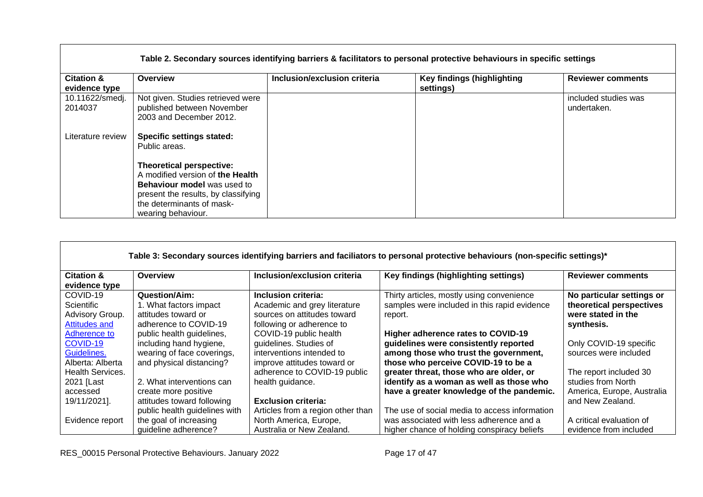|                                        |                                                                                                                                                                               |                              | Table 2. Secondary sources identifying barriers & facilitators to personal protective behaviours in specific settings |                                     |
|----------------------------------------|-------------------------------------------------------------------------------------------------------------------------------------------------------------------------------|------------------------------|-----------------------------------------------------------------------------------------------------------------------|-------------------------------------|
| <b>Citation &amp;</b><br>evidence type | Overview                                                                                                                                                                      | Inclusion/exclusion criteria | <b>Key findings (highlighting</b><br>settings)                                                                        | <b>Reviewer comments</b>            |
| 10.11622/smedj.<br>2014037             | Not given. Studies retrieved were<br>published between November<br>2003 and December 2012.                                                                                    |                              |                                                                                                                       | included studies was<br>undertaken. |
| Literature review                      | <b>Specific settings stated:</b><br>Public areas.                                                                                                                             |                              |                                                                                                                       |                                     |
|                                        | <b>Theoretical perspective:</b><br>A modified version of the Health<br><b>Behaviour model</b> was used to<br>present the results, by classifying<br>the determinants of mask- |                              |                                                                                                                       |                                     |
|                                        | wearing behaviour.                                                                                                                                                            |                              |                                                                                                                       |                                     |

| Table 3: Secondary sources identifying barriers and faciliators to personal protective behaviours (non-specific settings)* |                                                                                                                      |                                                                                                                                           |                                                                                                                                                   |                                                                                                |  |
|----------------------------------------------------------------------------------------------------------------------------|----------------------------------------------------------------------------------------------------------------------|-------------------------------------------------------------------------------------------------------------------------------------------|---------------------------------------------------------------------------------------------------------------------------------------------------|------------------------------------------------------------------------------------------------|--|
| <b>Citation &amp;</b><br>evidence type                                                                                     | Overview                                                                                                             | Inclusion/exclusion criteria                                                                                                              | Key findings (highlighting settings)                                                                                                              | <b>Reviewer comments</b>                                                                       |  |
| COVID-19<br><b>Scientific</b><br>Advisory Group.<br><b>Attitudes and</b><br>Adherence to                                   | Question/Aim:<br>1. What factors impact<br>attitudes toward or<br>adherence to COVID-19<br>public health guidelines, | Inclusion criteria:<br>Academic and grey literature<br>sources on attitudes toward<br>following or adherence to<br>COVID-19 public health | Thirty articles, mostly using convenience<br>samples were included in this rapid evidence<br>report.<br><b>Higher adherence rates to COVID-19</b> | No particular settings or<br>theoretical perspectives<br>were stated in the<br>synthesis.      |  |
| COVID-19<br>Guidelines.<br>Alberta: Alberta                                                                                | including hand hygiene,<br>wearing of face coverings,<br>and physical distancing?                                    | guidelines. Studies of<br>interventions intended to<br>improve attitudes toward or                                                        | guidelines were consistently reported<br>among those who trust the government,<br>those who perceive COVID-19 to be a                             | Only COVID-19 specific<br>sources were included                                                |  |
| <b>Health Services.</b><br>2021 [Last<br>accessed<br>19/11/2021].                                                          | 2. What interventions can<br>create more positive<br>attitudes toward following                                      | adherence to COVID-19 public<br>health guidance.<br><b>Exclusion criteria:</b>                                                            | greater threat, those who are older, or<br>identify as a woman as well as those who<br>have a greater knowledge of the pandemic.                  | The report included 30<br>studies from North<br>America, Europe, Australia<br>and New Zealand. |  |
| Evidence report                                                                                                            | public health guidelines with<br>the goal of increasing<br>quideline adherence?                                      | Articles from a region other than<br>North America, Europe,<br>Australia or New Zealand.                                                  | The use of social media to access information<br>was associated with less adherence and a<br>higher chance of holding conspiracy beliefs          | A critical evaluation of<br>evidence from included                                             |  |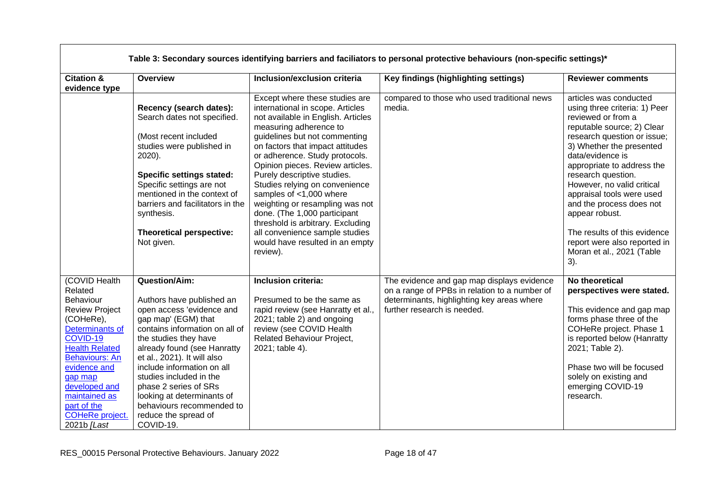|                                                                                                                                                                                                                                                                                   | Table 3: Secondary sources identifying barriers and faciliators to personal protective behaviours (non-specific settings)*                                                                                                                                                                                                                                                                                       |                                                                                                                                                                                                                                                                                                                                                                                                                                                                                                                                                                    |                                                                                                                                                                          |                                                                                                                                                                                                                                                                                                                                                                                                                                                             |  |
|-----------------------------------------------------------------------------------------------------------------------------------------------------------------------------------------------------------------------------------------------------------------------------------|------------------------------------------------------------------------------------------------------------------------------------------------------------------------------------------------------------------------------------------------------------------------------------------------------------------------------------------------------------------------------------------------------------------|--------------------------------------------------------------------------------------------------------------------------------------------------------------------------------------------------------------------------------------------------------------------------------------------------------------------------------------------------------------------------------------------------------------------------------------------------------------------------------------------------------------------------------------------------------------------|--------------------------------------------------------------------------------------------------------------------------------------------------------------------------|-------------------------------------------------------------------------------------------------------------------------------------------------------------------------------------------------------------------------------------------------------------------------------------------------------------------------------------------------------------------------------------------------------------------------------------------------------------|--|
| <b>Citation &amp;</b><br>evidence type                                                                                                                                                                                                                                            | Overview                                                                                                                                                                                                                                                                                                                                                                                                         | Inclusion/exclusion criteria                                                                                                                                                                                                                                                                                                                                                                                                                                                                                                                                       | Key findings (highlighting settings)                                                                                                                                     | <b>Reviewer comments</b>                                                                                                                                                                                                                                                                                                                                                                                                                                    |  |
|                                                                                                                                                                                                                                                                                   | Recency (search dates):<br>Search dates not specified.<br>(Most recent included<br>studies were published in<br>2020).<br><b>Specific settings stated:</b><br>Specific settings are not<br>mentioned in the context of<br>barriers and facilitators in the<br>synthesis.<br>Theoretical perspective:<br>Not given.                                                                                               | Except where these studies are<br>international in scope. Articles<br>not available in English. Articles<br>measuring adherence to<br>guidelines but not commenting<br>on factors that impact attitudes<br>or adherence. Study protocols.<br>Opinion pieces. Review articles.<br>Purely descriptive studies.<br>Studies relying on convenience<br>samples of <1,000 where<br>weighting or resampling was not<br>done. (The 1,000 participant<br>threshold is arbitrary. Excluding<br>all convenience sample studies<br>would have resulted in an empty<br>review). | compared to those who used traditional news<br>media.                                                                                                                    | articles was conducted<br>using three criteria: 1) Peer<br>reviewed or from a<br>reputable source; 2) Clear<br>research question or issue;<br>3) Whether the presented<br>data/evidence is<br>appropriate to address the<br>research question.<br>However, no valid critical<br>appraisal tools were used<br>and the process does not<br>appear robust.<br>The results of this evidence<br>report were also reported in<br>Moran et al., 2021 (Table<br>3). |  |
| (COVID Health<br>Related<br>Behaviour<br><b>Review Project</b><br>(COHeRe),<br>Determinants of<br>COVID-19<br><b>Health Related</b><br><b>Behaviours: An</b><br>evidence and<br>gap map<br>developed and<br>maintained as<br>part of the<br><b>COHeRe project.</b><br>2021b [Last | <b>Question/Aim:</b><br>Authors have published an<br>open access 'evidence and<br>gap map' (EGM) that<br>contains information on all of<br>the studies they have<br>already found (see Hanratty<br>et al., 2021). It will also<br>include information on all<br>studies included in the<br>phase 2 series of SRs<br>looking at determinants of<br>behaviours recommended to<br>reduce the spread of<br>COVID-19. | Inclusion criteria:<br>Presumed to be the same as<br>rapid review (see Hanratty et al.,<br>2021; table 2) and ongoing<br>review (see COVID Health<br>Related Behaviour Project,<br>2021; table 4).                                                                                                                                                                                                                                                                                                                                                                 | The evidence and gap map displays evidence<br>on a range of PPBs in relation to a number of<br>determinants, highlighting key areas where<br>further research is needed. | No theoretical<br>perspectives were stated.<br>This evidence and gap map<br>forms phase three of the<br>COHeRe project. Phase 1<br>is reported below (Hanratty<br>2021; Table 2).<br>Phase two will be focused<br>solely on existing and<br>emerging COVID-19<br>research.                                                                                                                                                                                  |  |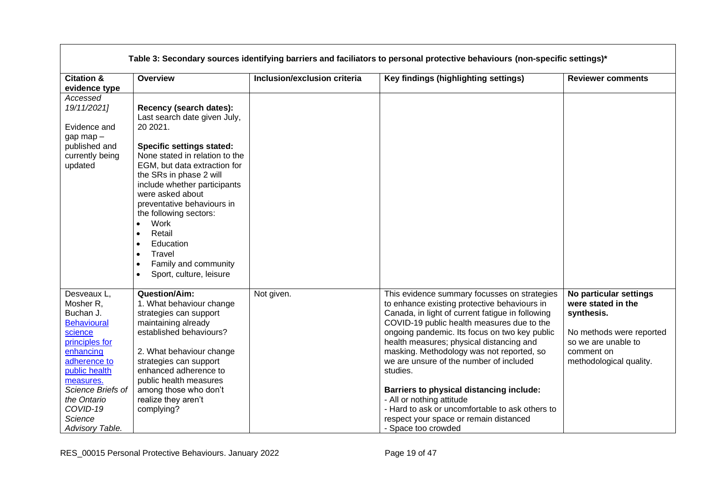| Table 3: Secondary sources identifying barriers and faciliators to personal protective behaviours (non-specific settings)*                                                                                                        |                                                                                                                                                                                                                                                                                                                                                                                                                                                                                             |                              |                                                                                                                                                                                                                                                                                                                                                                                                                                                                                                                                                                                                     |                                                                                                                                                        |
|-----------------------------------------------------------------------------------------------------------------------------------------------------------------------------------------------------------------------------------|---------------------------------------------------------------------------------------------------------------------------------------------------------------------------------------------------------------------------------------------------------------------------------------------------------------------------------------------------------------------------------------------------------------------------------------------------------------------------------------------|------------------------------|-----------------------------------------------------------------------------------------------------------------------------------------------------------------------------------------------------------------------------------------------------------------------------------------------------------------------------------------------------------------------------------------------------------------------------------------------------------------------------------------------------------------------------------------------------------------------------------------------------|--------------------------------------------------------------------------------------------------------------------------------------------------------|
| <b>Citation &amp;</b><br>evidence type                                                                                                                                                                                            | Overview                                                                                                                                                                                                                                                                                                                                                                                                                                                                                    | Inclusion/exclusion criteria | Key findings (highlighting settings)                                                                                                                                                                                                                                                                                                                                                                                                                                                                                                                                                                | <b>Reviewer comments</b>                                                                                                                               |
| Accessed<br>19/11/2021]<br>Evidence and<br>gap map -<br>published and<br>currently being<br>updated                                                                                                                               | Recency (search dates):<br>Last search date given July,<br>20 20 21.<br><b>Specific settings stated:</b><br>None stated in relation to the<br>EGM, but data extraction for<br>the SRs in phase 2 will<br>include whether participants<br>were asked about<br>preventative behaviours in<br>the following sectors:<br>Work<br>$\bullet$<br>Retail<br>$\bullet$<br>Education<br>$\bullet$<br>Travel<br>$\bullet$<br>Family and community<br>$\bullet$<br>Sport, culture, leisure<br>$\bullet$ |                              |                                                                                                                                                                                                                                                                                                                                                                                                                                                                                                                                                                                                     |                                                                                                                                                        |
| Desveaux L,<br>Mosher R,<br>Buchan J.<br><b>Behavioural</b><br>science<br>principles for<br>enhancing<br>adherence to<br>public health<br>measures.<br>Science Briefs of<br>the Ontario<br>COVID-19<br>Science<br>Advisory Table. | <b>Question/Aim:</b><br>1. What behaviour change<br>strategies can support<br>maintaining already<br>established behaviours?<br>2. What behaviour change<br>strategies can support<br>enhanced adherence to<br>public health measures<br>among those who don't<br>realize they aren't<br>complying?                                                                                                                                                                                         | Not given.                   | This evidence summary focusses on strategies<br>to enhance existing protective behaviours in<br>Canada, in light of current fatigue in following<br>COVID-19 public health measures due to the<br>ongoing pandemic. Its focus on two key public<br>health measures; physical distancing and<br>masking. Methodology was not reported, so<br>we are unsure of the number of included<br>studies.<br><b>Barriers to physical distancing include:</b><br>- All or nothing attitude<br>- Hard to ask or uncomfortable to ask others to<br>respect your space or remain distanced<br>- Space too crowded | No particular settings<br>were stated in the<br>synthesis.<br>No methods were reported<br>so we are unable to<br>comment on<br>methodological quality. |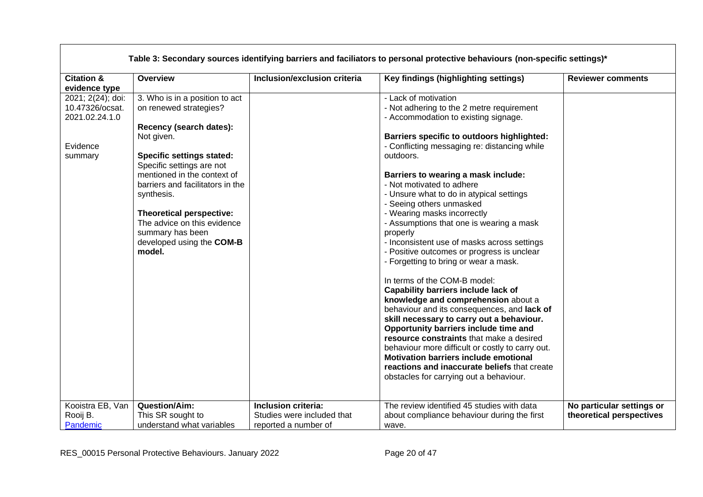| Table 3: Secondary sources identifying barriers and faciliators to personal protective behaviours (non-specific settings)* |                                                                                                                                                                                                                                                                                                                                                                           |                                                                           |                                                                                                                                                                                                                                                                                                                                                                                                                                                                                                                                                                                                                                                                                                                                                                                                                                                                                                                                                                                                                                                                                      |                                                       |
|----------------------------------------------------------------------------------------------------------------------------|---------------------------------------------------------------------------------------------------------------------------------------------------------------------------------------------------------------------------------------------------------------------------------------------------------------------------------------------------------------------------|---------------------------------------------------------------------------|--------------------------------------------------------------------------------------------------------------------------------------------------------------------------------------------------------------------------------------------------------------------------------------------------------------------------------------------------------------------------------------------------------------------------------------------------------------------------------------------------------------------------------------------------------------------------------------------------------------------------------------------------------------------------------------------------------------------------------------------------------------------------------------------------------------------------------------------------------------------------------------------------------------------------------------------------------------------------------------------------------------------------------------------------------------------------------------|-------------------------------------------------------|
| <b>Citation &amp;</b>                                                                                                      | Overview                                                                                                                                                                                                                                                                                                                                                                  | Inclusion/exclusion criteria                                              | Key findings (highlighting settings)                                                                                                                                                                                                                                                                                                                                                                                                                                                                                                                                                                                                                                                                                                                                                                                                                                                                                                                                                                                                                                                 | <b>Reviewer comments</b>                              |
| evidence type<br>2021; 2(24); doi:<br>10.47326/ocsat.<br>2021.02.24.1.0<br>Evidence<br>summary                             | 3. Who is in a position to act<br>on renewed strategies?<br>Recency (search dates):<br>Not given.<br><b>Specific settings stated:</b><br>Specific settings are not<br>mentioned in the context of<br>barriers and facilitators in the<br>synthesis.<br>Theoretical perspective:<br>The advice on this evidence<br>summary has been<br>developed using the COM-B<br>model. |                                                                           | - Lack of motivation<br>- Not adhering to the 2 metre requirement<br>- Accommodation to existing signage.<br>Barriers specific to outdoors highlighted:<br>- Conflicting messaging re: distancing while<br>outdoors.<br>Barriers to wearing a mask include:<br>- Not motivated to adhere<br>- Unsure what to do in atypical settings<br>- Seeing others unmasked<br>- Wearing masks incorrectly<br>- Assumptions that one is wearing a mask<br>properly<br>- Inconsistent use of masks across settings<br>- Positive outcomes or progress is unclear<br>- Forgetting to bring or wear a mask.<br>In terms of the COM-B model:<br>Capability barriers include lack of<br>knowledge and comprehension about a<br>behaviour and its consequences, and lack of<br>skill necessary to carry out a behaviour.<br>Opportunity barriers include time and<br>resource constraints that make a desired<br>behaviour more difficult or costly to carry out.<br>Motivation barriers include emotional<br>reactions and inaccurate beliefs that create<br>obstacles for carrying out a behaviour. |                                                       |
| Kooistra EB, Van<br>Rooij B.<br>Pandemic                                                                                   | <b>Question/Aim:</b><br>This SR sought to<br>understand what variables                                                                                                                                                                                                                                                                                                    | Inclusion criteria:<br>Studies were included that<br>reported a number of | The review identified 45 studies with data<br>about compliance behaviour during the first<br>wave.                                                                                                                                                                                                                                                                                                                                                                                                                                                                                                                                                                                                                                                                                                                                                                                                                                                                                                                                                                                   | No particular settings or<br>theoretical perspectives |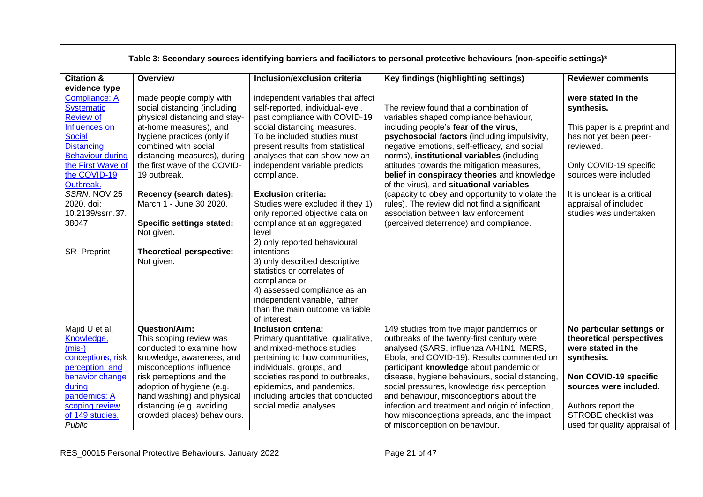| Table 3: Secondary sources identifying barriers and faciliators to personal protective behaviours (non-specific settings)*                                                                                                              |                               |  |  |  |
|-----------------------------------------------------------------------------------------------------------------------------------------------------------------------------------------------------------------------------------------|-------------------------------|--|--|--|
| <b>Citation &amp;</b><br><b>Overview</b><br>Inclusion/exclusion criteria<br>Key findings (highlighting settings)                                                                                                                        | <b>Reviewer comments</b>      |  |  |  |
| evidence type                                                                                                                                                                                                                           |                               |  |  |  |
| made people comply with<br>independent variables that affect<br><b>Compliance: A</b>                                                                                                                                                    | were stated in the            |  |  |  |
| <b>Systematic</b><br>social distancing (including<br>The review found that a combination of<br>self-reported, individual-level,                                                                                                         | synthesis.                    |  |  |  |
| <b>Review of</b><br>physical distancing and stay-<br>past compliance with COVID-19<br>variables shaped compliance behaviour,                                                                                                            |                               |  |  |  |
| at-home measures), and<br>social distancing measures.<br>including people's fear of the virus,<br>Influences on                                                                                                                         | This paper is a preprint and  |  |  |  |
| <b>Social</b><br>To be included studies must<br>psychosocial factors (including impulsivity,<br>hygiene practices (only if                                                                                                              | has not yet been peer-        |  |  |  |
| combined with social<br><b>Distancing</b><br>present results from statistical<br>negative emotions, self-efficacy, and social                                                                                                           | reviewed.                     |  |  |  |
| <b>Behaviour during</b><br>norms), institutional variables (including<br>distancing measures), during<br>analyses that can show how an                                                                                                  |                               |  |  |  |
| the first wave of the COVID-<br>the First Wave of<br>independent variable predicts<br>attitudes towards the mitigation measures,                                                                                                        | Only COVID-19 specific        |  |  |  |
| the COVID-19<br>19 outbreak.<br>compliance.<br>belief in conspiracy theories and knowledge<br>Outbreak.                                                                                                                                 | sources were included         |  |  |  |
| of the virus), and situational variables<br>SSRN. NOV 25<br>(capacity to obey and opportunity to violate the<br>Recency (search dates):<br><b>Exclusion criteria:</b>                                                                   | It is unclear is a critical   |  |  |  |
| 2020. doi:<br>March 1 - June 30 2020.<br>rules). The review did not find a significant<br>Studies were excluded if they 1)                                                                                                              | appraisal of included         |  |  |  |
| 10.2139/ssrn.37.<br>only reported objective data on<br>association between law enforcement                                                                                                                                              | studies was undertaken        |  |  |  |
| 38047<br><b>Specific settings stated:</b><br>compliance at an aggregated<br>(perceived deterrence) and compliance.                                                                                                                      |                               |  |  |  |
| Not given.<br>level                                                                                                                                                                                                                     |                               |  |  |  |
| 2) only reported behavioural                                                                                                                                                                                                            |                               |  |  |  |
| <b>SR Preprint</b><br>Theoretical perspective:<br>intentions                                                                                                                                                                            |                               |  |  |  |
| 3) only described descriptive<br>Not given.                                                                                                                                                                                             |                               |  |  |  |
| statistics or correlates of                                                                                                                                                                                                             |                               |  |  |  |
| compliance or                                                                                                                                                                                                                           |                               |  |  |  |
| 4) assessed compliance as an                                                                                                                                                                                                            |                               |  |  |  |
| independent variable, rather                                                                                                                                                                                                            |                               |  |  |  |
| than the main outcome variable                                                                                                                                                                                                          |                               |  |  |  |
| of interest.                                                                                                                                                                                                                            |                               |  |  |  |
| Majid U et al.<br>Question/Aim:<br>Inclusion criteria:<br>149 studies from five major pandemics or                                                                                                                                      | No particular settings or     |  |  |  |
| Knowledge,<br>This scoping review was<br>outbreaks of the twenty-first century were<br>Primary quantitative, qualitative,                                                                                                               | theoretical perspectives      |  |  |  |
| $(mis-)$<br>analysed (SARS, influenza A/H1N1, MERS,<br>conducted to examine how<br>and mixed-methods studies                                                                                                                            | were stated in the            |  |  |  |
| conceptions, risk<br>Ebola, and COVID-19). Results commented on<br>knowledge, awareness, and<br>pertaining to how communities,                                                                                                          | synthesis.                    |  |  |  |
| perception, and<br>misconceptions influence<br>individuals, groups, and<br>participant knowledge about pandemic or                                                                                                                      |                               |  |  |  |
| behavior change<br>risk perceptions and the<br>societies respond to outbreaks,<br>disease, hygiene behaviours, social distancing,                                                                                                       | Non COVID-19 specific         |  |  |  |
| adoption of hygiene (e.g.<br>epidemics, and pandemics,<br>social pressures, knowledge risk perception<br>during<br>pandemics: A                                                                                                         | sources were included.        |  |  |  |
| hand washing) and physical<br>including articles that conducted<br>and behaviour, misconceptions about the<br>scoping review<br>distancing (e.g. avoiding<br>social media analyses.<br>infection and treatment and origin of infection, | Authors report the            |  |  |  |
| of 149 studies.<br>crowded places) behaviours.<br>how misconceptions spreads, and the impact                                                                                                                                            | <b>STROBE</b> checklist was   |  |  |  |
| Public<br>of misconception on behaviour.                                                                                                                                                                                                | used for quality appraisal of |  |  |  |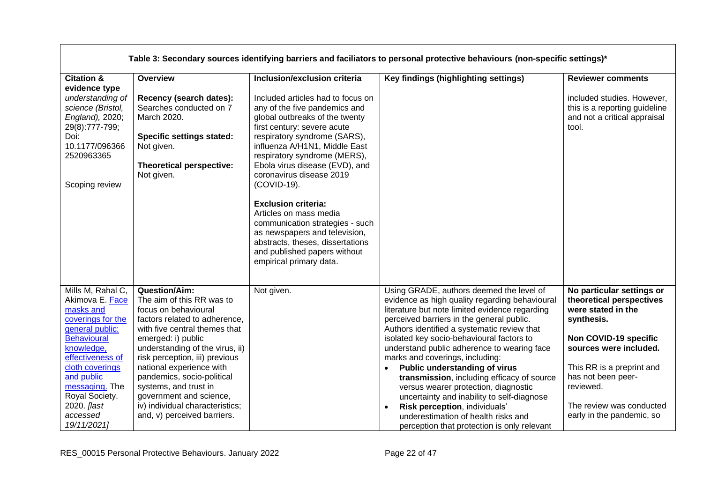|                                                                                                                                                                                                                                                                  | Table 3: Secondary sources identifying barriers and faciliators to personal protective behaviours (non-specific settings)*                                                                                                                                                                                                                                                                                             |                                                                                                                                                                                                                                                                                                                                                                                                                                                                                                                                              |                                                                                                                                                                                                                                                                                                                                                                                                                                                                                                                                                                                                                                                                                               |                                                                                                                                                                                                                                                                       |  |
|------------------------------------------------------------------------------------------------------------------------------------------------------------------------------------------------------------------------------------------------------------------|------------------------------------------------------------------------------------------------------------------------------------------------------------------------------------------------------------------------------------------------------------------------------------------------------------------------------------------------------------------------------------------------------------------------|----------------------------------------------------------------------------------------------------------------------------------------------------------------------------------------------------------------------------------------------------------------------------------------------------------------------------------------------------------------------------------------------------------------------------------------------------------------------------------------------------------------------------------------------|-----------------------------------------------------------------------------------------------------------------------------------------------------------------------------------------------------------------------------------------------------------------------------------------------------------------------------------------------------------------------------------------------------------------------------------------------------------------------------------------------------------------------------------------------------------------------------------------------------------------------------------------------------------------------------------------------|-----------------------------------------------------------------------------------------------------------------------------------------------------------------------------------------------------------------------------------------------------------------------|--|
| <b>Citation &amp;</b><br>evidence type                                                                                                                                                                                                                           | Overview                                                                                                                                                                                                                                                                                                                                                                                                               | Inclusion/exclusion criteria                                                                                                                                                                                                                                                                                                                                                                                                                                                                                                                 | Key findings (highlighting settings)                                                                                                                                                                                                                                                                                                                                                                                                                                                                                                                                                                                                                                                          | <b>Reviewer comments</b>                                                                                                                                                                                                                                              |  |
| understanding of<br>science (Bristol,<br>England), 2020;<br>29(8):777-799;<br>Doi:<br>10.1177/096366<br>2520963365<br>Scoping review                                                                                                                             | Recency (search dates):<br>Searches conducted on 7<br>March 2020.<br><b>Specific settings stated:</b><br>Not given.<br><b>Theoretical perspective:</b><br>Not given.                                                                                                                                                                                                                                                   | Included articles had to focus on<br>any of the five pandemics and<br>global outbreaks of the twenty<br>first century: severe acute<br>respiratory syndrome (SARS),<br>influenza A/H1N1, Middle East<br>respiratory syndrome (MERS),<br>Ebola virus disease (EVD), and<br>coronavirus disease 2019<br>(COVID-19).<br><b>Exclusion criteria:</b><br>Articles on mass media<br>communication strategies - such<br>as newspapers and television,<br>abstracts, theses, dissertations<br>and published papers without<br>empirical primary data. |                                                                                                                                                                                                                                                                                                                                                                                                                                                                                                                                                                                                                                                                                               | included studies. However,<br>this is a reporting guideline<br>and not a critical appraisal<br>tool.                                                                                                                                                                  |  |
| Mills M, Rahal C,<br>Akimova E. Face<br>masks and<br>coverings for the<br>general public:<br><b>Behavioural</b><br>knowledge,<br>effectiveness of<br>cloth coverings<br>and public<br>messaging. The<br>Royal Society.<br>2020. [last<br>accessed<br>19/11/2021] | <b>Question/Aim:</b><br>The aim of this RR was to<br>focus on behavioural<br>factors related to adherence,<br>with five central themes that<br>emerged: i) public<br>understanding of the virus, ii)<br>risk perception, iii) previous<br>national experience with<br>pandemics, socio-political<br>systems, and trust in<br>government and science,<br>iv) individual characteristics;<br>and, v) perceived barriers. | Not given.                                                                                                                                                                                                                                                                                                                                                                                                                                                                                                                                   | Using GRADE, authors deemed the level of<br>evidence as high quality regarding behavioural<br>literature but note limited evidence regarding<br>perceived barriers in the general public.<br>Authors identified a systematic review that<br>isolated key socio-behavioural factors to<br>understand public adherence to wearing face<br>marks and coverings, including:<br>Public understanding of virus<br>$\bullet$<br>transmission, including efficacy of source<br>versus wearer protection, diagnostic<br>uncertainty and inability to self-diagnose<br>Risk perception, individuals'<br>$\bullet$<br>underestimation of health risks and<br>perception that protection is only relevant | No particular settings or<br>theoretical perspectives<br>were stated in the<br>synthesis.<br>Non COVID-19 specific<br>sources were included.<br>This RR is a preprint and<br>has not been peer-<br>reviewed.<br>The review was conducted<br>early in the pandemic, so |  |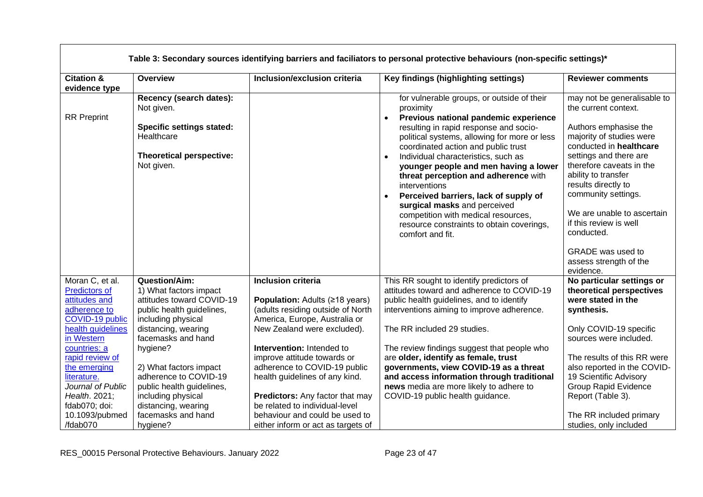|                                                                                             | Table 3: Secondary sources identifying barriers and faciliators to personal protective behaviours (non-specific settings)*        |                                                                                                                                   |                                                                                                                                                                                                                                                                                                                                                                                                                                                                                                                                                                          |                                                                                                                                                                                                                                                                                                                                      |  |
|---------------------------------------------------------------------------------------------|-----------------------------------------------------------------------------------------------------------------------------------|-----------------------------------------------------------------------------------------------------------------------------------|--------------------------------------------------------------------------------------------------------------------------------------------------------------------------------------------------------------------------------------------------------------------------------------------------------------------------------------------------------------------------------------------------------------------------------------------------------------------------------------------------------------------------------------------------------------------------|--------------------------------------------------------------------------------------------------------------------------------------------------------------------------------------------------------------------------------------------------------------------------------------------------------------------------------------|--|
| <b>Citation &amp;</b><br>evidence type                                                      | Overview                                                                                                                          | Inclusion/exclusion criteria                                                                                                      | Key findings (highlighting settings)                                                                                                                                                                                                                                                                                                                                                                                                                                                                                                                                     | <b>Reviewer comments</b>                                                                                                                                                                                                                                                                                                             |  |
| <b>RR</b> Preprint                                                                          | Recency (search dates):<br>Not given.<br><b>Specific settings stated:</b><br>Healthcare<br>Theoretical perspective:<br>Not given. |                                                                                                                                   | for vulnerable groups, or outside of their<br>proximity<br>Previous national pandemic experience<br>resulting in rapid response and socio-<br>political systems, allowing for more or less<br>coordinated action and public trust<br>Individual characteristics, such as<br>$\bullet$<br>younger people and men having a lower<br>threat perception and adherence with<br>interventions<br>Perceived barriers, lack of supply of<br>surgical masks and perceived<br>competition with medical resources,<br>resource constraints to obtain coverings,<br>comfort and fit. | may not be generalisable to<br>the current context.<br>Authors emphasise the<br>majority of studies were<br>conducted in healthcare<br>settings and there are<br>therefore caveats in the<br>ability to transfer<br>results directly to<br>community settings.<br>We are unable to ascertain<br>if this review is well<br>conducted. |  |
|                                                                                             |                                                                                                                                   |                                                                                                                                   |                                                                                                                                                                                                                                                                                                                                                                                                                                                                                                                                                                          | GRADE was used to<br>assess strength of the<br>evidence.                                                                                                                                                                                                                                                                             |  |
| Moran C, et al.<br><b>Predictors of</b><br>attitudes and<br>adherence to<br>COVID-19 public | <b>Question/Aim:</b><br>1) What factors impact<br>attitudes toward COVID-19<br>public health guidelines,<br>including physical    | <b>Inclusion criteria</b><br>Population: Adults (≥18 years)<br>(adults residing outside of North<br>America, Europe, Australia or | This RR sought to identify predictors of<br>attitudes toward and adherence to COVID-19<br>public health guidelines, and to identify<br>interventions aiming to improve adherence.                                                                                                                                                                                                                                                                                                                                                                                        | No particular settings or<br>theoretical perspectives<br>were stated in the<br>synthesis.                                                                                                                                                                                                                                            |  |
| health guidelines<br>in Western<br>countries: a                                             | distancing, wearing<br>facemasks and hand<br>hygiene?                                                                             | New Zealand were excluded).<br>Intervention: Intended to                                                                          | The RR included 29 studies.<br>The review findings suggest that people who                                                                                                                                                                                                                                                                                                                                                                                                                                                                                               | Only COVID-19 specific<br>sources were included.                                                                                                                                                                                                                                                                                     |  |
| rapid review of<br>the emerging<br>literature.<br>Journal of Public                         | 2) What factors impact<br>adherence to COVID-19<br>public health guidelines,                                                      | improve attitude towards or<br>adherence to COVID-19 public<br>health guidelines of any kind.                                     | are older, identify as female, trust<br>governments, view COVID-19 as a threat<br>and access information through traditional<br>news media are more likely to adhere to                                                                                                                                                                                                                                                                                                                                                                                                  | The results of this RR were<br>also reported in the COVID-<br>19 Scientific Advisory<br><b>Group Rapid Evidence</b>                                                                                                                                                                                                                  |  |
| Health. 2021;<br>fdab070; doi:<br>10.1093/pubmed                                            | including physical<br>distancing, wearing<br>facemasks and hand                                                                   | <b>Predictors:</b> Any factor that may<br>be related to individual-level<br>behaviour and could be used to                        | COVID-19 public health guidance.                                                                                                                                                                                                                                                                                                                                                                                                                                                                                                                                         | Report (Table 3).<br>The RR included primary                                                                                                                                                                                                                                                                                         |  |
| /fdab070                                                                                    | hygiene?                                                                                                                          | either inform or act as targets of                                                                                                |                                                                                                                                                                                                                                                                                                                                                                                                                                                                                                                                                                          | studies, only included                                                                                                                                                                                                                                                                                                               |  |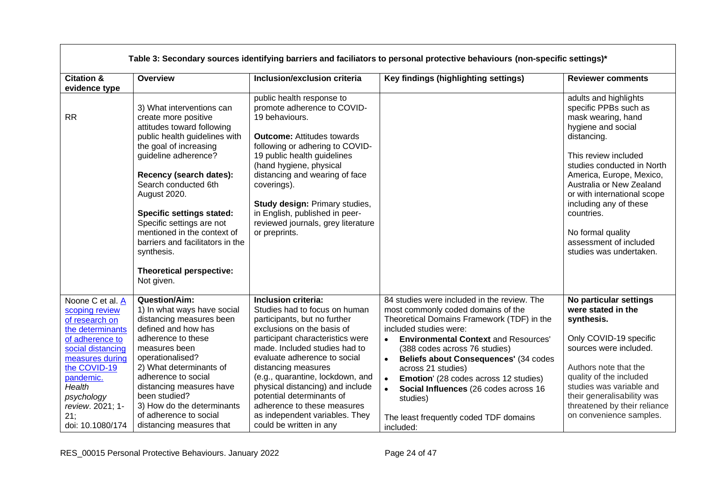| <b>Citation &amp;</b><br>evidence type                                                                                                                                                                                                  | Overview                                                                                                                                                                                                                                                                                                                                                                                                                          | Inclusion/exclusion criteria                                                                                                                                                                                                                                                                                                                                                                                                                    | Key findings (highlighting settings)                                                                                                                                                                                                                                                                                                                                                                                                                                       | <b>Reviewer comments</b>                                                                                                                                                                                                                                                                                                                                                 |
|-----------------------------------------------------------------------------------------------------------------------------------------------------------------------------------------------------------------------------------------|-----------------------------------------------------------------------------------------------------------------------------------------------------------------------------------------------------------------------------------------------------------------------------------------------------------------------------------------------------------------------------------------------------------------------------------|-------------------------------------------------------------------------------------------------------------------------------------------------------------------------------------------------------------------------------------------------------------------------------------------------------------------------------------------------------------------------------------------------------------------------------------------------|----------------------------------------------------------------------------------------------------------------------------------------------------------------------------------------------------------------------------------------------------------------------------------------------------------------------------------------------------------------------------------------------------------------------------------------------------------------------------|--------------------------------------------------------------------------------------------------------------------------------------------------------------------------------------------------------------------------------------------------------------------------------------------------------------------------------------------------------------------------|
| <b>RR</b>                                                                                                                                                                                                                               | 3) What interventions can<br>create more positive<br>attitudes toward following<br>public health guidelines with<br>the goal of increasing<br>guideline adherence?<br>Recency (search dates):<br>Search conducted 6th<br>August 2020.<br><b>Specific settings stated:</b><br>Specific settings are not<br>mentioned in the context of<br>barriers and facilitators in the<br>synthesis.<br>Theoretical perspective:<br>Not given. | public health response to<br>promote adherence to COVID-<br>19 behaviours.<br><b>Outcome:</b> Attitudes towards<br>following or adhering to COVID-<br>19 public health guidelines<br>(hand hygiene, physical<br>distancing and wearing of face<br>coverings).<br><b>Study design: Primary studies,</b><br>in English, published in peer-<br>reviewed journals, grey literature<br>or preprints.                                                 |                                                                                                                                                                                                                                                                                                                                                                                                                                                                            | adults and highlights<br>specific PPBs such as<br>mask wearing, hand<br>hygiene and social<br>distancing.<br>This review included<br>studies conducted in North<br>America, Europe, Mexico,<br>Australia or New Zealand<br>or with international scope<br>including any of these<br>countries.<br>No formal quality<br>assessment of included<br>studies was undertaken. |
| Noone C et al. A<br>scoping review<br>of research on<br>the determinants<br>of adherence to<br>social distancing<br>measures during<br>the COVID-19<br>pandemic.<br>Health<br>psychology<br>review. 2021; 1-<br>21:<br>doi: 10.1080/174 | Question/Aim:<br>1) In what ways have social<br>distancing measures been<br>defined and how has<br>adherence to these<br>measures been<br>operationalised?<br>2) What determinants of<br>adherence to social<br>distancing measures have<br>been studied?<br>3) How do the determinants<br>of adherence to social<br>distancing measures that                                                                                     | Inclusion criteria:<br>Studies had to focus on human<br>participants, but no further<br>exclusions on the basis of<br>participant characteristics were<br>made. Included studies had to<br>evaluate adherence to social<br>distancing measures<br>(e.g., quarantine, lockdown, and<br>physical distancing) and include<br>potential determinants of<br>adherence to these measures<br>as independent variables. They<br>could be written in any | 84 studies were included in the review. The<br>most commonly coded domains of the<br>Theoretical Domains Framework (TDF) in the<br>included studies were:<br><b>Environmental Context and Resources'</b><br>(388 codes across 76 studies)<br>Beliefs about Consequences' (34 codes<br>$\bullet$<br>across 21 studies)<br>Emotion' (28 codes across 12 studies)<br>Social Influences (26 codes across 16<br>studies)<br>The least frequently coded TDF domains<br>included: | No particular settings<br>were stated in the<br>synthesis.<br>Only COVID-19 specific<br>sources were included.<br>Authors note that the<br>quality of the included<br>studies was variable and<br>their generalisability was<br>threatened by their reliance<br>on convenience samples.                                                                                  |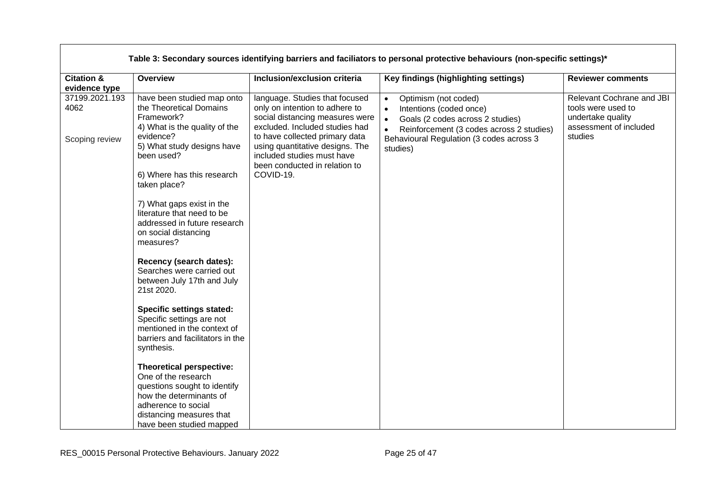|                                          | Table 3: Secondary sources identifying barriers and faciliators to personal protective behaviours (non-specific settings)*                                                                                                                                                                                                                                                                                                                                                                                                                                                          |                                                                                                                                                                                                                                                                                        |                                                                                                                                                                                                                                             |                                                                                                           |  |
|------------------------------------------|-------------------------------------------------------------------------------------------------------------------------------------------------------------------------------------------------------------------------------------------------------------------------------------------------------------------------------------------------------------------------------------------------------------------------------------------------------------------------------------------------------------------------------------------------------------------------------------|----------------------------------------------------------------------------------------------------------------------------------------------------------------------------------------------------------------------------------------------------------------------------------------|---------------------------------------------------------------------------------------------------------------------------------------------------------------------------------------------------------------------------------------------|-----------------------------------------------------------------------------------------------------------|--|
| <b>Citation &amp;</b><br>evidence type   | Overview                                                                                                                                                                                                                                                                                                                                                                                                                                                                                                                                                                            | Inclusion/exclusion criteria                                                                                                                                                                                                                                                           | Key findings (highlighting settings)                                                                                                                                                                                                        | <b>Reviewer comments</b>                                                                                  |  |
| 37199.2021.193<br>4062<br>Scoping review | have been studied map onto<br>the Theoretical Domains<br>Framework?<br>4) What is the quality of the<br>evidence?<br>5) What study designs have<br>been used?<br>6) Where has this research<br>taken place?<br>7) What gaps exist in the<br>literature that need to be<br>addressed in future research<br>on social distancing<br>measures?<br>Recency (search dates):<br>Searches were carried out<br>between July 17th and July<br>21st 2020.<br><b>Specific settings stated:</b><br>Specific settings are not<br>mentioned in the context of<br>barriers and facilitators in the | language. Studies that focused<br>only on intention to adhere to<br>social distancing measures were<br>excluded. Included studies had<br>to have collected primary data<br>using quantitative designs. The<br>included studies must have<br>been conducted in relation to<br>COVID-19. | Optimism (not coded)<br>$\bullet$<br>Intentions (coded once)<br>$\bullet$<br>Goals (2 codes across 2 studies)<br>$\bullet$<br>Reinforcement (3 codes across 2 studies)<br>$\bullet$<br>Behavioural Regulation (3 codes across 3<br>studies) | Relevant Cochrane and JBI<br>tools were used to<br>undertake quality<br>assessment of included<br>studies |  |
|                                          | synthesis.<br>Theoretical perspective:<br>One of the research                                                                                                                                                                                                                                                                                                                                                                                                                                                                                                                       |                                                                                                                                                                                                                                                                                        |                                                                                                                                                                                                                                             |                                                                                                           |  |
|                                          | questions sought to identify<br>how the determinants of<br>adherence to social<br>distancing measures that<br>have been studied mapped                                                                                                                                                                                                                                                                                                                                                                                                                                              |                                                                                                                                                                                                                                                                                        |                                                                                                                                                                                                                                             |                                                                                                           |  |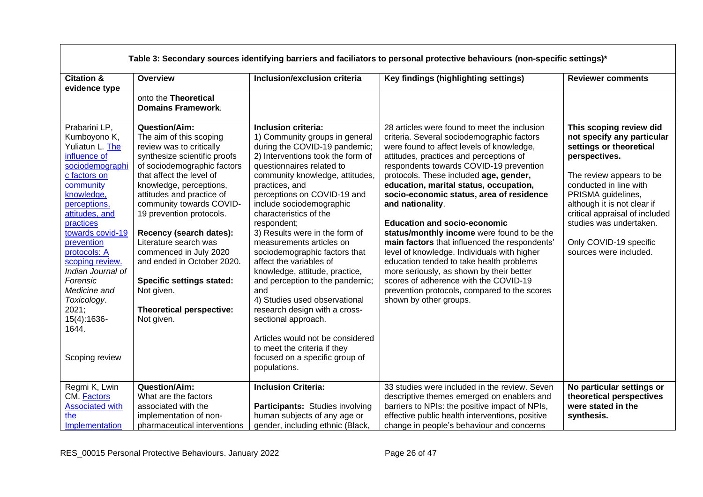|                                                                                                                                                                                                                                                                                                                                                                       | Table 3: Secondary sources identifying barriers and faciliators to personal protective behaviours (non-specific settings)*                                                                                                                                                                                                                                                                                                                                                                            |                                                                                                                                                                                                                                                                                                                                                                                                                                                                                                                                                                                                                                                                                                                                        |                                                                                                                                                                                                                                                                                                                                                                                                                                                                                                                                                                                                                                                                                                                                                                                   |                                                                                                                                                                                                                                                                                                                               |  |
|-----------------------------------------------------------------------------------------------------------------------------------------------------------------------------------------------------------------------------------------------------------------------------------------------------------------------------------------------------------------------|-------------------------------------------------------------------------------------------------------------------------------------------------------------------------------------------------------------------------------------------------------------------------------------------------------------------------------------------------------------------------------------------------------------------------------------------------------------------------------------------------------|----------------------------------------------------------------------------------------------------------------------------------------------------------------------------------------------------------------------------------------------------------------------------------------------------------------------------------------------------------------------------------------------------------------------------------------------------------------------------------------------------------------------------------------------------------------------------------------------------------------------------------------------------------------------------------------------------------------------------------------|-----------------------------------------------------------------------------------------------------------------------------------------------------------------------------------------------------------------------------------------------------------------------------------------------------------------------------------------------------------------------------------------------------------------------------------------------------------------------------------------------------------------------------------------------------------------------------------------------------------------------------------------------------------------------------------------------------------------------------------------------------------------------------------|-------------------------------------------------------------------------------------------------------------------------------------------------------------------------------------------------------------------------------------------------------------------------------------------------------------------------------|--|
| <b>Citation &amp;</b><br>evidence type                                                                                                                                                                                                                                                                                                                                | <b>Overview</b>                                                                                                                                                                                                                                                                                                                                                                                                                                                                                       | Inclusion/exclusion criteria                                                                                                                                                                                                                                                                                                                                                                                                                                                                                                                                                                                                                                                                                                           | Key findings (highlighting settings)                                                                                                                                                                                                                                                                                                                                                                                                                                                                                                                                                                                                                                                                                                                                              | <b>Reviewer comments</b>                                                                                                                                                                                                                                                                                                      |  |
|                                                                                                                                                                                                                                                                                                                                                                       | onto the Theoretical<br><b>Domains Framework.</b>                                                                                                                                                                                                                                                                                                                                                                                                                                                     |                                                                                                                                                                                                                                                                                                                                                                                                                                                                                                                                                                                                                                                                                                                                        |                                                                                                                                                                                                                                                                                                                                                                                                                                                                                                                                                                                                                                                                                                                                                                                   |                                                                                                                                                                                                                                                                                                                               |  |
| Prabarini LP,<br>Kumboyono K,<br>Yuliatun L. The<br>influence of<br>sociodemographi<br>c factors on<br>community<br>knowledge,<br>perceptions,<br>attitudes, and<br>practices<br>towards covid-19<br>prevention<br>protocols: A<br>scoping review.<br>Indian Journal of<br>Forensic<br>Medicine and<br>Toxicology.<br>2021;<br>15(4):1636-<br>1644.<br>Scoping review | <b>Question/Aim:</b><br>The aim of this scoping<br>review was to critically<br>synthesize scientific proofs<br>of sociodemographic factors<br>that affect the level of<br>knowledge, perceptions,<br>attitudes and practice of<br>community towards COVID-<br>19 prevention protocols.<br>Recency (search dates):<br>Literature search was<br>commenced in July 2020<br>and ended in October 2020.<br><b>Specific settings stated:</b><br>Not given.<br><b>Theoretical perspective:</b><br>Not given. | Inclusion criteria:<br>1) Community groups in general<br>during the COVID-19 pandemic;<br>2) Interventions took the form of<br>questionnaires related to<br>community knowledge, attitudes,<br>practices, and<br>perceptions on COVID-19 and<br>include sociodemographic<br>characteristics of the<br>respondent;<br>3) Results were in the form of<br>measurements articles on<br>sociodemographic factors that<br>affect the variables of<br>knowledge, attitude, practice,<br>and perception to the pandemic;<br>and<br>4) Studies used observational<br>research design with a cross-<br>sectional approach.<br>Articles would not be considered<br>to meet the criteria if they<br>focused on a specific group of<br>populations. | 28 articles were found to meet the inclusion<br>criteria. Several sociodemographic factors<br>were found to affect levels of knowledge,<br>attitudes, practices and perceptions of<br>respondents towards COVID-19 prevention<br>protocols. These included age, gender,<br>education, marital status, occupation,<br>socio-economic status, area of residence<br>and nationality.<br><b>Education and socio-economic</b><br>status/monthly income were found to be the<br>main factors that influenced the respondents'<br>level of knowledge. Individuals with higher<br>education tended to take health problems<br>more seriously, as shown by their better<br>scores of adherence with the COVID-19<br>prevention protocols, compared to the scores<br>shown by other groups. | This scoping review did<br>not specify any particular<br>settings or theoretical<br>perspectives.<br>The review appears to be<br>conducted in line with<br>PRISMA guidelines,<br>although it is not clear if<br>critical appraisal of included<br>studies was undertaken.<br>Only COVID-19 specific<br>sources were included. |  |
| Regmi K, Lwin<br>CM. <b>Factors</b><br><b>Associated with</b><br>the<br>Implementation                                                                                                                                                                                                                                                                                | <b>Question/Aim:</b><br>What are the factors<br>associated with the<br>implementation of non-<br>pharmaceutical interventions                                                                                                                                                                                                                                                                                                                                                                         | <b>Inclusion Criteria:</b><br>Participants: Studies involving<br>human subjects of any age or<br>gender, including ethnic (Black,                                                                                                                                                                                                                                                                                                                                                                                                                                                                                                                                                                                                      | 33 studies were included in the review. Seven<br>descriptive themes emerged on enablers and<br>barriers to NPIs: the positive impact of NPIs,<br>effective public health interventions, positive<br>change in people's behaviour and concerns                                                                                                                                                                                                                                                                                                                                                                                                                                                                                                                                     | No particular settings or<br>theoretical perspectives<br>were stated in the<br>synthesis.                                                                                                                                                                                                                                     |  |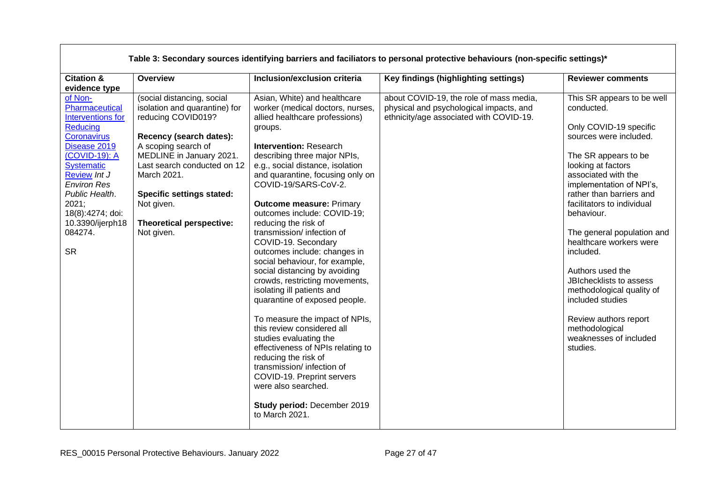| <b>Citation &amp;</b><br>Inclusion/exclusion criteria<br>Overview<br>Key findings (highlighting settings)<br><b>Reviewer comments</b><br>evidence type<br>of Non-<br>(social distancing, social<br>Asian, White) and healthcare<br>about COVID-19, the role of mass media,<br>Pharmaceutical<br>isolation and quarantine) for<br>worker (medical doctors, nurses,<br>physical and psychological impacts, and<br>conducted.<br>reducing COVID019?<br>Interventions for<br>allied healthcare professions)<br>ethnicity/age associated with COVID-19.<br>Reducing<br>Only COVID-19 specific<br>groups.<br>Coronavirus<br>sources were included.<br>Recency (search dates):<br>A scoping search of<br>Disease 2019<br><b>Intervention: Research</b><br>MEDLINE in January 2021.<br>(COVID-19): A<br>describing three major NPIs,<br>The SR appears to be<br><b>Systematic</b><br>Last search conducted on 12<br>e.g., social distance, isolation<br>looking at factors<br>Review Int J<br>March 2021.<br>and quarantine, focusing only on<br>associated with the<br>COVID-19/SARS-CoV-2.<br><b>Environ Res</b><br>implementation of NPI's,<br><b>Specific settings stated:</b><br>rather than barriers and<br>Public Health.<br>facilitators to individual<br>2021;<br>Not given.<br><b>Outcome measure: Primary</b><br>18(8):4274; doi:<br>outcomes include: COVID-19;<br>behaviour.<br>Theoretical perspective:<br>reducing the risk of<br>10.3390/ijerph18<br>084274.<br>transmission/ infection of<br>Not given.<br>healthcare workers were<br>COVID-19. Secondary<br><b>SR</b><br>included.<br>outcomes include: changes in<br>social behaviour, for example,<br>social distancing by avoiding<br>Authors used the<br>crowds, restricting movements,<br>JBIchecklists to assess<br>isolating ill patients and<br>methodological quality of<br>quarantine of exposed people.<br>included studies<br>To measure the impact of NPIs,<br>Review authors report<br>this review considered all<br>methodological<br>weaknesses of included<br>studies evaluating the<br>effectiveness of NPIs relating to<br>studies.<br>reducing the risk of<br>transmission/ infection of<br>COVID-19. Preprint servers<br>were also searched.<br>Study period: December 2019 | Table 3: Secondary sources identifying barriers and faciliators to personal protective behaviours (non-specific settings)* |  |                |  |                                                          |
|------------------------------------------------------------------------------------------------------------------------------------------------------------------------------------------------------------------------------------------------------------------------------------------------------------------------------------------------------------------------------------------------------------------------------------------------------------------------------------------------------------------------------------------------------------------------------------------------------------------------------------------------------------------------------------------------------------------------------------------------------------------------------------------------------------------------------------------------------------------------------------------------------------------------------------------------------------------------------------------------------------------------------------------------------------------------------------------------------------------------------------------------------------------------------------------------------------------------------------------------------------------------------------------------------------------------------------------------------------------------------------------------------------------------------------------------------------------------------------------------------------------------------------------------------------------------------------------------------------------------------------------------------------------------------------------------------------------------------------------------------------------------------------------------------------------------------------------------------------------------------------------------------------------------------------------------------------------------------------------------------------------------------------------------------------------------------------------------------------------------------------------------------------------------------------------------------------------------------------------------------------|----------------------------------------------------------------------------------------------------------------------------|--|----------------|--|----------------------------------------------------------|
|                                                                                                                                                                                                                                                                                                                                                                                                                                                                                                                                                                                                                                                                                                                                                                                                                                                                                                                                                                                                                                                                                                                                                                                                                                                                                                                                                                                                                                                                                                                                                                                                                                                                                                                                                                                                                                                                                                                                                                                                                                                                                                                                                                                                                                                            |                                                                                                                            |  |                |  |                                                          |
|                                                                                                                                                                                                                                                                                                                                                                                                                                                                                                                                                                                                                                                                                                                                                                                                                                                                                                                                                                                                                                                                                                                                                                                                                                                                                                                                                                                                                                                                                                                                                                                                                                                                                                                                                                                                                                                                                                                                                                                                                                                                                                                                                                                                                                                            |                                                                                                                            |  |                |  |                                                          |
|                                                                                                                                                                                                                                                                                                                                                                                                                                                                                                                                                                                                                                                                                                                                                                                                                                                                                                                                                                                                                                                                                                                                                                                                                                                                                                                                                                                                                                                                                                                                                                                                                                                                                                                                                                                                                                                                                                                                                                                                                                                                                                                                                                                                                                                            |                                                                                                                            |  | to March 2021. |  | This SR appears to be well<br>The general population and |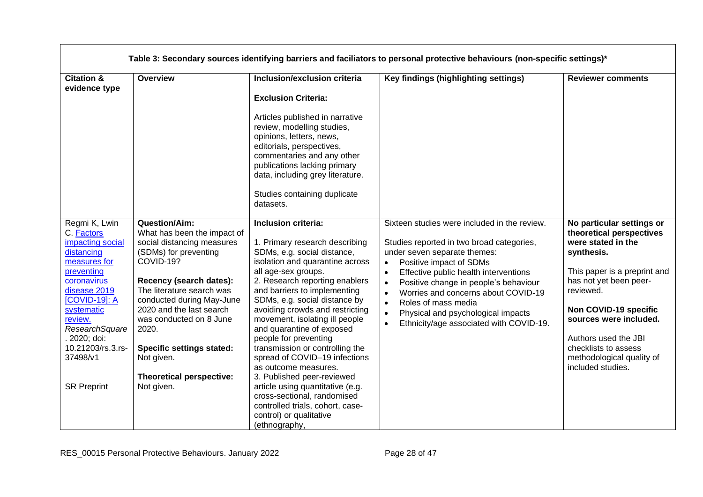| Table 3: Secondary sources identifying barriers and faciliators to personal protective behaviours (non-specific settings)*                                                                                                                                    |                                                                                                                                                                                                                                                                                                                                                                   |                                                                                                                                                                                                                                                                                                                                                                                                                                                                                                                                                                                                                                                           |                                                                                                                                                                                                                                                                                                                                                                                                                                                                                  |                                                                                                                                                                                                                                                                                                                       |
|---------------------------------------------------------------------------------------------------------------------------------------------------------------------------------------------------------------------------------------------------------------|-------------------------------------------------------------------------------------------------------------------------------------------------------------------------------------------------------------------------------------------------------------------------------------------------------------------------------------------------------------------|-----------------------------------------------------------------------------------------------------------------------------------------------------------------------------------------------------------------------------------------------------------------------------------------------------------------------------------------------------------------------------------------------------------------------------------------------------------------------------------------------------------------------------------------------------------------------------------------------------------------------------------------------------------|----------------------------------------------------------------------------------------------------------------------------------------------------------------------------------------------------------------------------------------------------------------------------------------------------------------------------------------------------------------------------------------------------------------------------------------------------------------------------------|-----------------------------------------------------------------------------------------------------------------------------------------------------------------------------------------------------------------------------------------------------------------------------------------------------------------------|
| <b>Citation &amp;</b><br>evidence type                                                                                                                                                                                                                        | Overview                                                                                                                                                                                                                                                                                                                                                          | Inclusion/exclusion criteria                                                                                                                                                                                                                                                                                                                                                                                                                                                                                                                                                                                                                              | Key findings (highlighting settings)                                                                                                                                                                                                                                                                                                                                                                                                                                             | <b>Reviewer comments</b>                                                                                                                                                                                                                                                                                              |
|                                                                                                                                                                                                                                                               |                                                                                                                                                                                                                                                                                                                                                                   | <b>Exclusion Criteria:</b><br>Articles published in narrative<br>review, modelling studies,<br>opinions, letters, news,<br>editorials, perspectives,<br>commentaries and any other<br>publications lacking primary<br>data, including grey literature.<br>Studies containing duplicate<br>datasets.                                                                                                                                                                                                                                                                                                                                                       |                                                                                                                                                                                                                                                                                                                                                                                                                                                                                  |                                                                                                                                                                                                                                                                                                                       |
| Regmi K, Lwin<br>C. Factors<br>impacting social<br>distancing<br>measures for<br>preventing<br>coronavirus<br>disease 2019<br>[COVID-19]: A<br>systematic<br>review.<br>ResearchSquare<br>. 2020; doi:<br>10.21203/rs.3.rs-<br>37498/v1<br><b>SR Preprint</b> | Question/Aim:<br>What has been the impact of<br>social distancing measures<br>(SDMs) for preventing<br>COVID-19?<br>Recency (search dates):<br>The literature search was<br>conducted during May-June<br>2020 and the last search<br>was conducted on 8 June<br>2020.<br><b>Specific settings stated:</b><br>Not given.<br>Theoretical perspective:<br>Not given. | Inclusion criteria:<br>1. Primary research describing<br>SDMs, e.g. social distance,<br>isolation and quarantine across<br>all age-sex groups.<br>2. Research reporting enablers<br>and barriers to implementing<br>SDMs, e.g. social distance by<br>avoiding crowds and restricting<br>movement, isolating ill people<br>and quarantine of exposed<br>people for preventing<br>transmission or controlling the<br>spread of COVID-19 infections<br>as outcome measures.<br>3. Published peer-reviewed<br>article using quantitative (e.g.<br>cross-sectional, randomised<br>controlled trials, cohort, case-<br>control) or qualitative<br>(ethnography, | Sixteen studies were included in the review.<br>Studies reported in two broad categories,<br>under seven separate themes:<br>Positive impact of SDMs<br>$\bullet$<br>Effective public health interventions<br>$\bullet$<br>Positive change in people's behaviour<br>$\bullet$<br>Worries and concerns about COVID-19<br>$\bullet$<br>Roles of mass media<br>$\bullet$<br>Physical and psychological impacts<br>$\bullet$<br>Ethnicity/age associated with COVID-19.<br>$\bullet$ | No particular settings or<br>theoretical perspectives<br>were stated in the<br>synthesis.<br>This paper is a preprint and<br>has not yet been peer-<br>reviewed.<br>Non COVID-19 specific<br>sources were included.<br>Authors used the JBI<br>checklists to assess<br>methodological quality of<br>included studies. |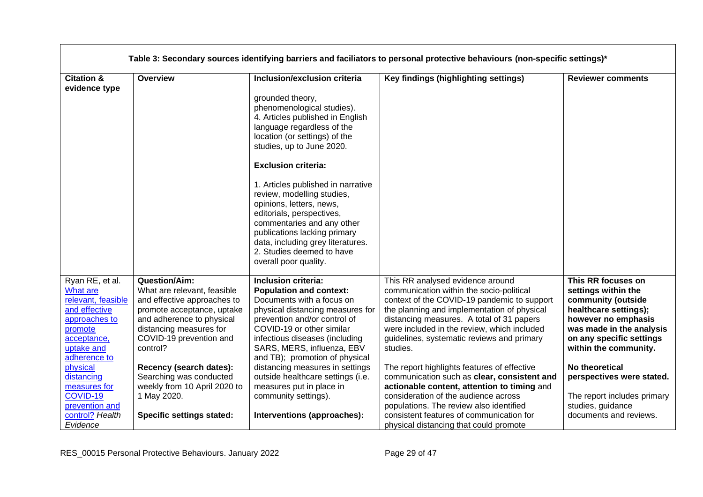|                                                                    | Table 3: Secondary sources identifying barriers and faciliators to personal protective behaviours (non-specific settings)* |                                                                                                                                                                                                                                                                                    |                                                                                                                                                                            |                                                                                          |  |
|--------------------------------------------------------------------|----------------------------------------------------------------------------------------------------------------------------|------------------------------------------------------------------------------------------------------------------------------------------------------------------------------------------------------------------------------------------------------------------------------------|----------------------------------------------------------------------------------------------------------------------------------------------------------------------------|------------------------------------------------------------------------------------------|--|
| <b>Citation &amp;</b><br>evidence type                             | Overview                                                                                                                   | Inclusion/exclusion criteria                                                                                                                                                                                                                                                       | Key findings (highlighting settings)                                                                                                                                       | <b>Reviewer comments</b>                                                                 |  |
|                                                                    |                                                                                                                            | grounded theory,<br>phenomenological studies).<br>4. Articles published in English<br>language regardless of the<br>location (or settings) of the<br>studies, up to June 2020.                                                                                                     |                                                                                                                                                                            |                                                                                          |  |
|                                                                    |                                                                                                                            | <b>Exclusion criteria:</b>                                                                                                                                                                                                                                                         |                                                                                                                                                                            |                                                                                          |  |
|                                                                    |                                                                                                                            | 1. Articles published in narrative<br>review, modelling studies,<br>opinions, letters, news,<br>editorials, perspectives,<br>commentaries and any other<br>publications lacking primary<br>data, including grey literatures.<br>2. Studies deemed to have<br>overall poor quality. |                                                                                                                                                                            |                                                                                          |  |
| Ryan RE, et al.<br>What are<br>relevant, feasible<br>and effective | <b>Question/Aim:</b><br>What are relevant, feasible<br>and effective approaches to<br>promote acceptance, uptake           | Inclusion criteria:<br><b>Population and context:</b><br>Documents with a focus on<br>physical distancing measures for                                                                                                                                                             | This RR analysed evidence around<br>communication within the socio-political<br>context of the COVID-19 pandemic to support<br>the planning and implementation of physical | This RR focuses on<br>settings within the<br>community (outside<br>healthcare settings); |  |
| approaches to<br>promote                                           | and adherence to physical<br>distancing measures for                                                                       | prevention and/or control of<br>COVID-19 or other similar                                                                                                                                                                                                                          | distancing measures. A total of 31 papers<br>were included in the review, which included                                                                                   | however no emphasis<br>was made in the analysis                                          |  |
| acceptance,<br>uptake and<br>adherence to                          | COVID-19 prevention and<br>control?                                                                                        | infectious diseases (including<br>SARS, MERS, influenza, EBV<br>and TB); promotion of physical                                                                                                                                                                                     | guidelines, systematic reviews and primary<br>studies.                                                                                                                     | on any specific settings<br>within the community.                                        |  |
| physical<br>distancing                                             | Recency (search dates):<br>Searching was conducted                                                                         | distancing measures in settings<br>outside healthcare settings (i.e.                                                                                                                                                                                                               | The report highlights features of effective<br>communication such as clear, consistent and                                                                                 | No theoretical<br>perspectives were stated.                                              |  |
| measures for                                                       | weekly from 10 April 2020 to                                                                                               | measures put in place in                                                                                                                                                                                                                                                           | actionable content, attention to timing and                                                                                                                                |                                                                                          |  |
| COVID-19<br>prevention and                                         | 1 May 2020.                                                                                                                | community settings).                                                                                                                                                                                                                                                               | consideration of the audience across<br>populations. The review also identified                                                                                            | The report includes primary<br>studies, guidance                                         |  |
| control? Health<br>Evidence                                        | <b>Specific settings stated:</b>                                                                                           | Interventions (approaches):                                                                                                                                                                                                                                                        | consistent features of communication for<br>physical distancing that could promote                                                                                         | documents and reviews.                                                                   |  |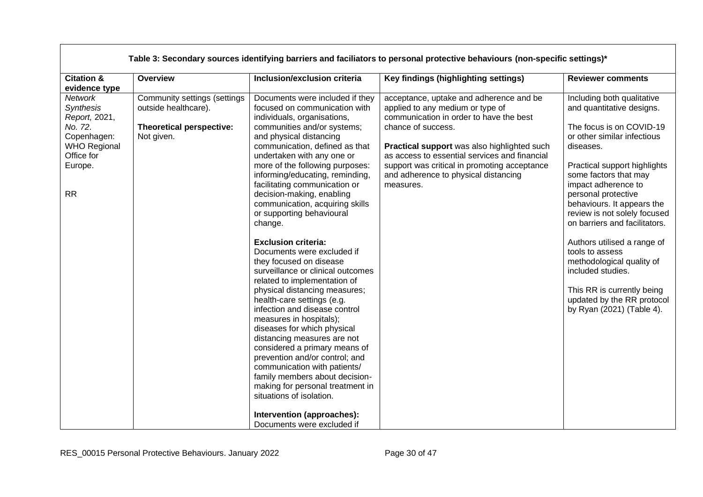|                                                                                                                                                      |                                                                                                       |                                                                                                                                                                                                                                                                                                                                                                                                                                                                                                                                                                                                                                                                                                                                                                                                                                                                                                                                                                        | Table 3: Secondary sources identifying barriers and faciliators to personal protective behaviours (non-specific settings)*                                                                                                                                                                                                                        |                                                                                                                                                                                                                                                                                                                                                                                                                                                                                                                                    |
|------------------------------------------------------------------------------------------------------------------------------------------------------|-------------------------------------------------------------------------------------------------------|------------------------------------------------------------------------------------------------------------------------------------------------------------------------------------------------------------------------------------------------------------------------------------------------------------------------------------------------------------------------------------------------------------------------------------------------------------------------------------------------------------------------------------------------------------------------------------------------------------------------------------------------------------------------------------------------------------------------------------------------------------------------------------------------------------------------------------------------------------------------------------------------------------------------------------------------------------------------|---------------------------------------------------------------------------------------------------------------------------------------------------------------------------------------------------------------------------------------------------------------------------------------------------------------------------------------------------|------------------------------------------------------------------------------------------------------------------------------------------------------------------------------------------------------------------------------------------------------------------------------------------------------------------------------------------------------------------------------------------------------------------------------------------------------------------------------------------------------------------------------------|
| <b>Citation &amp;</b>                                                                                                                                | Overview                                                                                              | Inclusion/exclusion criteria                                                                                                                                                                                                                                                                                                                                                                                                                                                                                                                                                                                                                                                                                                                                                                                                                                                                                                                                           | Key findings (highlighting settings)                                                                                                                                                                                                                                                                                                              | <b>Reviewer comments</b>                                                                                                                                                                                                                                                                                                                                                                                                                                                                                                           |
| evidence type<br><b>Network</b><br>Synthesis<br>Report, 2021,<br>No. 72.<br>Copenhagen:<br><b>WHO Regional</b><br>Office for<br>Europe.<br><b>RR</b> | Community settings (settings<br>outside healthcare).<br><b>Theoretical perspective:</b><br>Not given. | Documents were included if they<br>focused on communication with<br>individuals, organisations,<br>communities and/or systems;<br>and physical distancing<br>communication, defined as that<br>undertaken with any one or<br>more of the following purposes:<br>informing/educating, reminding,<br>facilitating communication or<br>decision-making, enabling<br>communication, acquiring skills<br>or supporting behavioural<br>change.<br><b>Exclusion criteria:</b><br>Documents were excluded if<br>they focused on disease<br>surveillance or clinical outcomes<br>related to implementation of<br>physical distancing measures;<br>health-care settings (e.g.<br>infection and disease control<br>measures in hospitals);<br>diseases for which physical<br>distancing measures are not<br>considered a primary means of<br>prevention and/or control; and<br>communication with patients/<br>family members about decision-<br>making for personal treatment in | acceptance, uptake and adherence and be<br>applied to any medium or type of<br>communication in order to have the best<br>chance of success.<br>Practical support was also highlighted such<br>as access to essential services and financial<br>support was critical in promoting acceptance<br>and adherence to physical distancing<br>measures. | Including both qualitative<br>and quantitative designs.<br>The focus is on COVID-19<br>or other similar infectious<br>diseases.<br>Practical support highlights<br>some factors that may<br>impact adherence to<br>personal protective<br>behaviours. It appears the<br>review is not solely focused<br>on barriers and facilitators.<br>Authors utilised a range of<br>tools to assess<br>methodological quality of<br>included studies.<br>This RR is currently being<br>updated by the RR protocol<br>by Ryan (2021) (Table 4). |
|                                                                                                                                                      |                                                                                                       | situations of isolation.<br>Intervention (approaches):                                                                                                                                                                                                                                                                                                                                                                                                                                                                                                                                                                                                                                                                                                                                                                                                                                                                                                                 |                                                                                                                                                                                                                                                                                                                                                   |                                                                                                                                                                                                                                                                                                                                                                                                                                                                                                                                    |
|                                                                                                                                                      |                                                                                                       | Documents were excluded if                                                                                                                                                                                                                                                                                                                                                                                                                                                                                                                                                                                                                                                                                                                                                                                                                                                                                                                                             |                                                                                                                                                                                                                                                                                                                                                   |                                                                                                                                                                                                                                                                                                                                                                                                                                                                                                                                    |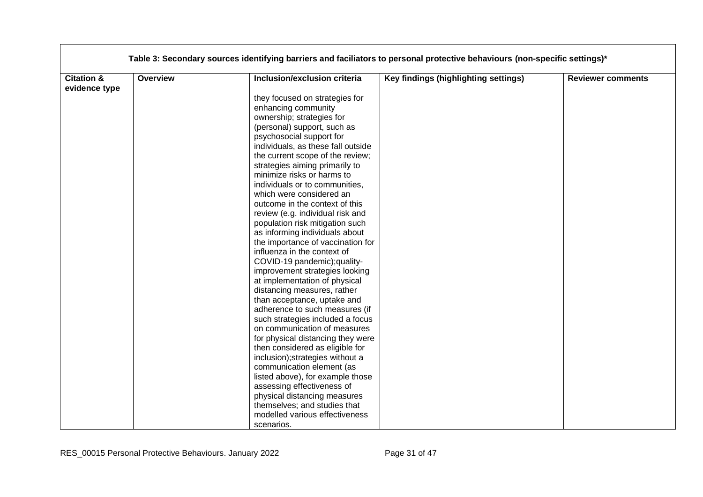| <b>Citation &amp;</b> | <b>Overview</b> | Inclusion/exclusion criteria       | Key findings (highlighting settings) | <b>Reviewer comments</b> |
|-----------------------|-----------------|------------------------------------|--------------------------------------|--------------------------|
| evidence type         |                 |                                    |                                      |                          |
|                       |                 | they focused on strategies for     |                                      |                          |
|                       |                 | enhancing community                |                                      |                          |
|                       |                 | ownership; strategies for          |                                      |                          |
|                       |                 | (personal) support, such as        |                                      |                          |
|                       |                 | psychosocial support for           |                                      |                          |
|                       |                 | individuals, as these fall outside |                                      |                          |
|                       |                 | the current scope of the review;   |                                      |                          |
|                       |                 | strategies aiming primarily to     |                                      |                          |
|                       |                 | minimize risks or harms to         |                                      |                          |
|                       |                 | individuals or to communities,     |                                      |                          |
|                       |                 | which were considered an           |                                      |                          |
|                       |                 | outcome in the context of this     |                                      |                          |
|                       |                 | review (e.g. individual risk and   |                                      |                          |
|                       |                 | population risk mitigation such    |                                      |                          |
|                       |                 | as informing individuals about     |                                      |                          |
|                       |                 | the importance of vaccination for  |                                      |                          |
|                       |                 | influenza in the context of        |                                      |                          |
|                       |                 | COVID-19 pandemic); quality-       |                                      |                          |
|                       |                 | improvement strategies looking     |                                      |                          |
|                       |                 | at implementation of physical      |                                      |                          |
|                       |                 | distancing measures, rather        |                                      |                          |
|                       |                 | than acceptance, uptake and        |                                      |                          |
|                       |                 | adherence to such measures (if     |                                      |                          |
|                       |                 | such strategies included a focus   |                                      |                          |
|                       |                 | on communication of measures       |                                      |                          |
|                       |                 | for physical distancing they were  |                                      |                          |
|                       |                 | then considered as eligible for    |                                      |                          |
|                       |                 | inclusion); strategies without a   |                                      |                          |
|                       |                 | communication element (as          |                                      |                          |
|                       |                 | listed above), for example those   |                                      |                          |
|                       |                 | assessing effectiveness of         |                                      |                          |
|                       |                 | physical distancing measures       |                                      |                          |
|                       |                 | themselves; and studies that       |                                      |                          |
|                       |                 | modelled various effectiveness     |                                      |                          |
|                       |                 | scenarios.                         |                                      |                          |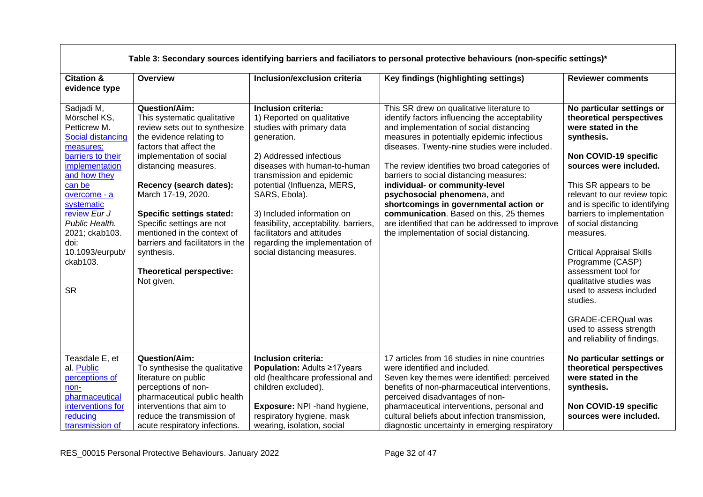|                                                                                                                                                                                                                                                                                            |                                                                                                                                                                                                                                                                                                                                                                                                                                              |                                                                                                                                                                                                                                                                                                                                                                                                              | Table 3: Secondary sources identifying barriers and faciliators to personal protective behaviours (non-specific settings)*                                                                                                                                                                                                                                                                                                                                                                                                                                                             |                                                                                                                                                                                                                                                                                                                                                                                                                                                                                                                                                    |
|--------------------------------------------------------------------------------------------------------------------------------------------------------------------------------------------------------------------------------------------------------------------------------------------|----------------------------------------------------------------------------------------------------------------------------------------------------------------------------------------------------------------------------------------------------------------------------------------------------------------------------------------------------------------------------------------------------------------------------------------------|--------------------------------------------------------------------------------------------------------------------------------------------------------------------------------------------------------------------------------------------------------------------------------------------------------------------------------------------------------------------------------------------------------------|----------------------------------------------------------------------------------------------------------------------------------------------------------------------------------------------------------------------------------------------------------------------------------------------------------------------------------------------------------------------------------------------------------------------------------------------------------------------------------------------------------------------------------------------------------------------------------------|----------------------------------------------------------------------------------------------------------------------------------------------------------------------------------------------------------------------------------------------------------------------------------------------------------------------------------------------------------------------------------------------------------------------------------------------------------------------------------------------------------------------------------------------------|
| <b>Citation &amp;</b><br>evidence type                                                                                                                                                                                                                                                     | <b>Overview</b>                                                                                                                                                                                                                                                                                                                                                                                                                              | Inclusion/exclusion criteria                                                                                                                                                                                                                                                                                                                                                                                 | Key findings (highlighting settings)                                                                                                                                                                                                                                                                                                                                                                                                                                                                                                                                                   | <b>Reviewer comments</b>                                                                                                                                                                                                                                                                                                                                                                                                                                                                                                                           |
| Sadjadi M,<br>Mörschel KS,<br>Petticrew M.<br><b>Social distancing</b><br>measures:<br>barriers to their<br>implementation<br>and how they<br>can be<br>overcome - a<br>systematic<br>review Eur J<br>Public Health.<br>2021; ckab103.<br>doi:<br>10.1093/eurpub/<br>ckab103.<br><b>SR</b> | <b>Question/Aim:</b><br>This systematic qualitative<br>review sets out to synthesize<br>the evidence relating to<br>factors that affect the<br>implementation of social<br>distancing measures.<br>Recency (search dates):<br>March 17-19, 2020.<br><b>Specific settings stated:</b><br>Specific settings are not<br>mentioned in the context of<br>barriers and facilitators in the<br>synthesis.<br>Theoretical perspective:<br>Not given. | Inclusion criteria:<br>1) Reported on qualitative<br>studies with primary data<br>generation.<br>2) Addressed infectious<br>diseases with human-to-human<br>transmission and epidemic<br>potential (Influenza, MERS,<br>SARS, Ebola).<br>3) Included information on<br>feasibility, acceptability, barriers,<br>facilitators and attitudes<br>regarding the implementation of<br>social distancing measures. | This SR drew on qualitative literature to<br>identify factors influencing the acceptability<br>and implementation of social distancing<br>measures in potentially epidemic infectious<br>diseases. Twenty-nine studies were included.<br>The review identifies two broad categories of<br>barriers to social distancing measures:<br>individual- or community-level<br>psychosocial phenomena, and<br>shortcomings in governmental action or<br>communication. Based on this, 25 themes<br>are identified that can be addressed to improve<br>the implementation of social distancing. | No particular settings or<br>theoretical perspectives<br>were stated in the<br>synthesis.<br>Non COVID-19 specific<br>sources were included.<br>This SR appears to be<br>relevant to our review topic<br>and is specific to identifying<br>barriers to implementation<br>of social distancing<br>measures.<br><b>Critical Appraisal Skills</b><br>Programme (CASP)<br>assessment tool for<br>qualitative studies was<br>used to assess included<br>studies.<br><b>GRADE-CERQual was</b><br>used to assess strength<br>and reliability of findings. |
| Teasdale E, et<br>al. Public<br>perceptions of<br>non-<br>pharmaceutical                                                                                                                                                                                                                   | <b>Question/Aim:</b><br>To synthesise the qualitative<br>literature on public<br>perceptions of non-<br>pharmaceutical public health                                                                                                                                                                                                                                                                                                         | Inclusion criteria:<br>Population: Adults ≥17years<br>old (healthcare professional and<br>children excluded).                                                                                                                                                                                                                                                                                                | 17 articles from 16 studies in nine countries<br>were identified and included.<br>Seven key themes were identified: perceived<br>benefits of non-pharmaceutical interventions,<br>perceived disadvantages of non-                                                                                                                                                                                                                                                                                                                                                                      | No particular settings or<br>theoretical perspectives<br>were stated in the<br>synthesis.                                                                                                                                                                                                                                                                                                                                                                                                                                                          |
| interventions for<br>reducing<br>transmission of                                                                                                                                                                                                                                           | interventions that aim to<br>reduce the transmission of<br>acute respiratory infections.                                                                                                                                                                                                                                                                                                                                                     | Exposure: NPI - hand hygiene,<br>respiratory hygiene, mask<br>wearing, isolation, social                                                                                                                                                                                                                                                                                                                     | pharmaceutical interventions, personal and<br>cultural beliefs about infection transmission,<br>diagnostic uncertainty in emerging respiratory                                                                                                                                                                                                                                                                                                                                                                                                                                         | Non COVID-19 specific<br>sources were included.                                                                                                                                                                                                                                                                                                                                                                                                                                                                                                    |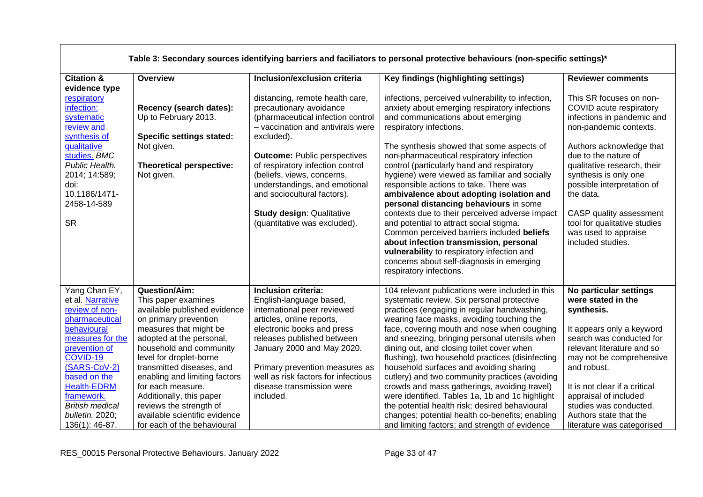|                                                                                                                                                                                                                                                                          |                                                                                                                                                                                                                                                                                                                                                                                                                     |                                                                                                                                                                                                                                                                                                                                                                                                 | Table 3: Secondary sources identifying barriers and faciliators to personal protective behaviours (non-specific settings)*                                                                                                                                                                                                                                                                                                                                                                                                                                                                                                                                                                                                                                                                            |                                                                                                                                                                                                                                                                                                                                                                           |
|--------------------------------------------------------------------------------------------------------------------------------------------------------------------------------------------------------------------------------------------------------------------------|---------------------------------------------------------------------------------------------------------------------------------------------------------------------------------------------------------------------------------------------------------------------------------------------------------------------------------------------------------------------------------------------------------------------|-------------------------------------------------------------------------------------------------------------------------------------------------------------------------------------------------------------------------------------------------------------------------------------------------------------------------------------------------------------------------------------------------|-------------------------------------------------------------------------------------------------------------------------------------------------------------------------------------------------------------------------------------------------------------------------------------------------------------------------------------------------------------------------------------------------------------------------------------------------------------------------------------------------------------------------------------------------------------------------------------------------------------------------------------------------------------------------------------------------------------------------------------------------------------------------------------------------------|---------------------------------------------------------------------------------------------------------------------------------------------------------------------------------------------------------------------------------------------------------------------------------------------------------------------------------------------------------------------------|
| <b>Citation &amp;</b><br>evidence type                                                                                                                                                                                                                                   | <b>Overview</b>                                                                                                                                                                                                                                                                                                                                                                                                     | Inclusion/exclusion criteria                                                                                                                                                                                                                                                                                                                                                                    | Key findings (highlighting settings)                                                                                                                                                                                                                                                                                                                                                                                                                                                                                                                                                                                                                                                                                                                                                                  | <b>Reviewer comments</b>                                                                                                                                                                                                                                                                                                                                                  |
| respiratory<br>infection:<br>systematic<br>review and<br>synthesis of<br>qualitative<br>studies. BMC<br>Public Health.<br>2014; 14:589;<br>doi:<br>10.1186/1471-<br>2458-14-589<br><b>SR</b>                                                                             | Recency (search dates):<br>Up to February 2013.<br><b>Specific settings stated:</b><br>Not given.<br>Theoretical perspective:<br>Not given.                                                                                                                                                                                                                                                                         | distancing, remote health care,<br>precautionary avoidance<br>(pharmaceutical infection control<br>- vaccination and antivirals were<br>excluded).<br><b>Outcome: Public perspectives</b><br>of respiratory infection control<br>(beliefs, views, concerns,<br>understandings, and emotional<br>and sociocultural factors).<br><b>Study design: Qualitative</b><br>(quantitative was excluded). | infections, perceived vulnerability to infection,<br>anxiety about emerging respiratory infections<br>and communications about emerging<br>respiratory infections.<br>The synthesis showed that some aspects of<br>non-pharmaceutical respiratory infection<br>control (particularly hand and respiratory<br>hygiene) were viewed as familiar and socially<br>responsible actions to take. There was<br>ambivalence about adopting isolation and<br>personal distancing behaviours in some<br>contexts due to their perceived adverse impact<br>and potential to attract social stigma.<br>Common perceived barriers included beliefs<br>about infection transmission, personal<br>vulnerability to respiratory infection and<br>concerns about self-diagnosis in emerging<br>respiratory infections. | This SR focuses on non-<br>COVID acute respiratory<br>infections in pandemic and<br>non-pandemic contexts.<br>Authors acknowledge that<br>due to the nature of<br>qualitative research, their<br>synthesis is only one<br>possible interpretation of<br>the data.<br>CASP quality assessment<br>tool for qualitative studies<br>was used to appraise<br>included studies. |
| Yang Chan EY,<br>et al. Narrative<br>review of non-<br>pharmaceutical<br>behavioural<br>measures for the<br>prevention of<br>COVID-19<br>(SARS-CoV-2)<br>based on the<br><b>Health-EDRM</b><br>framework.<br><b>British medical</b><br>bulletin. 2020;<br>136(1): 46-87. | Question/Aim:<br>This paper examines<br>available published evidence<br>on primary prevention<br>measures that might be<br>adopted at the personal,<br>household and community<br>level for droplet-borne<br>transmitted diseases, and<br>enabling and limiting factors<br>for each measure.<br>Additionally, this paper<br>reviews the strength of<br>available scientific evidence<br>for each of the behavioural | Inclusion criteria:<br>English-language based,<br>international peer reviewed<br>articles, online reports,<br>electronic books and press<br>releases published between<br>January 2000 and May 2020.<br>Primary prevention measures as<br>well as risk factors for infectious<br>disease transmission were<br>included.                                                                         | 104 relevant publications were included in this<br>systematic review. Six personal protective<br>practices (engaging in regular handwashing,<br>wearing face masks, avoiding touching the<br>face, covering mouth and nose when coughing<br>and sneezing, bringing personal utensils when<br>dining out, and closing toilet cover when<br>flushing), two household practices (disinfecting<br>household surfaces and avoiding sharing<br>cutlery) and two community practices (avoiding<br>crowds and mass gatherings, avoiding travel)<br>were identified. Tables 1a, 1b and 1c highlight<br>the potential health risk; desired behavioural<br>changes; potential health co-benefits; enabling<br>and limiting factors; and strength of evidence                                                     | No particular settings<br>were stated in the<br>synthesis.<br>It appears only a keyword<br>search was conducted for<br>relevant literature and so<br>may not be comprehensive<br>and robust.<br>It is not clear if a critical<br>appraisal of included<br>studies was conducted.<br>Authors state that the<br>literature was categorised                                  |

 $\mathsf{L}$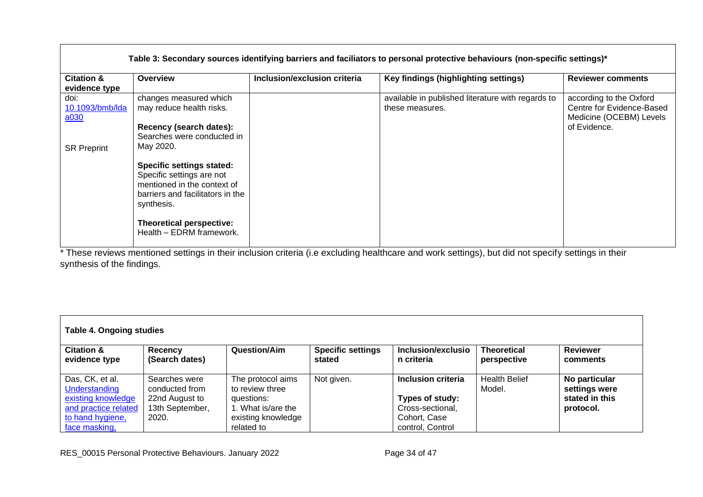|                                        |                                                                                                                                                             |                              | Table 3: Secondary sources identifying barriers and faciliators to personal protective behaviours (non-specific settings)* |                                                                                                 |
|----------------------------------------|-------------------------------------------------------------------------------------------------------------------------------------------------------------|------------------------------|----------------------------------------------------------------------------------------------------------------------------|-------------------------------------------------------------------------------------------------|
| <b>Citation &amp;</b><br>evidence type | Overview                                                                                                                                                    | Inclusion/exclusion criteria | Key findings (highlighting settings)                                                                                       | <b>Reviewer comments</b>                                                                        |
| doi:<br>10.1093/bmb/lda<br>a030        | changes measured which<br>may reduce health risks.<br>Recency (search dates):<br>Searches were conducted in                                                 |                              | available in published literature with regards to<br>these measures.                                                       | according to the Oxford<br>Centre for Evidence-Based<br>Medicine (OCEBM) Levels<br>of Evidence. |
| <b>SR Preprint</b>                     | May 2020.<br><b>Specific settings stated:</b><br>Specific settings are not<br>mentioned in the context of<br>barriers and facilitators in the<br>synthesis. |                              |                                                                                                                            |                                                                                                 |
|                                        | <b>Theoretical perspective:</b><br>Health - EDRM framework.                                                                                                 |                              |                                                                                                                            |                                                                                                 |

\* These reviews mentioned settings in their inclusion criteria (i.e excluding healthcare and work settings), but did not specify settings in their synthesis of the findings.

|                                                                                                    | Table 4. Ongoing studies                                                      |                                                                                                |                                    |                                                                           |                                   |                                                               |  |  |
|----------------------------------------------------------------------------------------------------|-------------------------------------------------------------------------------|------------------------------------------------------------------------------------------------|------------------------------------|---------------------------------------------------------------------------|-----------------------------------|---------------------------------------------------------------|--|--|
| <b>Citation &amp;</b><br>evidence type                                                             | Recency<br>(Search dates)                                                     | Question/Aim                                                                                   | <b>Specific settings</b><br>stated | Inclusion/exclusio<br>n criteria                                          | <b>Theoretical</b><br>perspective | <b>Reviewer</b><br>comments                                   |  |  |
| Das, CK, et al.<br>Understanding<br>existing knowledge<br>and practice related<br>to hand hygiene, | Searches were<br>conducted from<br>22nd August to<br>13th September,<br>2020. | The protocol aims<br>to review three<br>questions:<br>1. What is/are the<br>existing knowledge | Not given.                         | Inclusion criteria<br>Types of study:<br>Cross-sectional,<br>Cohort, Case | <b>Health Belief</b><br>Model.    | No particular<br>settings were<br>stated in this<br>protocol. |  |  |
| face masking.                                                                                      |                                                                               | related to                                                                                     |                                    | control, Control                                                          |                                   |                                                               |  |  |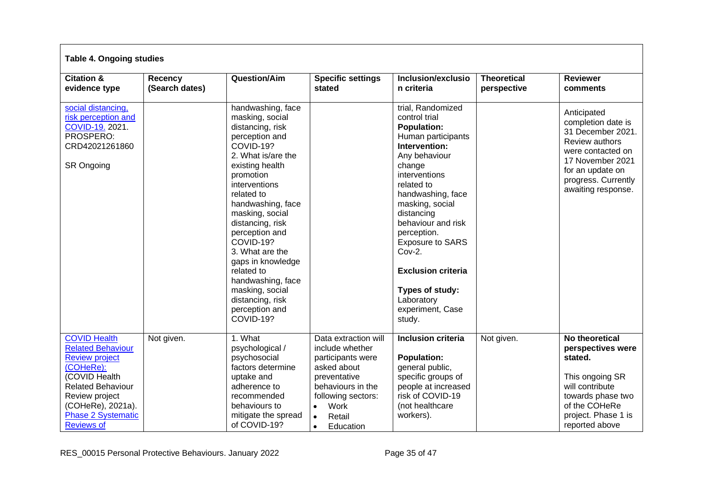| <b>Table 4. Ongoing studies</b>                                                                                                                                                                                             |                           |                                                                                                                                                                                                                                                                                                                                                                                                                          |                                                                                                                                                                                                              |                                                                                                                                                                                                                                                                                                                                                                                          |                                   |                                                                                                                                                                                           |
|-----------------------------------------------------------------------------------------------------------------------------------------------------------------------------------------------------------------------------|---------------------------|--------------------------------------------------------------------------------------------------------------------------------------------------------------------------------------------------------------------------------------------------------------------------------------------------------------------------------------------------------------------------------------------------------------------------|--------------------------------------------------------------------------------------------------------------------------------------------------------------------------------------------------------------|------------------------------------------------------------------------------------------------------------------------------------------------------------------------------------------------------------------------------------------------------------------------------------------------------------------------------------------------------------------------------------------|-----------------------------------|-------------------------------------------------------------------------------------------------------------------------------------------------------------------------------------------|
| <b>Citation &amp;</b><br>evidence type                                                                                                                                                                                      | Recency<br>(Search dates) | <b>Question/Aim</b>                                                                                                                                                                                                                                                                                                                                                                                                      | <b>Specific settings</b><br>stated                                                                                                                                                                           | Inclusion/exclusio<br>n criteria                                                                                                                                                                                                                                                                                                                                                         | <b>Theoretical</b><br>perspective | <b>Reviewer</b><br>comments                                                                                                                                                               |
| social distancing.<br>risk perception and<br>COVID-19. 2021.<br>PROSPERO:<br>CRD42021261860<br><b>SR Ongoing</b>                                                                                                            |                           | handwashing, face<br>masking, social<br>distancing, risk<br>perception and<br>COVID-19?<br>2. What is/are the<br>existing health<br>promotion<br>interventions<br>related to<br>handwashing, face<br>masking, social<br>distancing, risk<br>perception and<br>COVID-19?<br>3. What are the<br>gaps in knowledge<br>related to<br>handwashing, face<br>masking, social<br>distancing, risk<br>perception and<br>COVID-19? |                                                                                                                                                                                                              | trial, Randomized<br>control trial<br><b>Population:</b><br>Human participants<br>Intervention:<br>Any behaviour<br>change<br>interventions<br>related to<br>handwashing, face<br>masking, social<br>distancing<br>behaviour and risk<br>perception.<br><b>Exposure to SARS</b><br>$Cov-2$ .<br><b>Exclusion criteria</b><br>Types of study:<br>Laboratory<br>experiment, Case<br>study. |                                   | Anticipated<br>completion date is<br>31 December 2021.<br><b>Review authors</b><br>were contacted on<br>17 November 2021<br>for an update on<br>progress. Currently<br>awaiting response. |
| <b>COVID Health</b><br><b>Related Behaviour</b><br><b>Review project</b><br>(COHeRe):<br>(COVID Health<br><b>Related Behaviour</b><br>Review project<br>(COHeRe), 2021a).<br><b>Phase 2 Systematic</b><br><b>Reviews of</b> | Not given.                | 1. What<br>psychological /<br>psychosocial<br>factors determine<br>uptake and<br>adherence to<br>recommended<br>behaviours to<br>mitigate the spread<br>of COVID-19?                                                                                                                                                                                                                                                     | Data extraction will<br>include whether<br>participants were<br>asked about<br>preventative<br>behaviours in the<br>following sectors:<br>Work<br>$\bullet$<br>$\bullet$<br>Retail<br>Education<br>$\bullet$ | <b>Inclusion criteria</b><br><b>Population:</b><br>general public,<br>specific groups of<br>people at increased<br>risk of COVID-19<br>(not healthcare<br>workers).                                                                                                                                                                                                                      | Not given.                        | No theoretical<br>perspectives were<br>stated.<br>This ongoing SR<br>will contribute<br>towards phase two<br>of the COHeRe<br>project. Phase 1 is<br>reported above                       |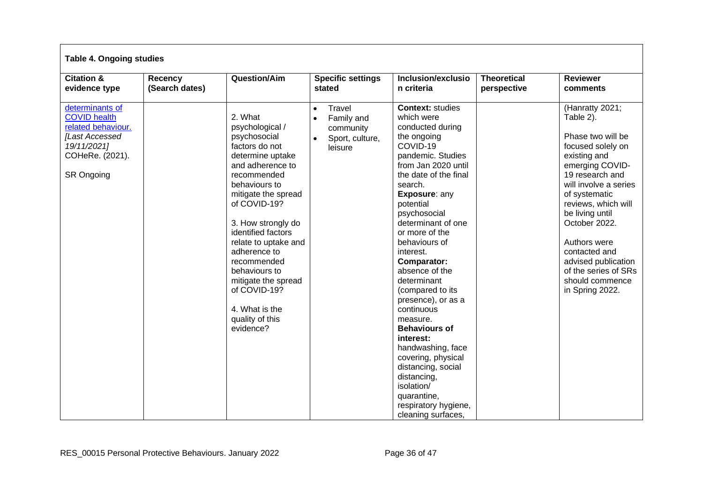| <b>Table 4. Ongoing studies</b>                                                                                                              |                           |                                                                                                                                                                                                                                                                                                                                                                                          |                                                                              |                                                                                                                                                                                                                                                                                                                                                                                                                                                                                                                                                                                                                     |                                   |                                                                                                                                                                                                                                                                                                                                                         |
|----------------------------------------------------------------------------------------------------------------------------------------------|---------------------------|------------------------------------------------------------------------------------------------------------------------------------------------------------------------------------------------------------------------------------------------------------------------------------------------------------------------------------------------------------------------------------------|------------------------------------------------------------------------------|---------------------------------------------------------------------------------------------------------------------------------------------------------------------------------------------------------------------------------------------------------------------------------------------------------------------------------------------------------------------------------------------------------------------------------------------------------------------------------------------------------------------------------------------------------------------------------------------------------------------|-----------------------------------|---------------------------------------------------------------------------------------------------------------------------------------------------------------------------------------------------------------------------------------------------------------------------------------------------------------------------------------------------------|
| <b>Citation &amp;</b><br>evidence type                                                                                                       | Recency<br>(Search dates) | <b>Question/Aim</b>                                                                                                                                                                                                                                                                                                                                                                      | <b>Specific settings</b><br>stated                                           | Inclusion/exclusio<br>n criteria                                                                                                                                                                                                                                                                                                                                                                                                                                                                                                                                                                                    | <b>Theoretical</b><br>perspective | <b>Reviewer</b><br>comments                                                                                                                                                                                                                                                                                                                             |
| determinants of<br><b>COVID health</b><br>related behaviour.<br><b>[Last Accessed</b><br>19/11/2021]<br>COHeRe. (2021).<br><b>SR Ongoing</b> |                           | 2. What<br>psychological /<br>psychosocial<br>factors do not<br>determine uptake<br>and adherence to<br>recommended<br>behaviours to<br>mitigate the spread<br>of COVID-19?<br>3. How strongly do<br>identified factors<br>relate to uptake and<br>adherence to<br>recommended<br>behaviours to<br>mitigate the spread<br>of COVID-19?<br>4. What is the<br>quality of this<br>evidence? | Travel<br>$\bullet$<br>Family and<br>community<br>Sport, culture,<br>leisure | <b>Context: studies</b><br>which were<br>conducted during<br>the ongoing<br>COVID-19<br>pandemic. Studies<br>from Jan 2020 until<br>the date of the final<br>search.<br>Exposure: any<br>potential<br>psychosocial<br>determinant of one<br>or more of the<br>behaviours of<br>interest.<br><b>Comparator:</b><br>absence of the<br>determinant<br>(compared to its<br>presence), or as a<br>continuous<br>measure.<br><b>Behaviours of</b><br>interest:<br>handwashing, face<br>covering, physical<br>distancing, social<br>distancing,<br>isolation/<br>quarantine,<br>respiratory hygiene,<br>cleaning surfaces, |                                   | (Hanratty 2021;<br>Table 2).<br>Phase two will be<br>focused solely on<br>existing and<br>emerging COVID-<br>19 research and<br>will involve a series<br>of systematic<br>reviews, which will<br>be living until<br>October 2022.<br>Authors were<br>contacted and<br>advised publication<br>of the series of SRs<br>should commence<br>in Spring 2022. |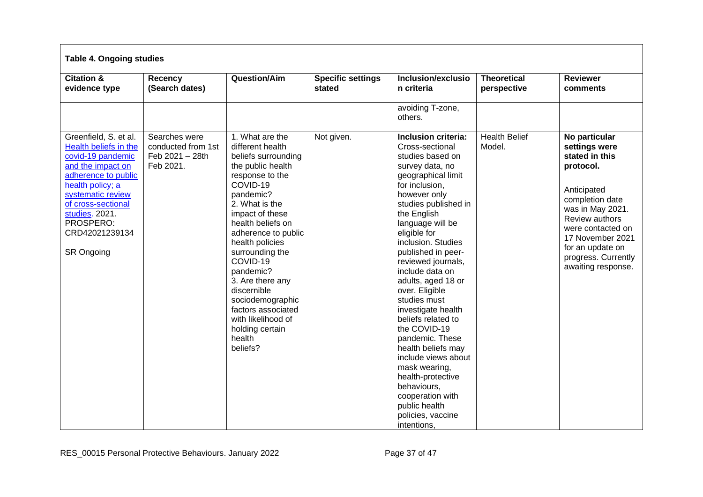| <b>Table 4. Ongoing studies</b>                                                                                                                                                                                                                      |                                                                     |                                                                                                                                                                                                                                                                                                                                                                                                                         |                                    |                                                                                                                                                                                                                                                                                                                                                                                                                                                                                                                                                                                                                         |                                   |                                                                                                                                                                                                                                                 |
|------------------------------------------------------------------------------------------------------------------------------------------------------------------------------------------------------------------------------------------------------|---------------------------------------------------------------------|-------------------------------------------------------------------------------------------------------------------------------------------------------------------------------------------------------------------------------------------------------------------------------------------------------------------------------------------------------------------------------------------------------------------------|------------------------------------|-------------------------------------------------------------------------------------------------------------------------------------------------------------------------------------------------------------------------------------------------------------------------------------------------------------------------------------------------------------------------------------------------------------------------------------------------------------------------------------------------------------------------------------------------------------------------------------------------------------------------|-----------------------------------|-------------------------------------------------------------------------------------------------------------------------------------------------------------------------------------------------------------------------------------------------|
| <b>Citation &amp;</b><br>evidence type                                                                                                                                                                                                               | Recency<br>(Search dates)                                           | <b>Question/Aim</b>                                                                                                                                                                                                                                                                                                                                                                                                     | <b>Specific settings</b><br>stated | Inclusion/exclusio<br>n criteria                                                                                                                                                                                                                                                                                                                                                                                                                                                                                                                                                                                        | <b>Theoretical</b><br>perspective | <b>Reviewer</b><br>comments                                                                                                                                                                                                                     |
|                                                                                                                                                                                                                                                      |                                                                     |                                                                                                                                                                                                                                                                                                                                                                                                                         |                                    | avoiding T-zone,<br>others.                                                                                                                                                                                                                                                                                                                                                                                                                                                                                                                                                                                             |                                   |                                                                                                                                                                                                                                                 |
| Greenfield, S. et al.<br>Health beliefs in the<br>covid-19 pandemic<br>and the impact on<br>adherence to public<br>health policy; a<br>systematic review<br>of cross-sectional<br>studies. 2021.<br>PROSPERO:<br>CRD42021239134<br><b>SR Ongoing</b> | Searches were<br>conducted from 1st<br>Feb 2021 - 28th<br>Feb 2021. | 1. What are the<br>different health<br>beliefs surrounding<br>the public health<br>response to the<br>COVID-19<br>pandemic?<br>2. What is the<br>impact of these<br>health beliefs on<br>adherence to public<br>health policies<br>surrounding the<br>COVID-19<br>pandemic?<br>3. Are there any<br>discernible<br>sociodemographic<br>factors associated<br>with likelihood of<br>holding certain<br>health<br>beliefs? | Not given.                         | Inclusion criteria:<br>Cross-sectional<br>studies based on<br>survey data, no<br>geographical limit<br>for inclusion,<br>however only<br>studies published in<br>the English<br>language will be<br>eligible for<br>inclusion. Studies<br>published in peer-<br>reviewed journals,<br>include data on<br>adults, aged 18 or<br>over. Eligible<br>studies must<br>investigate health<br>beliefs related to<br>the COVID-19<br>pandemic. These<br>health beliefs may<br>include views about<br>mask wearing,<br>health-protective<br>behaviours,<br>cooperation with<br>public health<br>policies, vaccine<br>intentions, | <b>Health Belief</b><br>Model.    | No particular<br>settings were<br>stated in this<br>protocol.<br>Anticipated<br>completion date<br>was in May 2021.<br>Review authors<br>were contacted on<br>17 November 2021<br>for an update on<br>progress. Currently<br>awaiting response. |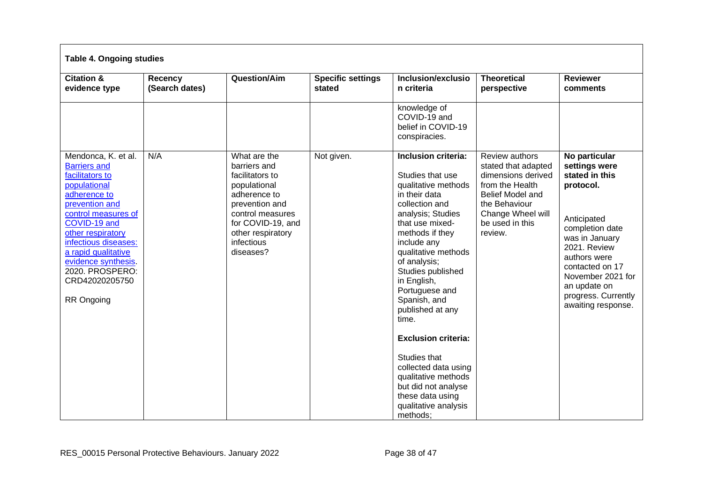| <b>Table 4. Ongoing studies</b>                                                                                                                                                                                                                                                                             |                           |                                                                                                                                                                                            |                                    |                                                                                                                                                                                                                                                                                                                                                                                                                                                                                                   |                                                                                                                                                                               |                                                                                                                                                                                                                                                        |  |
|-------------------------------------------------------------------------------------------------------------------------------------------------------------------------------------------------------------------------------------------------------------------------------------------------------------|---------------------------|--------------------------------------------------------------------------------------------------------------------------------------------------------------------------------------------|------------------------------------|---------------------------------------------------------------------------------------------------------------------------------------------------------------------------------------------------------------------------------------------------------------------------------------------------------------------------------------------------------------------------------------------------------------------------------------------------------------------------------------------------|-------------------------------------------------------------------------------------------------------------------------------------------------------------------------------|--------------------------------------------------------------------------------------------------------------------------------------------------------------------------------------------------------------------------------------------------------|--|
| <b>Citation &amp;</b><br>evidence type                                                                                                                                                                                                                                                                      | Recency<br>(Search dates) | Question/Aim                                                                                                                                                                               | <b>Specific settings</b><br>stated | Inclusion/exclusio<br>n criteria                                                                                                                                                                                                                                                                                                                                                                                                                                                                  | <b>Theoretical</b><br>perspective                                                                                                                                             | <b>Reviewer</b><br>comments                                                                                                                                                                                                                            |  |
|                                                                                                                                                                                                                                                                                                             |                           |                                                                                                                                                                                            |                                    | knowledge of<br>COVID-19 and<br>belief in COVID-19<br>conspiracies.                                                                                                                                                                                                                                                                                                                                                                                                                               |                                                                                                                                                                               |                                                                                                                                                                                                                                                        |  |
| Mendonca, K. et al.<br><b>Barriers and</b><br>facilitators to<br>populational<br>adherence to<br>prevention and<br>control measures of<br>COVID-19 and<br>other respiratory<br>infectious diseases:<br>a rapid qualitative<br>evidence synthesis.<br>2020. PROSPERO:<br>CRD42020205750<br><b>RR Ongoing</b> | N/A                       | What are the<br>barriers and<br>facilitators to<br>populational<br>adherence to<br>prevention and<br>control measures<br>for COVID-19, and<br>other respiratory<br>infectious<br>diseases? | Not given.                         | Inclusion criteria:<br>Studies that use<br>qualitative methods<br>in their data<br>collection and<br>analysis; Studies<br>that use mixed-<br>methods if they<br>include any<br>qualitative methods<br>of analysis;<br>Studies published<br>in English,<br>Portuguese and<br>Spanish, and<br>published at any<br>time.<br><b>Exclusion criteria:</b><br>Studies that<br>collected data using<br>qualitative methods<br>but did not analyse<br>these data using<br>qualitative analysis<br>methods: | Review authors<br>stated that adapted<br>dimensions derived<br>from the Health<br><b>Belief Model and</b><br>the Behaviour<br>Change Wheel will<br>be used in this<br>review. | No particular<br>settings were<br>stated in this<br>protocol.<br>Anticipated<br>completion date<br>was in January<br>2021. Review<br>authors were<br>contacted on 17<br>November 2021 for<br>an update on<br>progress. Currently<br>awaiting response. |  |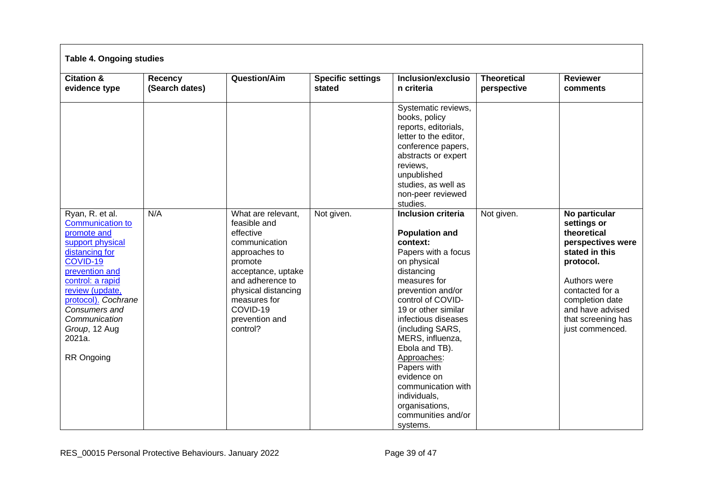| <b>Table 4. Ongoing studies</b>                                                                                                                                                                                                                |                           |                                                                                                                                                                                                                         |                                    |                                                                                                                                                                                                                                                                                                                                                                                                                                                                         |                                   |                                                                                                                                                                                                                    |
|------------------------------------------------------------------------------------------------------------------------------------------------------------------------------------------------------------------------------------------------|---------------------------|-------------------------------------------------------------------------------------------------------------------------------------------------------------------------------------------------------------------------|------------------------------------|-------------------------------------------------------------------------------------------------------------------------------------------------------------------------------------------------------------------------------------------------------------------------------------------------------------------------------------------------------------------------------------------------------------------------------------------------------------------------|-----------------------------------|--------------------------------------------------------------------------------------------------------------------------------------------------------------------------------------------------------------------|
| <b>Citation &amp;</b><br>evidence type                                                                                                                                                                                                         | Recency<br>(Search dates) | Question/Aim                                                                                                                                                                                                            | <b>Specific settings</b><br>stated | Inclusion/exclusio<br>n criteria                                                                                                                                                                                                                                                                                                                                                                                                                                        | <b>Theoretical</b><br>perspective | <b>Reviewer</b><br>comments                                                                                                                                                                                        |
| Ryan, R. et al.<br><b>Communication to</b><br>promote and<br>support physical<br>distancing for<br>COVID-19<br>prevention and<br>control: a rapid<br>review (update,<br>protocol). Cochrane<br>Consumers and<br>Communication<br>Group, 12 Aug | N/A                       | What are relevant,<br>feasible and<br>effective<br>communication<br>approaches to<br>promote<br>acceptance, uptake<br>and adherence to<br>physical distancing<br>measures for<br>COVID-19<br>prevention and<br>control? | Not given.                         | Systematic reviews,<br>books, policy<br>reports, editorials,<br>letter to the editor,<br>conference papers,<br>abstracts or expert<br>reviews,<br>unpublished<br>studies, as well as<br>non-peer reviewed<br>studies.<br><b>Inclusion criteria</b><br><b>Population and</b><br>context:<br>Papers with a focus<br>on physical<br>distancing<br>measures for<br>prevention and/or<br>control of COVID-<br>19 or other similar<br>infectious diseases<br>(including SARS, | Not given.                        | No particular<br>settings or<br>theoretical<br>perspectives were<br>stated in this<br>protocol.<br>Authors were<br>contacted for a<br>completion date<br>and have advised<br>that screening has<br>just commenced. |
| 2021a.<br>RR Ongoing                                                                                                                                                                                                                           |                           |                                                                                                                                                                                                                         |                                    | MERS, influenza,<br>Ebola and TB).<br>Approaches:<br>Papers with<br>evidence on<br>communication with<br>individuals,<br>organisations,<br>communities and/or<br>systems.                                                                                                                                                                                                                                                                                               |                                   |                                                                                                                                                                                                                    |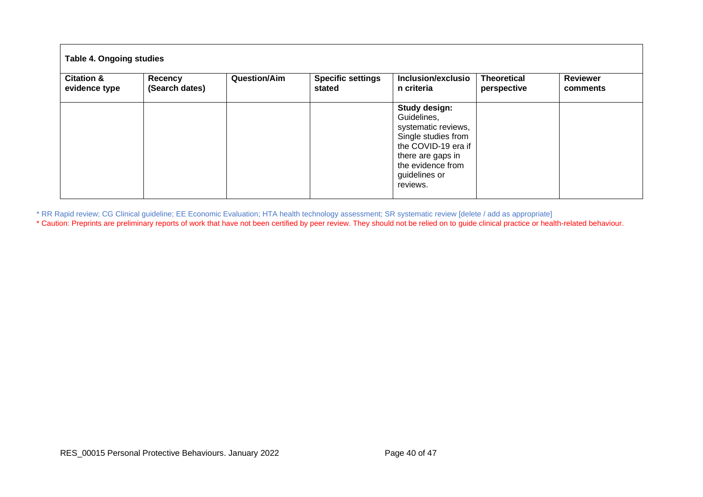| <b>Citation &amp;</b> | Recency        | <b>Question/Aim</b> | <b>Specific settings</b> | Inclusion/exclusio                                                                                                                                                       | <b>Theoretical</b> | <b>Reviewer</b> |
|-----------------------|----------------|---------------------|--------------------------|--------------------------------------------------------------------------------------------------------------------------------------------------------------------------|--------------------|-----------------|
| evidence type         | (Search dates) |                     | stated                   | n criteria                                                                                                                                                               | perspective        | comments        |
|                       |                |                     |                          | Study design:<br>Guidelines,<br>systematic reviews,<br>Single studies from<br>the COVID-19 era if<br>there are gaps in<br>the evidence from<br>guidelines or<br>reviews. |                    |                 |

\* RR Rapid review; CG Clinical guideline; EE Economic Evaluation; HTA health technology assessment; SR systematic review [delete / add as appropriate]

\* Caution: Preprints are preliminary reports of work that have not been certified by peer review. They should not be relied on to guide clinical practice or health-related behaviour.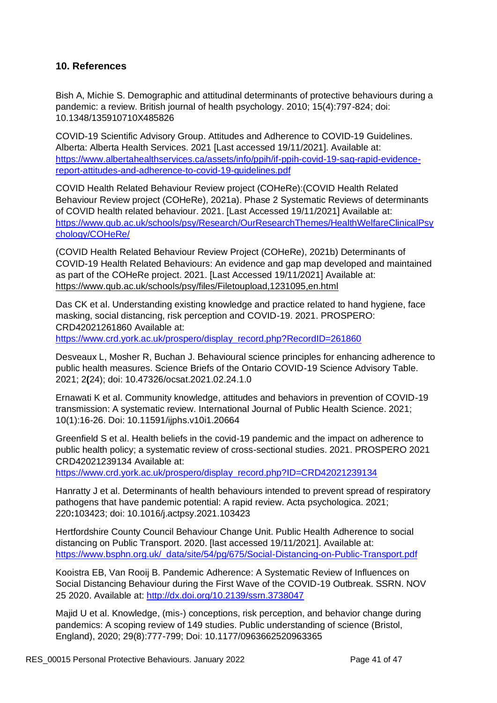## <span id="page-40-0"></span>**10. References**

Bish A, Michie S. Demographic and attitudinal determinants of protective behaviours during a pandemic: a review. British journal of health psychology. 2010; 15(4):797-824; doi: 10.1348/135910710X485826

COVID-19 Scientific Advisory Group. Attitudes and Adherence to COVID-19 Guidelines. Alberta: Alberta Health Services. 2021 [Last accessed 19/11/2021]. Available at: [https://www.albertahealthservices.ca/assets/info/ppih/if-ppih-covid-19-sag-rapid-evidence](https://www.albertahealthservices.ca/assets/info/ppih/if-ppih-covid-19-sag-rapid-evidence-report-attitudes-and-adherence-to-covid-19-guidelines.pdf)[report-attitudes-and-adherence-to-covid-19-guidelines.pdf](https://www.albertahealthservices.ca/assets/info/ppih/if-ppih-covid-19-sag-rapid-evidence-report-attitudes-and-adherence-to-covid-19-guidelines.pdf)

COVID Health Related Behaviour Review project (COHeRe):(COVID Health Related Behaviour Review project (COHeRe), 2021a). Phase 2 Systematic Reviews of determinants of COVID health related behaviour. 2021. [Last Accessed 19/11/2021] Available at: [https://www.qub.ac.uk/schools/psy/Research/OurResearchThemes/HealthWelfareClinicalPsy](https://www.qub.ac.uk/schools/psy/Research/OurResearchThemes/HealthWelfareClinicalPsychology/COHeRe/) [chology/COHeRe/](https://www.qub.ac.uk/schools/psy/Research/OurResearchThemes/HealthWelfareClinicalPsychology/COHeRe/)

(COVID Health Related Behaviour Review Project (COHeRe), 2021b) Determinants of COVID-19 Health Related Behaviours: An evidence and gap map developed and maintained as part of the COHeRe project. 2021. [Last Accessed 19/11/2021] Available at: <https://www.qub.ac.uk/schools/psy/files/Filetoupload,1231095,en.html>

Das CK et al. Understanding existing knowledge and practice related to hand hygiene, face masking, social distancing, risk perception and COVID-19. 2021. PROSPERO: CRD42021261860 Available at: [https://www.crd.york.ac.uk/prospero/display\\_record.php?RecordID=261860](https://www.crd.york.ac.uk/prospero/display_record.php?RecordID=261860)

Desveaux L, Mosher R, Buchan J. Behavioural science principles for enhancing adherence to public health measures. Science Briefs of the Ontario COVID-19 Science Advisory Table. 2021; 2**(**24); doi: 10.47326/ocsat.2021.02.24.1.0

Ernawati K et al. Community knowledge, attitudes and behaviors in prevention of COVID-19 transmission: A systematic review. International Journal of Public Health Science. 2021; 10(1):16-26. Doi: 10.11591/ijphs.v10i1.20664

Greenfield S et al. Health beliefs in the covid-19 pandemic and the impact on adherence to public health policy; a systematic review of cross-sectional studies. 2021. PROSPERO 2021 CRD42021239134 Available at:

[https://www.crd.york.ac.uk/prospero/display\\_record.php?ID=CRD42021239134](https://www.crd.york.ac.uk/prospero/display_record.php?ID=CRD42021239134)

Hanratty J et al. Determinants of health behaviours intended to prevent spread of respiratory pathogens that have pandemic potential: A rapid review. Acta psychologica. 2021; 220**:**103423; doi: 10.1016/j.actpsy.2021.103423

Hertfordshire County Council Behaviour Change Unit. Public Health Adherence to social distancing on Public Transport. 2020. [last accessed 19/11/2021]. Available at: [https://www.bsphn.org.uk/\\_data/site/54/pg/675/Social-Distancing-on-Public-Transport.pdf](https://www.bsphn.org.uk/_data/site/54/pg/675/Social-Distancing-on-Public-Transport.pdf)

Kooistra EB, Van Rooij B. Pandemic Adherence: A Systematic Review of Influences on Social Distancing Behaviour during the First Wave of the COVID-19 Outbreak. SSRN. NOV 25 2020. Available at: [http://dx.doi.org/10.2139/ssrn.3738047](https://dx.doi.org/10.2139/ssrn.3738047)

Majid U et al. Knowledge, (mis-) conceptions, risk perception, and behavior change during pandemics: A scoping review of 149 studies. Public understanding of science (Bristol, England), 2020; 29(8):777-799; Doi: 10.1177/0963662520963365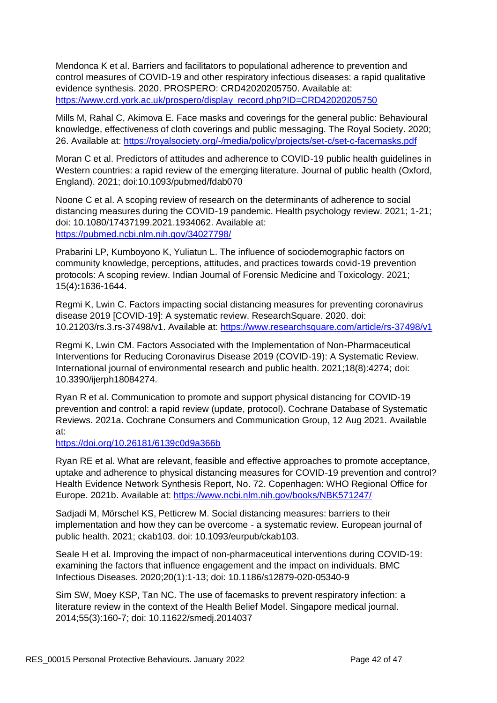Mendonca K et al. Barriers and facilitators to populational adherence to prevention and control measures of COVID-19 and other respiratory infectious diseases: a rapid qualitative evidence synthesis. 2020. PROSPERO: CRD42020205750. Available at: [https://www.crd.york.ac.uk/prospero/display\\_record.php?ID=CRD42020205750](https://www.crd.york.ac.uk/prospero/display_record.php?ID=CRD42020205750)

Mills M, Rahal C, Akimova E. Face masks and coverings for the general public: Behavioural knowledge, effectiveness of cloth coverings and public messaging. The Royal Society. 2020; 26. Available at:<https://royalsociety.org/-/media/policy/projects/set-c/set-c-facemasks.pdf>

Moran C et al. Predictors of attitudes and adherence to COVID-19 public health guidelines in Western countries: a rapid review of the emerging literature. Journal of public health (Oxford, England). 2021; doi:10.1093/pubmed/fdab070

Noone C et al. A scoping review of research on the determinants of adherence to social distancing measures during the COVID-19 pandemic. Health psychology review. 2021; 1-21; doi: 10.1080/17437199.2021.1934062. Available at: <https://pubmed.ncbi.nlm.nih.gov/34027798/>

Prabarini LP, Kumboyono K, Yuliatun L. The influence of sociodemographic factors on community knowledge, perceptions, attitudes, and practices towards covid-19 prevention protocols: A scoping review. Indian Journal of Forensic Medicine and Toxicology. 2021; 15(4)**:**1636-1644.

Regmi K, Lwin C. Factors impacting social distancing measures for preventing coronavirus disease 2019 [COVID-19]: A systematic review. ResearchSquare. 2020. doi: 10.21203/rs.3.rs-37498/v1. Available at: <https://www.researchsquare.com/article/rs-37498/v1>

Regmi K, Lwin CM. Factors Associated with the Implementation of Non-Pharmaceutical Interventions for Reducing Coronavirus Disease 2019 (COVID-19): A Systematic Review. International journal of environmental research and public health. 2021;18(8):4274; doi: 10.3390/ijerph18084274.

Ryan R et al. Communication to promote and support physical distancing for COVID-19 prevention and control: a rapid review (update, protocol). Cochrane Database of Systematic Reviews. 2021a. Cochrane Consumers and Communication Group, 12 Aug 2021. Available at:

<https://doi.org/10.26181/6139c0d9a366b>

Ryan RE et al. What are relevant, feasible and effective approaches to promote acceptance, uptake and adherence to physical distancing measures for COVID-19 prevention and control? Health Evidence Network Synthesis Report, No. 72. Copenhagen: WHO Regional Office for Europe. 2021b. Available at: <https://www.ncbi.nlm.nih.gov/books/NBK571247/>

Sadjadi M, Mörschel KS, Petticrew M. Social distancing measures: barriers to their implementation and how they can be overcome - a systematic review. European journal of public health. 2021; ckab103. doi: 10.1093/eurpub/ckab103.

Seale H et al. Improving the impact of non-pharmaceutical interventions during COVID-19: examining the factors that influence engagement and the impact on individuals. BMC Infectious Diseases. 2020;20(1):1-13; doi: 10.1186/s12879-020-05340-9

Sim SW, Moey KSP, Tan NC. The use of facemasks to prevent respiratory infection: a literature review in the context of the Health Belief Model. Singapore medical journal. 2014;55(3):160-7; doi: 10.11622/smedj.2014037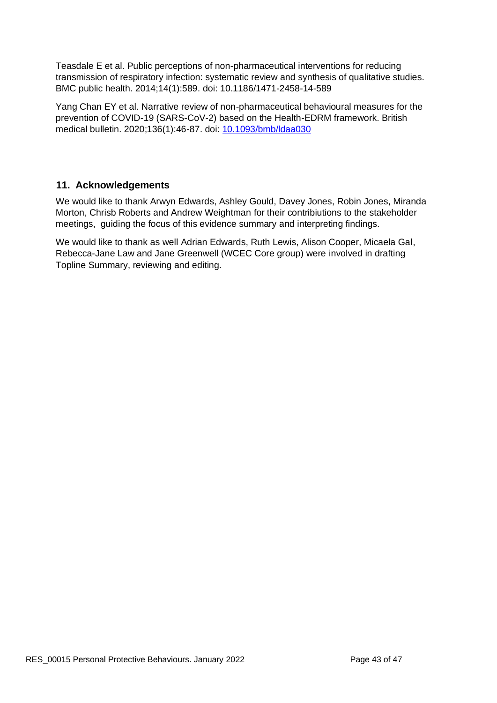Teasdale E et al. Public perceptions of non-pharmaceutical interventions for reducing transmission of respiratory infection: systematic review and synthesis of qualitative studies. BMC public health. 2014;14(1):589. doi: 10.1186/1471-2458-14-589

Yang Chan EY et al. Narrative review of non-pharmaceutical behavioural measures for the prevention of COVID-19 (SARS-CoV-2) based on the Health-EDRM framework. British medical bulletin. 2020;136(1):46-87. doi: [10.1093/bmb/ldaa030](https://doi.org/10.1093/bmb/ldaa030)

## <span id="page-42-0"></span> **11. Acknowledgements**

We would like to thank Arwyn Edwards, Ashley Gould, Davey Jones, Robin Jones, Miranda Morton, Chrisb Roberts and Andrew Weightman for their contribiutions to the stakeholder meetings, guiding the focus of this evidence summary and interpreting findings.

We would like to thank as well Adrian Edwards, Ruth Lewis, Alison Cooper, Micaela Gal, Rebecca-Jane Law and Jane Greenwell (WCEC Core group) were involved in drafting Topline Summary, reviewing and editing.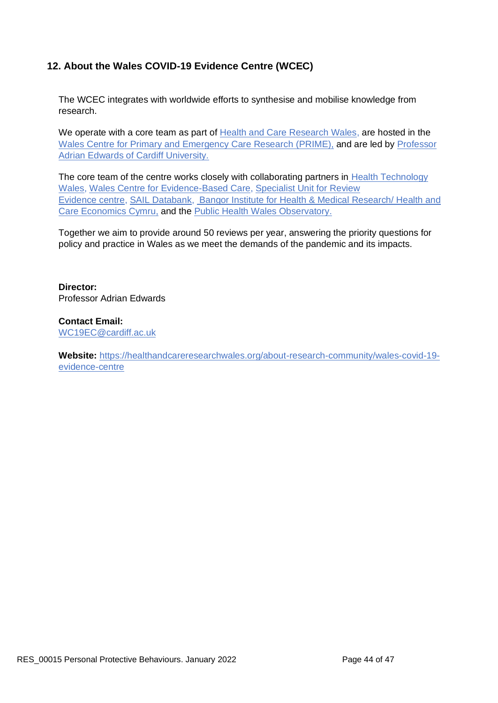# <span id="page-43-0"></span>**12. About the Wales COVID-19 Evidence Centre (WCEC)**

The WCEC integrates with worldwide efforts to synthesise and mobilise knowledge from research.

We operate with a core team as part of [Health and Care Research Wales,](https://healthandcareresearchwales.org/about-research-community/wales-covid-19-evidence-centre) are hosted in the [Wales Centre for Primary and Emergency Care Research \(PRIME\),](http://www.primecentre.wales/) and are led by [Professor](https://www.cardiff.ac.uk/people/view/123022-edwards-adrian)  [Adrian Edwards of Cardiff University.](https://www.cardiff.ac.uk/people/view/123022-edwards-adrian)

The core team of the centre works closely with collaborating partners in [Health Technology](https://www.healthtechnology.wales/)  [Wales,](https://www.healthtechnology.wales/) [Wales Centre for Evidence-Based Care,](https://www.cardiff.ac.uk/research/explore/research-units/wales-centre-for-evidence-based-care) [Specialist Unit for Review](https://www.cardiff.ac.uk/specialist-unit-for-review-evidence)  [Evidence](https://www.cardiff.ac.uk/specialist-unit-for-review-evidence) [centre,](https://www.cardiff.ac.uk/specialist-unit-for-review-evidence) [SAIL Databank,](https://healthandcareresearchwales.org/about-research-community/secure-anonymised-information-linkage-sail-databank) [Bangor Institute for Health](https://www.bangor.ac.uk/health-sciences/research/index.php.en) & Medical Research/ Health and Care Economics Cymru, and the [Public Health Wales Observatory.](https://phw.nhs.wales/services-and-teams/observatory/)

Together we aim to provide around 50 reviews per year, answering the priority questions for policy and practice in Wales as we meet the demands of the pandemic and its impacts.

**Director:**  Professor Adrian Edwards

**Contact Email:**  [WC19EC@cardiff.ac.uk](mailto:WC19EC@cardiff.ac.uk)

**Website:** [https://healthandcareresearchwales.org/about-research-community/wales-covid-19](https://healthandcareresearchwales.org/about-research-community/wales-covid-19-evidence-centre) [evidence-centre](https://healthandcareresearchwales.org/about-research-community/wales-covid-19-evidence-centre)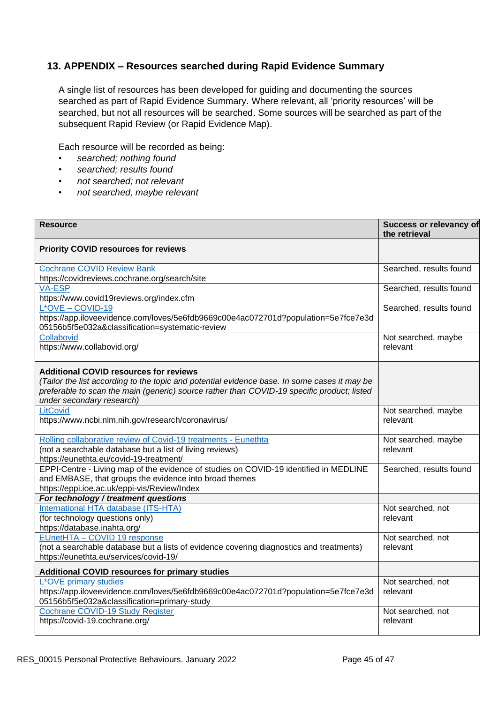## <span id="page-44-0"></span>**13. APPENDIX – Resources searched during Rapid Evidence Summary**

A single list of resources has been developed for guiding and documenting the sources searched as part of Rapid Evidence Summary. Where relevant, all 'priority resources' will be searched, but not all resources will be searched. Some sources will be searched as part of the subsequent Rapid Review (or Rapid Evidence Map).

Each resource will be recorded as being:

- *• searched; nothing found*
- *• searched; results found*
- *• not searched; not relevant*
- *• not searched, maybe relevant*

| <b>Resource</b>                                                                                                                                                                                                                                                          | Success or relevancy of<br>the retrieval |
|--------------------------------------------------------------------------------------------------------------------------------------------------------------------------------------------------------------------------------------------------------------------------|------------------------------------------|
| <b>Priority COVID resources for reviews</b>                                                                                                                                                                                                                              |                                          |
| <b>Cochrane COVID Review Bank</b><br>https://covidreviews.cochrane.org/search/site                                                                                                                                                                                       | Searched, results found                  |
| <b>VA-ESP</b><br>https://www.covid19reviews.org/index.cfm                                                                                                                                                                                                                | Searched, results found                  |
| $L^*$ OVE - COVID-19<br>https://app.iloveevidence.com/loves/5e6fdb9669c00e4ac072701d?population=5e7fce7e3d<br>05156b5f5e032a&classification=systematic-review                                                                                                            | Searched, results found                  |
| Collabovid<br>https://www.collabovid.org/                                                                                                                                                                                                                                | Not searched, maybe<br>relevant          |
| <b>Additional COVID resources for reviews</b><br>(Tailor the list according to the topic and potential evidence base. In some cases it may be<br>preferable to scan the main (generic) source rather than COVID-19 specific product; listed<br>under secondary research) |                                          |
| LitCovid<br>https://www.ncbi.nlm.nih.gov/research/coronavirus/                                                                                                                                                                                                           | Not searched, maybe<br>relevant          |
| Rolling collaborative review of Covid-19 treatments - Eunethta<br>(not a searchable database but a list of living reviews)<br>https://eunethta.eu/covid-19-treatment/                                                                                                    | Not searched, maybe<br>relevant          |
| EPPI-Centre - Living map of the evidence of studies on COVID-19 identified in MEDLINE<br>and EMBASE, that groups the evidence into broad themes<br>https://eppi.ioe.ac.uk/eppi-vis/Review/Index                                                                          | Searched, results found                  |
| For technology / treatment questions                                                                                                                                                                                                                                     |                                          |
| International HTA database (ITS-HTA)<br>(for technology questions only)<br>https://database.inahta.org/                                                                                                                                                                  | Not searched, not<br>relevant            |
| EUnetHTA - COVID 19 response<br>(not a searchable database but a lists of evidence covering diagnostics and treatments)<br>https://eunethta.eu/services/covid-19/                                                                                                        | Not searched, not<br>relevant            |
| <b>Additional COVID resources for primary studies</b>                                                                                                                                                                                                                    |                                          |
| L*OVE primary studies<br>https://app.iloveevidence.com/loves/5e6fdb9669c00e4ac072701d?population=5e7fce7e3d<br>05156b5f5e032a&classification=primary-study                                                                                                               | Not searched, not<br>relevant            |
| Cochrane COVID-19 Study Register<br>https://covid-19.cochrane.org/                                                                                                                                                                                                       | Not searched, not<br>relevant            |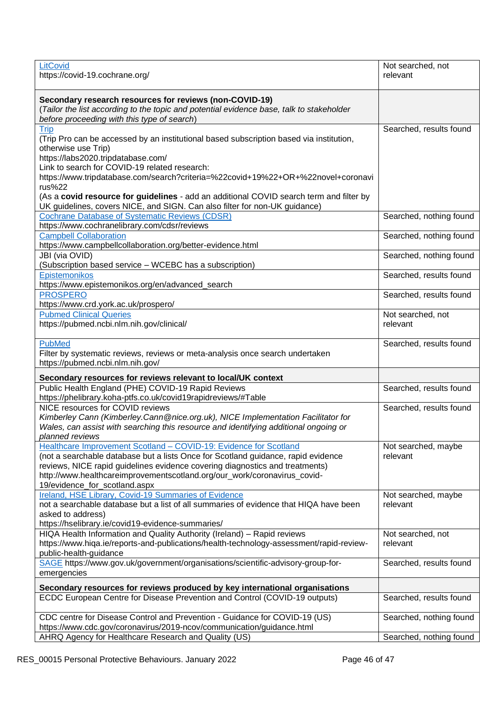| LitCovid<br>https://covid-19.cochrane.org/                                                                                                                                                                                                                                                                                                                                                                                                                                                  | Not searched, not<br>relevant   |
|---------------------------------------------------------------------------------------------------------------------------------------------------------------------------------------------------------------------------------------------------------------------------------------------------------------------------------------------------------------------------------------------------------------------------------------------------------------------------------------------|---------------------------------|
| Secondary research resources for reviews (non-COVID-19)<br>(Tailor the list according to the topic and potential evidence base, talk to stakeholder<br>before proceeding with this type of search)                                                                                                                                                                                                                                                                                          |                                 |
| <b>Trip</b><br>(Trip Pro can be accessed by an institutional based subscription based via institution,<br>otherwise use Trip)<br>https://labs2020.tripdatabase.com/<br>Link to search for COVID-19 related research:<br>https://www.tripdatabase.com/search?criteria=%22covid+19%22+OR+%22novel+coronavi<br>rus%22<br>(As a covid resource for guidelines - add an additional COVID search term and filter by<br>UK guidelines, covers NICE, and SIGN. Can also filter for non-UK guidance) | Searched, results found         |
| <b>Cochrane Database of Systematic Reviews (CDSR)</b><br>https://www.cochranelibrary.com/cdsr/reviews                                                                                                                                                                                                                                                                                                                                                                                       | Searched, nothing found         |
| <b>Campbell Collaboration</b><br>https://www.campbellcollaboration.org/better-evidence.html                                                                                                                                                                                                                                                                                                                                                                                                 | Searched, nothing found         |
| JBI (via OVID)<br>(Subscription based service - WCEBC has a subscription)                                                                                                                                                                                                                                                                                                                                                                                                                   | Searched, nothing found         |
| Epistemonikos<br>https://www.epistemonikos.org/en/advanced_search                                                                                                                                                                                                                                                                                                                                                                                                                           | Searched, results found         |
| <b>PROSPERO</b><br>https://www.crd.york.ac.uk/prospero/                                                                                                                                                                                                                                                                                                                                                                                                                                     | Searched, results found         |
| <b>Pubmed Clinical Queries</b><br>https://pubmed.ncbi.nlm.nih.gov/clinical/                                                                                                                                                                                                                                                                                                                                                                                                                 | Not searched, not<br>relevant   |
| <b>PubMed</b><br>Filter by systematic reviews, reviews or meta-analysis once search undertaken<br>https://pubmed.ncbi.nlm.nih.gov/                                                                                                                                                                                                                                                                                                                                                          | Searched, results found         |
| Secondary resources for reviews relevant to local/UK context                                                                                                                                                                                                                                                                                                                                                                                                                                |                                 |
| Public Health England (PHE) COVID-19 Rapid Reviews<br>https://phelibrary.koha-ptfs.co.uk/covid19rapidreviews/#Table                                                                                                                                                                                                                                                                                                                                                                         | Searched, results found         |
| NICE resources for COVID reviews<br>Kimberley Cann (Kimberley.Cann@nice.org.uk), NICE Implementation Facilitator for<br>Wales, can assist with searching this resource and identifying additional ongoing or<br>planned reviews                                                                                                                                                                                                                                                             | Searched, results found         |
| Healthcare Improvement Scotland - COVID-19: Evidence for Scotland<br>(not a searchable database but a lists Once for Scotland guidance, rapid evidence<br>reviews, NICE rapid guidelines evidence covering diagnostics and treatments)<br>http://www.healthcareimprovementscotland.org/our_work/coronavirus_covid-<br>19/evidence_for_scotland.aspx                                                                                                                                         | Not searched, maybe<br>relevant |
| Ireland, HSE Library, Covid-19 Summaries of Evidence<br>not a searchable database but a list of all summaries of evidence that HIQA have been<br>asked to address)<br>https://hselibrary.ie/covid19-evidence-summaries/                                                                                                                                                                                                                                                                     | Not searched, maybe<br>relevant |
| HIQA Health Information and Quality Authority (Ireland) - Rapid reviews<br>https://www.hiqa.ie/reports-and-publications/health-technology-assessment/rapid-review-<br>public-health-guidance                                                                                                                                                                                                                                                                                                | Not searched, not<br>relevant   |
| SAGE https://www.gov.uk/government/organisations/scientific-advisory-group-for-<br>emergencies                                                                                                                                                                                                                                                                                                                                                                                              | Searched, results found         |
| Secondary resources for reviews produced by key international organisations                                                                                                                                                                                                                                                                                                                                                                                                                 |                                 |
| ECDC European Centre for Disease Prevention and Control (COVID-19 outputs)                                                                                                                                                                                                                                                                                                                                                                                                                  | Searched, results found         |
| CDC centre for Disease Control and Prevention - Guidance for COVID-19 (US)<br>https://www.cdc.gov/coronavirus/2019-ncov/communication/guidance.html                                                                                                                                                                                                                                                                                                                                         | Searched, nothing found         |
| AHRQ Agency for Healthcare Research and Quality (US)                                                                                                                                                                                                                                                                                                                                                                                                                                        | Searched, nothing found         |